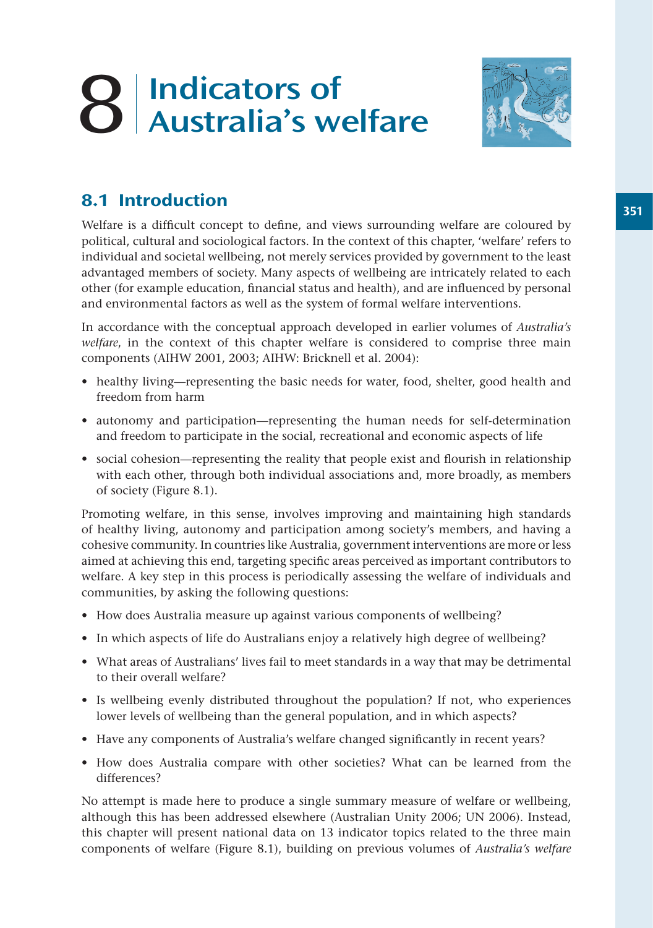# 8 Indicators of Australia's welfare



# 8.1 Introduction

Welfare is a difficult concept to define, and views surrounding welfare are coloured by political, cultural and sociological factors. In the context of this chapter, 'welfare' refers to individual and societal wellbeing, not merely services provided by government to the least advantaged members of society. Many aspects of wellbeing are intricately related to each other (for example education, financial status and health), and are influenced by personal and environmental factors as well as the system of formal welfare interventions.

In accordance with the conceptual approach developed in earlier volumes of *Australia's welfare*, in the context of this chapter welfare is considered to comprise three main components (AIHW 2001, 2003; AIHW: Bricknell et al. 2004):

- healthy living—representing the basic needs for water, food, shelter, good health and freedom from harm
- autonomy and participation—representing the human needs for self-determination and freedom to participate in the social, recreational and economic aspects of life
- social cohesion—representing the reality that people exist and flourish in relationship with each other, through both individual associations and, more broadly, as members of society (Figure 8.1).

Promoting welfare, in this sense, involves improving and maintaining high standards of healthy living, autonomy and participation among society's members, and having a cohesive community. In countries like Australia, government interventions are more or less aimed at achieving this end, targeting specific areas perceived as important contributors to welfare. A key step in this process is periodically assessing the welfare of individuals and communities, by asking the following questions:

- How does Australia measure up against various components of wellbeing?
- In which aspects of life do Australians enjoy a relatively high degree of wellbeing?
- What areas of Australians' lives fail to meet standards in a way that may be detrimental to their overall welfare?
- Is wellbeing evenly distributed throughout the population? If not, who experiences lower levels of wellbeing than the general population, and in which aspects?
- Have any components of Australia's welfare changed significantly in recent years?
- How does Australia compare with other societies? What can be learned from the differences?

No attempt is made here to produce a single summary measure of welfare or wellbeing, although this has been addressed elsewhere (Australian Unity 2006; UN 2006). Instead, this chapter will present national data on 13 indicator topics related to the three main components of welfare (Figure 8.1), building on previous volumes of *Australia's welfare*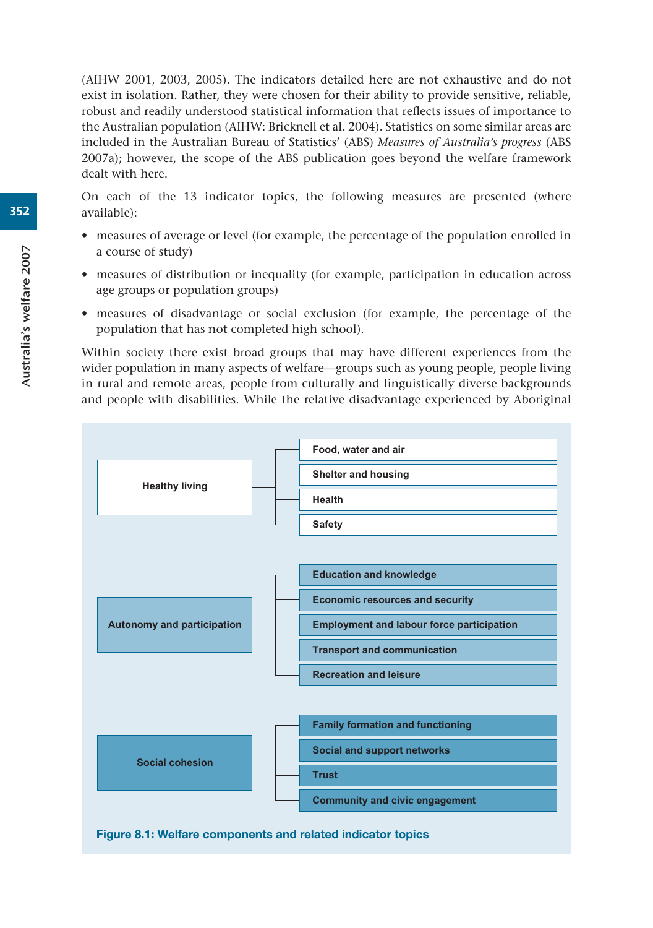(AIHW 2001, 2003, 2005). The indicators detailed here are not exhaustive and do not exist in isolation. Rather, they were chosen for their ability to provide sensitive, reliable, robust and readily understood statistical information that reflects issues of importance to the Australian population (AIHW: Bricknell et al. 2004). Statistics on some similar areas are included in the Australian Bureau of Statistics' (ABS) *Measures of Australia's progress* (ABS 2007a); however, the scope of the ABS publication goes beyond the welfare framework dealt with here.

On each of the 13 indicator topics, the following measures are presented (where available):

- measures of average or level (for example, the percentage of the population enrolled in a course of study)
- measures of distribution or inequality (for example, participation in education across age groups or population groups)
- measures of disadvantage or social exclusion (for example, the percentage of the population that has not completed high school).

Within society there exist broad groups that may have different experiences from the wider population in many aspects of welfare—groups such as young people, people living in rural and remote areas, people from culturally and linguistically diverse backgrounds and people with disabilities. While the relative disadvantage experienced by Aboriginal

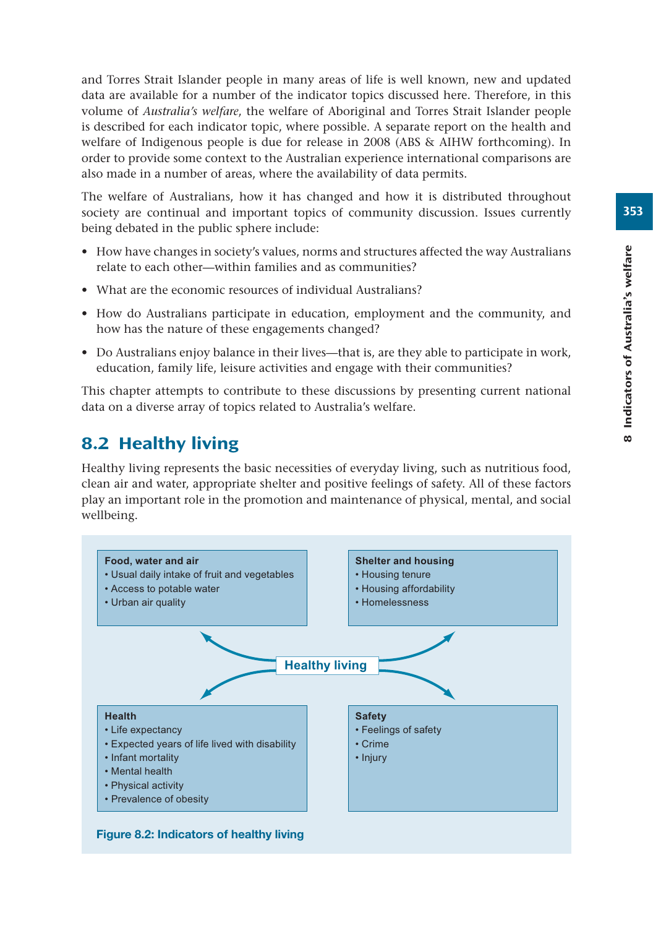and Torres Strait Islander people in many areas of life is well known, new and updated data are available for a number of the indicator topics discussed here. Therefore, in this volume of *Australia's welfare*, the welfare of Aboriginal and Torres Strait Islander people is described for each indicator topic, where possible. A separate report on the health and welfare of Indigenous people is due for release in 2008 (ABS & AIHW forthcoming). In order to provide some context to the Australian experience international comparisons are also made in a number of areas, where the availability of data permits.

The welfare of Australians, how it has changed and how it is distributed throughout society are continual and important topics of community discussion. Issues currently being debated in the public sphere include:

- How have changes in society's values, norms and structures affected the way Australians relate to each other—within families and as communities?
- What are the economic resources of individual Australians?
- How do Australians participate in education, employment and the community, and how has the nature of these engagements changed?
- Do Australians enjoy balance in their lives—that is, are they able to participate in work, education, family life, leisure activities and engage with their communities?

This chapter attempts to contribute to these discussions by presenting current national data on a diverse array of topics related to Australia's welfare.

# 8.2 Healthy living

Healthy living represents the basic necessities of everyday living, such as nutritious food, clean air and water, appropriate shelter and positive feelings of safety. All of these factors play an important role in the promotion and maintenance of physical, mental, and social wellbeing.

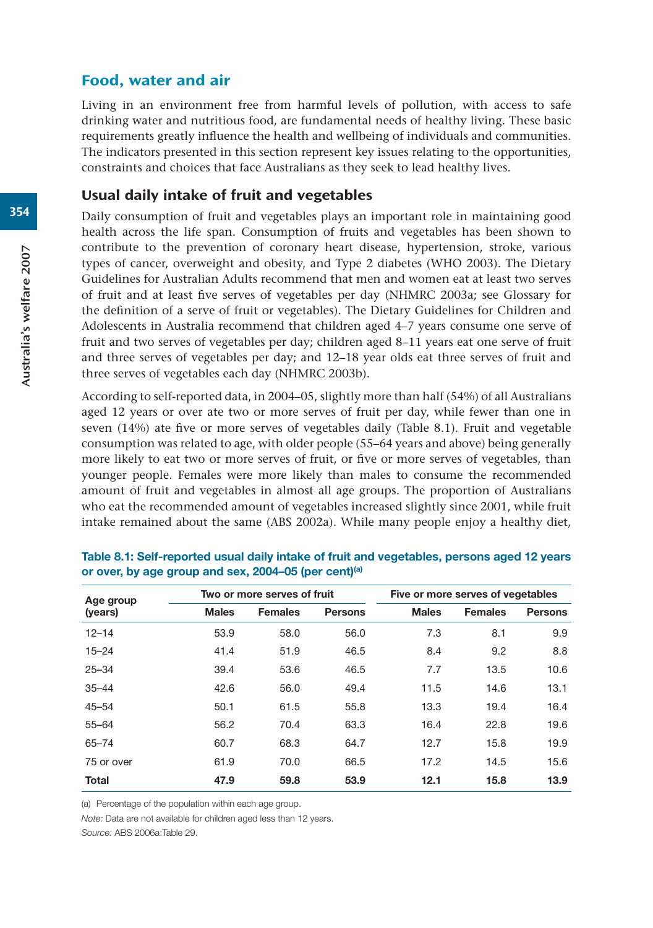## Food, water and air

Living in an environment free from harmful levels of pollution, with access to safe drinking water and nutritious food, are fundamental needs of healthy living. These basic requirements greatly influence the health and wellbeing of individuals and communities. The indicators presented in this section represent key issues relating to the opportunities, constraints and choices that face Australians as they seek to lead healthy lives.

## Usual daily intake of fruit and vegetables

Daily consumption of fruit and vegetables plays an important role in maintaining good health across the life span. Consumption of fruits and vegetables has been shown to contribute to the prevention of coronary heart disease, hypertension, stroke, various types of cancer, overweight and obesity, and Type 2 diabetes (WHO 2003). The Dietary Guidelines for Australian Adults recommend that men and women eat at least two serves of fruit and at least five serves of vegetables per day (NHMRC 2003a; see Glossary for the definition of a serve of fruit or vegetables). The Dietary Guidelines for Children and Adolescents in Australia recommend that children aged 4–7 years consume one serve of fruit and two serves of vegetables per day; children aged 8–11 years eat one serve of fruit and three serves of vegetables per day; and 12–18 year olds eat three serves of fruit and three serves of vegetables each day (NHMRC 2003b).

According to self-reported data, in 2004–05, slightly more than half (54%) of all Australians aged 12 years or over ate two or more serves of fruit per day, while fewer than one in seven (14%) ate five or more serves of vegetables daily (Table 8.1). Fruit and vegetable consumption was related to age, with older people (55–64 years and above) being generally more likely to eat two or more serves of fruit, or five or more serves of vegetables, than younger people. Females were more likely than males to consume the recommended amount of fruit and vegetables in almost all age groups. The proportion of Australians who eat the recommended amount of vegetables increased slightly since 2001, while fruit intake remained about the same (ABS 2002a). While many people enjoy a healthy diet,

| Age group    |              | Two or more serves of fruit |                |              | Five or more serves of vegetables |                |  |
|--------------|--------------|-----------------------------|----------------|--------------|-----------------------------------|----------------|--|
| (years)      | <b>Males</b> | <b>Females</b>              | <b>Persons</b> | <b>Males</b> | <b>Females</b>                    | <b>Persons</b> |  |
| $12 - 14$    | 53.9         | 58.0                        | 56.0           | 7.3          | 8.1                               | 9.9            |  |
| $15 - 24$    | 41.4         | 51.9                        | 46.5           | 8.4          | 9.2                               | 8.8            |  |
| $25 - 34$    | 39.4         | 53.6                        | 46.5           | 7.7          | 13.5                              | 10.6           |  |
| $35 - 44$    | 42.6         | 56.0                        | 49.4           | 11.5         | 14.6                              | 13.1           |  |
| $45 - 54$    | 50.1         | 61.5                        | 55.8           | 13.3         | 19.4                              | 16.4           |  |
| $55 - 64$    | 56.2         | 70.4                        | 63.3           | 16.4         | 22.8                              | 19.6           |  |
| $65 - 74$    | 60.7         | 68.3                        | 64.7           | 12.7         | 15.8                              | 19.9           |  |
| 75 or over   | 61.9         | 70.0                        | 66.5           | 17.2         | 14.5                              | 15.6           |  |
| <b>Total</b> | 47.9         | 59.8                        | 53.9           | 12.1         | 15.8                              | 13.9           |  |

| Table 8.1: Self-reported usual daily intake of fruit and vegetables, persons aged 12 years |  |
|--------------------------------------------------------------------------------------------|--|
| or over, by age group and sex, 2004–05 (per cent) <sup>(a)</sup>                           |  |

(a) Percentage of the population within each age group.

*Note:* Data are not available for children aged less than 12 years.

*Source:* ABS 2006a:Table 29.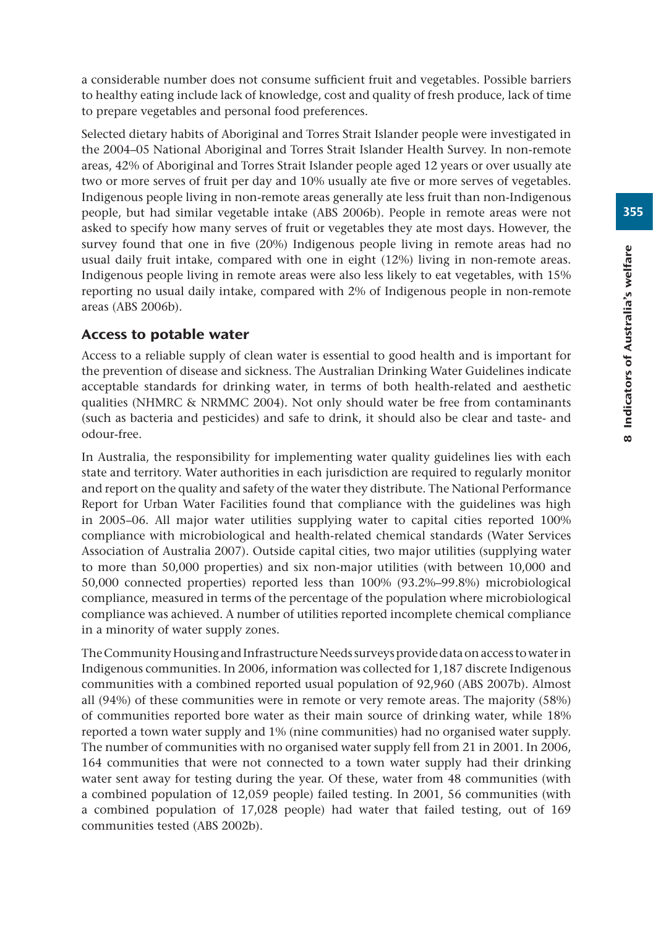a considerable number does not consume sufficient fruit and vegetables. Possible barriers to healthy eating include lack of knowledge, cost and quality of fresh produce, lack of time to prepare vegetables and personal food preferences.

Selected dietary habits of Aboriginal and Torres Strait Islander people were investigated in the 2004–05 National Aboriginal and Torres Strait Islander Health Survey. In non-remote areas, 42% of Aboriginal and Torres Strait Islander people aged 12 years or over usually ate two or more serves of fruit per day and 10% usually ate five or more serves of vegetables. Indigenous people living in non-remote areas generally ate less fruit than non-Indigenous people, but had similar vegetable intake (ABS 2006b). People in remote areas were not asked to specify how many serves of fruit or vegetables they ate most days. However, the survey found that one in five (20%) Indigenous people living in remote areas had no usual daily fruit intake, compared with one in eight (12%) living in non-remote areas. Indigenous people living in remote areas were also less likely to eat vegetables, with 15% reporting no usual daily intake, compared with 2% of Indigenous people in non-remote areas (ABS 2006b).

## Access to potable water

Access to a reliable supply of clean water is essential to good health and is important for the prevention of disease and sickness. The Australian Drinking Water Guidelines indicate acceptable standards for drinking water, in terms of both health-related and aesthetic qualities (NHMRC & NRMMC 2004). Not only should water be free from contaminants (such as bacteria and pesticides) and safe to drink, it should also be clear and taste- and odour-free.

In Australia, the responsibility for implementing water quality guidelines lies with each state and territory. Water authorities in each jurisdiction are required to regularly monitor and report on the quality and safety of the water they distribute. The National Performance Report for Urban Water Facilities found that compliance with the guidelines was high in 2005–06. All major water utilities supplying water to capital cities reported 100% compliance with microbiological and health-related chemical standards (Water Services Association of Australia 2007). Outside capital cities, two major utilities (supplying water to more than 50,000 properties) and six non-major utilities (with between 10,000 and 50,000 connected properties) reported less than 100% (93.2%–99.8%) microbiological compliance, measured in terms of the percentage of the population where microbiological compliance was achieved. A number of utilities reported incomplete chemical compliance in a minority of water supply zones.

The Community Housing and Infrastructure Needs surveys provide data on access to water in Indigenous communities. In 2006, information was collected for 1,187 discrete Indigenous communities with a combined reported usual population of 92,960 (ABS 2007b). Almost all (94%) of these communities were in remote or very remote areas. The majority (58%) of communities reported bore water as their main source of drinking water, while 18% reported a town water supply and 1% (nine communities) had no organised water supply. The number of communities with no organised water supply fell from 21 in 2001. In 2006, 164 communities that were not connected to a town water supply had their drinking water sent away for testing during the year. Of these, water from 48 communities (with a combined population of 12,059 people) failed testing. In 2001, 56 communities (with a combined population of 17,028 people) had water that failed testing, out of 169 communities tested (ABS 2002b).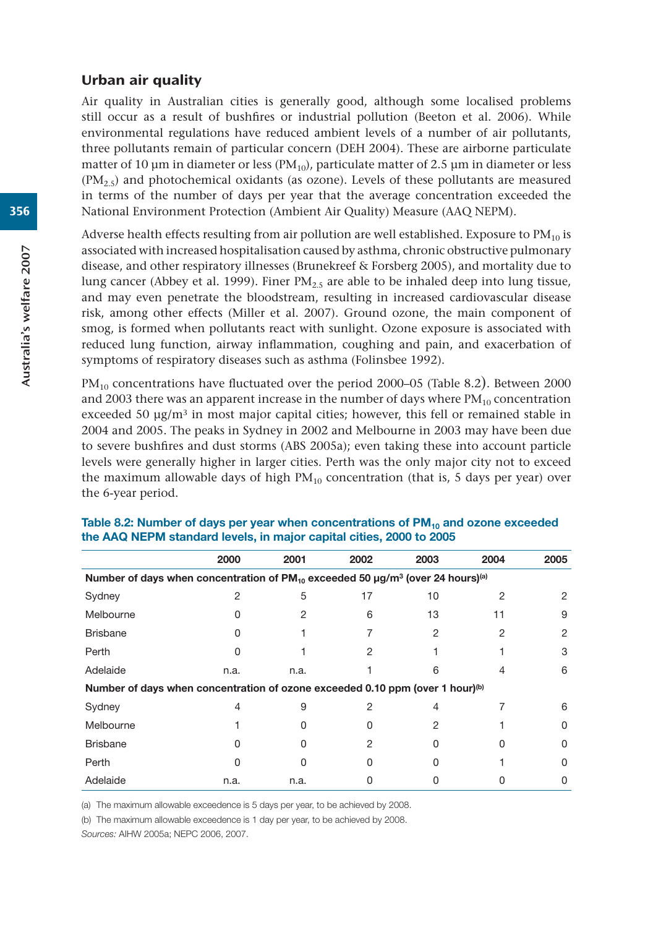#### Urban air quality

Air quality in Australian cities is generally good, although some localised problems still occur as a result of bushfires or industrial pollution (Beeton et al. 2006). While environmental regulations have reduced ambient levels of a number of air pollutants, three pollutants remain of particular concern (DEH 2004). These are airborne particulate matter of 10 μm in diameter or less ( $PM_{10}$ ), particulate matter of 2.5 μm in diameter or less  $(PM<sub>2.5</sub>)$  and photochemical oxidants (as ozone). Levels of these pollutants are measured in terms of the number of days per year that the average concentration exceeded the National Environment Protection (Ambient Air Quality) Measure (AAQ NEPM).

Adverse health effects resulting from air pollution are well established. Exposure to  $PM_{10}$  is associated with increased hospitalisation caused by asthma, chronic obstructive pulmonary disease, and other respiratory illnesses (Brunekreef & Forsberg 2005), and mortality due to lung cancer (Abbey et al. 1999). Finer  $PM<sub>2.5</sub>$  are able to be inhaled deep into lung tissue, and may even penetrate the bloodstream, resulting in increased cardiovascular disease risk, among other effects (Miller et al. 2007). Ground ozone, the main component of smog, is formed when pollutants react with sunlight. Ozone exposure is associated with reduced lung function, airway inflammation, coughing and pain, and exacerbation of symptoms of respiratory diseases such as asthma (Folinsbee 1992).

 $PM_{10}$  concentrations have fluctuated over the period 2000–05 (Table 8.2). Between 2000 and 2003 there was an apparent increase in the number of days where  $PM_{10}$  concentration exceeded 50  $\mu$ g/m<sup>3</sup> in most major capital cities; however, this fell or remained stable in 2004 and 2005. The peaks in Sydney in 2002 and Melbourne in 2003 may have been due to severe bushfires and dust storms (ABS 2005a); even taking these into account particle levels were generally higher in larger cities. Perth was the only major city not to exceed the maximum allowable days of high  $PM_{10}$  concentration (that is, 5 days per year) over the 6-year period.

|                                                                                                             | 2000 | 2001 | 2002 | 2003 | 2004 | 2005         |  |  |  |
|-------------------------------------------------------------------------------------------------------------|------|------|------|------|------|--------------|--|--|--|
| Number of days when concentration of $PM_{10}$ exceeded 50 µg/m <sup>3</sup> (over 24 hours) <sup>(a)</sup> |      |      |      |      |      |              |  |  |  |
| Sydney                                                                                                      |      | 5    | 17   | 10   | 2    | 2            |  |  |  |
| Melbourne                                                                                                   |      |      | 6    | 13   | 11   | 9            |  |  |  |
| <b>Brisbane</b>                                                                                             |      |      |      | 2    | 2    | 2            |  |  |  |
| Perth                                                                                                       |      |      | 2    |      |      | 3            |  |  |  |
| Adelaide                                                                                                    | n.a. | n.a. |      | რ    |      | 6            |  |  |  |
| Number of days when concentration of ozone exceeded 0.10 ppm (over 1 hour)(b)                               |      |      |      |      |      |              |  |  |  |
| Sydney                                                                                                      |      | 9    |      |      |      | 6            |  |  |  |
| Melbourne                                                                                                   |      |      |      |      |      |              |  |  |  |
| <b>Brisbane</b>                                                                                             |      |      | 2    |      |      | $\mathbf{O}$ |  |  |  |
| Perth                                                                                                       |      |      |      |      |      | n            |  |  |  |
| Adelaide                                                                                                    | n.a. | n.a. |      |      |      | O            |  |  |  |

Table 8.2: Number of days per year when concentrations of PM<sub>10</sub> and ozone exceeded **the AAQ NEPM standard levels, in major capital cities, 2000 to 2005**

(a) The maximum allowable exceedence is 5 days per year, to be achieved by 2008.

(b) The maximum allowable exceedence is 1 day per year, to be achieved by 2008.

*Sources:* AIHW 2005a; NEPC 2006, 2007.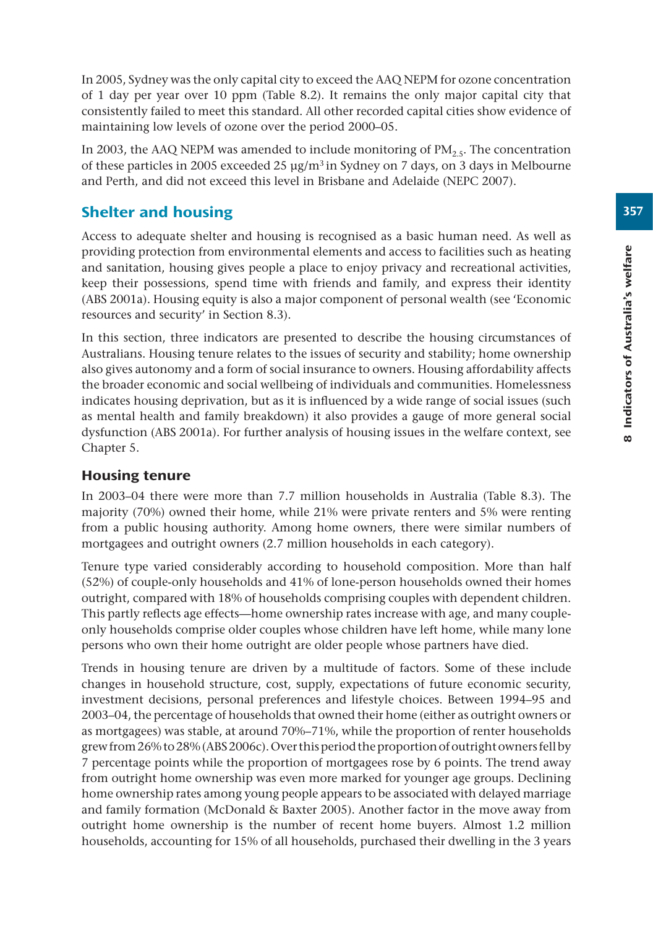In 2005, Sydney was the only capital city to exceed the AAQ NEPM for ozone concentration of 1 day per year over 10 ppm (Table 8.2). It remains the only major capital city that consistently failed to meet this standard. All other recorded capital cities show evidence of maintaining low levels of ozone over the period 2000–05.

In 2003, the AAQ NEPM was amended to include monitoring of  $PM_{2.5}$ . The concentration of these particles in 2005 exceeded 25  $\mu$ g/m<sup>3</sup> in Sydney on 7 days, on 3 days in Melbourne and Perth, and did not exceed this level in Brisbane and Adelaide (NEPC 2007).

# Shelter and housing

Access to adequate shelter and housing is recognised as a basic human need. As well as providing protection from environmental elements and access to facilities such as heating and sanitation, housing gives people a place to enjoy privacy and recreational activities, keep their possessions, spend time with friends and family, and express their identity (ABS 2001a). Housing equity is also a major component of personal wealth (see 'Economic resources and security' in Section 8.3).

In this section, three indicators are presented to describe the housing circumstances of Australians. Housing tenure relates to the issues of security and stability; home ownership also gives autonomy and a form of social insurance to owners. Housing affordability affects the broader economic and social wellbeing of individuals and communities. Homelessness indicates housing deprivation, but as it is influenced by a wide range of social issues (such as mental health and family breakdown) it also provides a gauge of more general social dysfunction (ABS 2001a). For further analysis of housing issues in the welfare context, see Chapter 5.

## Housing tenure

In 2003–04 there were more than 7.7 million households in Australia (Table 8.3). The majority (70%) owned their home, while 21% were private renters and 5% were renting from a public housing authority. Among home owners, there were similar numbers of mortgagees and outright owners (2.7 million households in each category).

Tenure type varied considerably according to household composition. More than half (52%) of couple-only households and 41% of lone-person households owned their homes outright, compared with 18% of households comprising couples with dependent children. This partly reflects age effects—home ownership rates increase with age, and many coupleonly households comprise older couples whose children have left home, while many lone persons who own their home outright are older people whose partners have died.

Trends in housing tenure are driven by a multitude of factors. Some of these include changes in household structure, cost, supply, expectations of future economic security, investment decisions, personal preferences and lifestyle choices. Between 1994–95 and 2003–04, the percentage of households that owned their home (either as outright owners or as mortgagees) was stable, at around 70%–71%, while the proportion of renter households grew from 26% to 28% (ABS 2006c). Over this period the proportion of outright owners fell by 7 percentage points while the proportion of mortgagees rose by 6 points. The trend away from outright home ownership was even more marked for younger age groups. Declining home ownership rates among young people appears to be associated with delayed marriage and family formation (McDonald & Baxter 2005). Another factor in the move away from outright home ownership is the number of recent home buyers. Almost 1.2 million households, accounting for 15% of all households, purchased their dwelling in the 3 years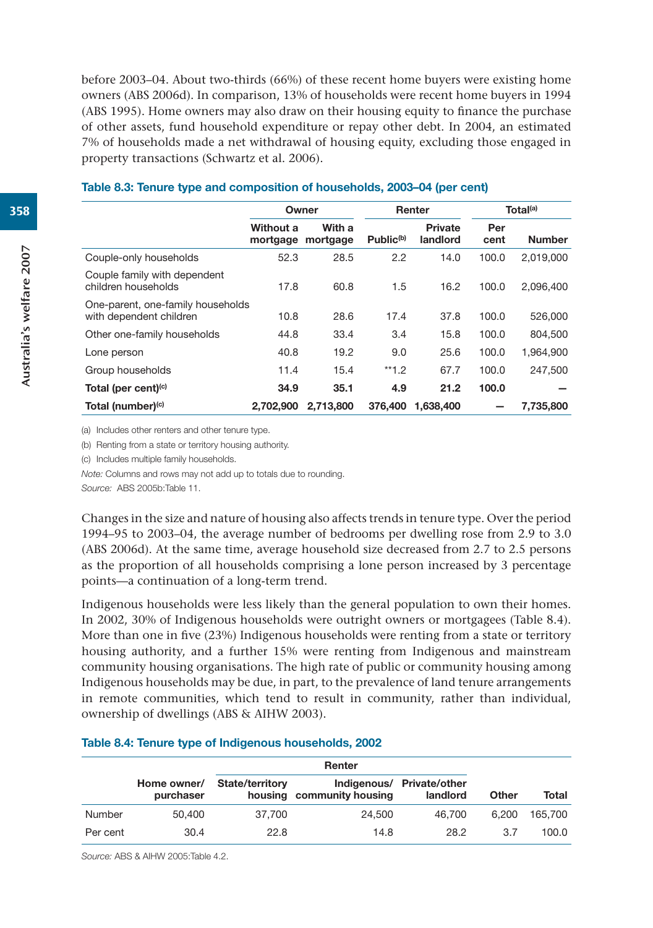before 2003–04. About two-thirds (66%) of these recent home buyers were existing home owners (ABS 2006d). In comparison, 13% of households were recent home buyers in 1994 (ABS 1995). Home owners may also draw on their housing equity to finance the purchase of other assets, fund household expenditure or repay other debt. In 2004, an estimated 7% of households made a net withdrawal of housing equity, excluding those engaged in property transactions (Schwartz et al. 2006).

|                                                              |                       | Owner              |                       | Renter                     |             | Total <sup>(a)</sup> |
|--------------------------------------------------------------|-----------------------|--------------------|-----------------------|----------------------------|-------------|----------------------|
|                                                              | Without a<br>mortgage | With a<br>mortgage | Public <sup>(b)</sup> | <b>Private</b><br>landlord | Per<br>cent | <b>Number</b>        |
| Couple-only households                                       | 52.3                  | 28.5               | 2.2                   | 14.0                       | 100.0       | 2,019,000            |
| Couple family with dependent<br>children households          | 17.8                  | 60.8               | 1.5                   | 16.2                       | 100.0       | 2,096,400            |
| One-parent, one-family households<br>with dependent children | 10.8                  | 28.6               | 17.4                  | 37.8                       | 100.0       | 526,000              |
| Other one-family households                                  | 44.8                  | 33.4               | 3.4                   | 15.8                       | 100.0       | 804,500              |
| Lone person                                                  | 40.8                  | 19.2               | 9.0                   | 25.6                       | 100.0       | 1,964,900            |
| Group households                                             | 11.4                  | 15.4               | $**1.2$               | 67.7                       | 100.0       | 247.500              |
| Total (per cent) <sup>(c)</sup>                              | 34.9                  | 35.1               | 4.9                   | 21.2                       | 100.0       |                      |
| Total (number) <sup>(c)</sup>                                | 2.702.900             | 2,713,800          | 376,400               | 1.638.400                  |             | 7.735.800            |

#### **Table 8.3: Tenure type and composition of households, 2003–04 (per cent)**

(a) Includes other renters and other tenure type.

(b) Renting from a state or territory housing authority.

(c) Includes multiple family households.

*Note:* Columns and rows may not add up to totals due to rounding.

*Source:* ABS 2005b:Table 11.

Changes in the size and nature of housing also affects trends in tenure type. Over the period 1994–95 to 2003–04, the average number of bedrooms per dwelling rose from 2.9 to 3.0 (ABS 2006d). At the same time, average household size decreased from 2.7 to 2.5 persons as the proportion of all households comprising a lone person increased by 3 percentage points—a continuation of a long-term trend.

Indigenous households were less likely than the general population to own their homes. In 2002, 30% of Indigenous households were outright owners or mortgagees (Table 8.4). More than one in five (23%) Indigenous households were renting from a state or territory housing authority, and a further 15% were renting from Indigenous and mainstream community housing organisations. The high rate of public or community housing among Indigenous households may be due, in part, to the prevalence of land tenure arrangements in remote communities, which tend to result in community, rather than individual, ownership of dwellings (ABS & AIHW 2003).

#### **Table 8.4: Tenure type of Indigenous households, 2002**

|          | Home owner/<br>purchaser | State/territory | housing community housing | Indigenous/ Private/other<br>landlord | Other | Total   |
|----------|--------------------------|-----------------|---------------------------|---------------------------------------|-------|---------|
| Number   | 50,400                   | 37.700          | 24,500                    | 46.700                                | 6.200 | 165,700 |
| Per cent | 30.4                     | 22.8            | 14.8                      | 28.2                                  | 3.7   | 100.0   |

*Source:* ABS & AIHW 2005:Table 4.2.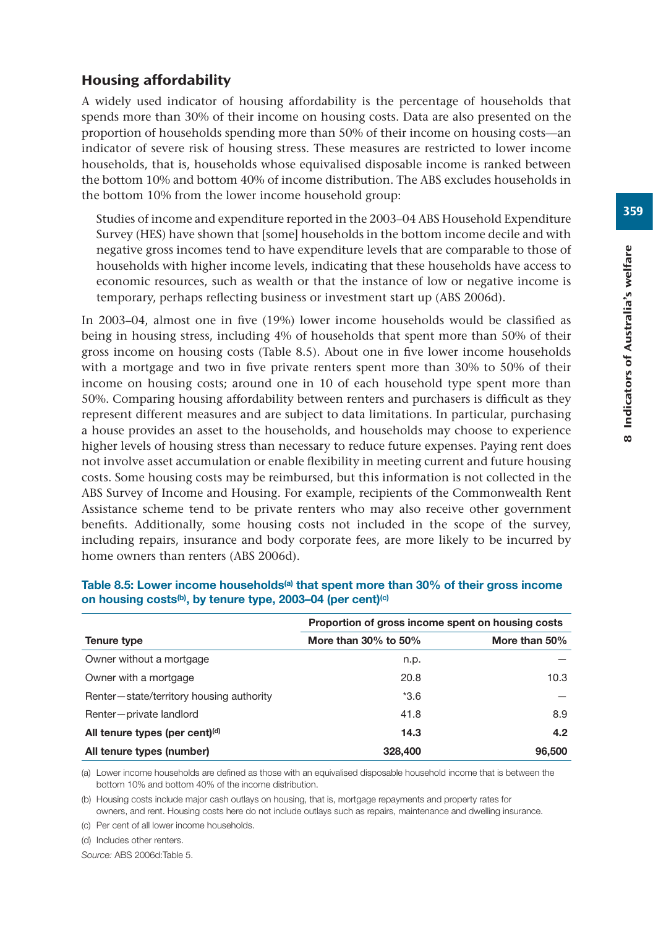# Housing affordability

A widely used indicator of housing affordability is the percentage of households that spends more than 30% of their income on housing costs. Data are also presented on the proportion of households spending more than 50% of their income on housing costs—an indicator of severe risk of housing stress. These measures are restricted to lower income households, that is, households whose equivalised disposable income is ranked between the bottom 10% and bottom 40% of income distribution. The ABS excludes households in the bottom 10% from the lower income household group:

Studies of income and expenditure reported in the 2003–04 ABS Household Expenditure Survey (HES) have shown that [some] households in the bottom income decile and with negative gross incomes tend to have expenditure levels that are comparable to those of households with higher income levels, indicating that these households have access to economic resources, such as wealth or that the instance of low or negative income is temporary, perhaps reflecting business or investment start up (ABS 2006d).

In 2003–04, almost one in five (19%) lower income households would be classified as being in housing stress, including 4% of households that spent more than 50% of their gross income on housing costs (Table 8.5). About one in five lower income households with a mortgage and two in five private renters spent more than 30% to 50% of their income on housing costs; around one in 10 of each household type spent more than 50%. Comparing housing affordability between renters and purchasers is difficult as they represent different measures and are subject to data limitations. In particular, purchasing a house provides an asset to the households, and households may choose to experience higher levels of housing stress than necessary to reduce future expenses. Paying rent does not involve asset accumulation or enable flexibility in meeting current and future housing costs. Some housing costs may be reimbursed, but this information is not collected in the ABS Survey of Income and Housing. For example, recipients of the Commonwealth Rent Assistance scheme tend to be private renters who may also receive other government benefits. Additionally, some housing costs not included in the scope of the survey, including repairs, insurance and body corporate fees, are more likely to be incurred by home owners than renters (ABS 2006d).

|                                            | Proportion of gross income spent on housing costs |               |  |  |  |
|--------------------------------------------|---------------------------------------------------|---------------|--|--|--|
| Tenure type                                | More than $30\%$ to $50\%$                        | More than 50% |  |  |  |
| Owner without a mortgage                   | n.p.                                              |               |  |  |  |
| Owner with a mortgage                      | 20.8                                              | 10.3          |  |  |  |
| Renter-state/territory housing authority   | $*3.6$                                            |               |  |  |  |
| Renter-private landlord                    | 41.8                                              | 8.9           |  |  |  |
| All tenure types (per cent) <sup>(d)</sup> | 14.3                                              | 4.2           |  |  |  |
| All tenure types (number)                  | 328,400                                           | 96,500        |  |  |  |

## Table 8.5: Lower income households<sup>(a)</sup> that spent more than 30% of their gross income **on housing costs(b), by tenure type, 2003–04 (per cent)(c)**

(a) Lower income households are defined as those with an equivalised disposable household income that is between the bottom 10% and bottom 40% of the income distribution.

(b) Housing costs include major cash outlays on housing, that is, mortgage repayments and property rates for owners, and rent. Housing costs here do not include outlays such as repairs, maintenance and dwelling insurance.

(c) Per cent of all lower income households.

(d) Includes other renters.

*Source:* ABS 2006d:Table 5.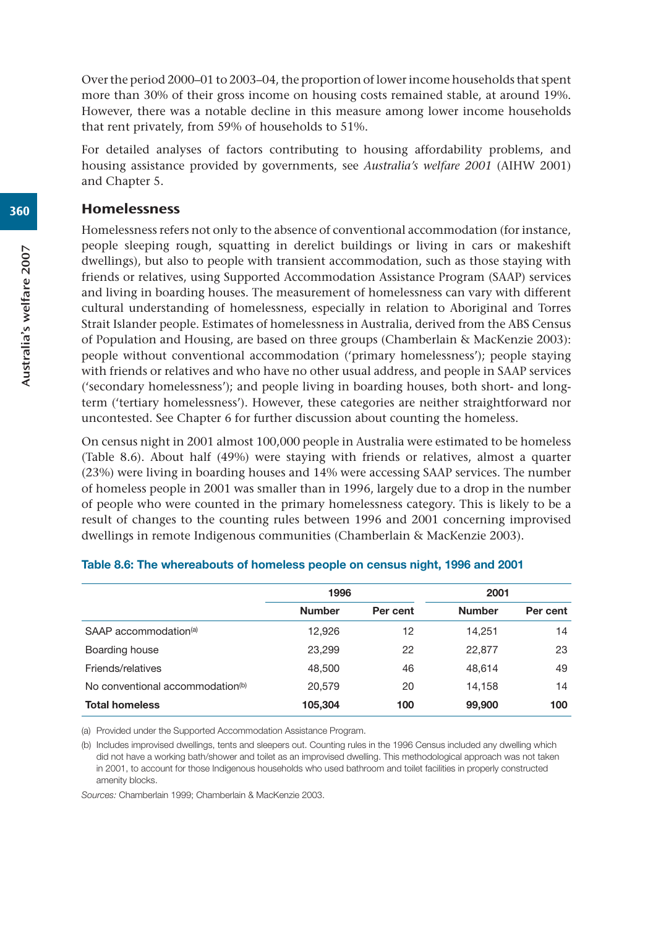Over the period 2000–01 to 2003–04, the proportion of lower income households that spent more than 30% of their gross income on housing costs remained stable, at around 19%. However, there was a notable decline in this measure among lower income households that rent privately, from 59% of households to 51%.

For detailed analyses of factors contributing to housing affordability problems, and housing assistance provided by governments, see *Australia's welfare 2001* (AIHW 2001) and Chapter 5.

## Homelessness

Homelessness refers not only to the absence of conventional accommodation (for instance, people sleeping rough, squatting in derelict buildings or living in cars or makeshift dwellings), but also to people with transient accommodation, such as those staying with friends or relatives, using Supported Accommodation Assistance Program (SAAP) services and living in boarding houses. The measurement of homelessness can vary with different cultural understanding of homelessness, especially in relation to Aboriginal and Torres Strait Islander people. Estimates of homelessness in Australia, derived from the ABS Census of Population and Housing, are based on three groups (Chamberlain & MacKenzie 2003): people without conventional accommodation ('primary homelessness'); people staying with friends or relatives and who have no other usual address, and people in SAAP services ('secondary homelessness'); and people living in boarding houses, both short- and longterm ('tertiary homelessness'). However, these categories are neither straightforward nor uncontested. See Chapter 6 for further discussion about counting the homeless.

On census night in 2001 almost 100,000 people in Australia were estimated to be homeless (Table 8.6). About half (49%) were staying with friends or relatives, almost a quarter (23%) were living in boarding houses and 14% were accessing SAAP services. The number of homeless people in 2001 was smaller than in 1996, largely due to a drop in the number of people who were counted in the primary homelessness category. This is likely to be a result of changes to the counting rules between 1996 and 2001 concerning improvised dwellings in remote Indigenous communities (Chamberlain & MacKenzie 2003).

|                                              | 1996          |          | 2001          |          |
|----------------------------------------------|---------------|----------|---------------|----------|
|                                              | <b>Number</b> | Per cent | <b>Number</b> | Per cent |
| SAAP accommodation <sup>(a)</sup>            | 12.926        | 12       | 14.251        | 14       |
| Boarding house                               | 23,299        | 22       | 22,877        | 23       |
| Friends/relatives                            | 48,500        | 46       | 48.614        | 49       |
| No conventional accommodation <sup>(b)</sup> | 20,579        | 20       | 14.158        | 14       |
| <b>Total homeless</b>                        | 105,304       | 100      | 99,900        | 100      |

#### **Table 8.6: The whereabouts of homeless people on census night, 1996 and 2001**

(a) Provided under the Supported Accommodation Assistance Program.

(b) Includes improvised dwellings, tents and sleepers out. Counting rules in the 1996 Census included any dwelling which did not have a working bath/shower and toilet as an improvised dwelling. This methodological approach was not taken in 2001, to account for those Indigenous households who used bathroom and toilet facilities in properly constructed amenity blocks.

*Sources:* Chamberlain 1999; Chamberlain & MacKenzie 2003.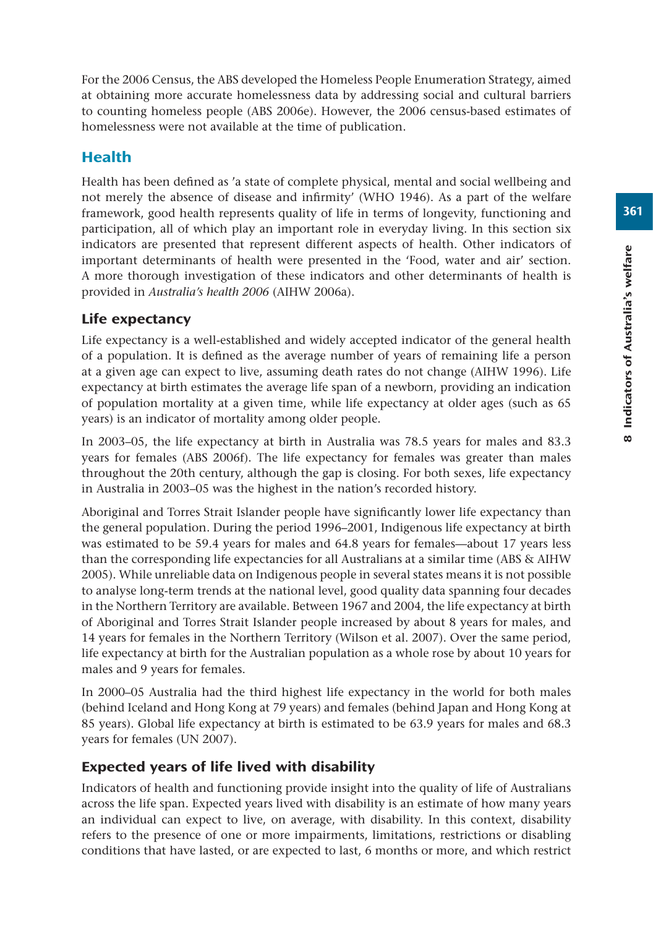For the 2006 Census, the ABS developed the Homeless People Enumeration Strategy, aimed at obtaining more accurate homelessness data by addressing social and cultural barriers to counting homeless people (ABS 2006e). However, the 2006 census-based estimates of homelessness were not available at the time of publication.

# Health

Health has been defined as 'a state of complete physical, mental and social wellbeing and not merely the absence of disease and infirmity' (WHO 1946). As a part of the welfare framework, good health represents quality of life in terms of longevity, functioning and participation, all of which play an important role in everyday living. In this section six indicators are presented that represent different aspects of health. Other indicators of important determinants of health were presented in the 'Food, water and air' section. A more thorough investigation of these indicators and other determinants of health is provided in *Australia's health 2006* (AIHW 2006a).

# Life expectancy

Life expectancy is a well-established and widely accepted indicator of the general health of a population. It is defined as the average number of years of remaining life a person at a given age can expect to live, assuming death rates do not change (AIHW 1996). Life expectancy at birth estimates the average life span of a newborn, providing an indication of population mortality at a given time, while life expectancy at older ages (such as 65 years) is an indicator of mortality among older people.

In 2003–05, the life expectancy at birth in Australia was 78.5 years for males and 83.3 years for females (ABS 2006f). The life expectancy for females was greater than males throughout the 20th century, although the gap is closing. For both sexes, life expectancy in Australia in 2003–05 was the highest in the nation's recorded history.

Aboriginal and Torres Strait Islander people have significantly lower life expectancy than the general population. During the period 1996–2001, Indigenous life expectancy at birth was estimated to be 59.4 years for males and 64.8 years for females—about 17 years less than the corresponding life expectancies for all Australians at a similar time (ABS & AIHW 2005). While unreliable data on Indigenous people in several states means it is not possible to analyse long-term trends at the national level, good quality data spanning four decades in the Northern Territory are available. Between 1967 and 2004, the life expectancy at birth of Aboriginal and Torres Strait Islander people increased by about 8 years for males, and 14 years for females in the Northern Territory (Wilson et al. 2007). Over the same period, life expectancy at birth for the Australian population as a whole rose by about 10 years for males and 9 years for females.

In 2000–05 Australia had the third highest life expectancy in the world for both males (behind Iceland and Hong Kong at 79 years) and females (behind Japan and Hong Kong at 85 years). Global life expectancy at birth is estimated to be 63.9 years for males and 68.3 years for females (UN 2007).

# Expected years of life lived with disability

Indicators of health and functioning provide insight into the quality of life of Australians across the life span. Expected years lived with disability is an estimate of how many years an individual can expect to live, on average, with disability. In this context, disability refers to the presence of one or more impairments, limitations, restrictions or disabling conditions that have lasted, or are expected to last, 6 months or more, and which restrict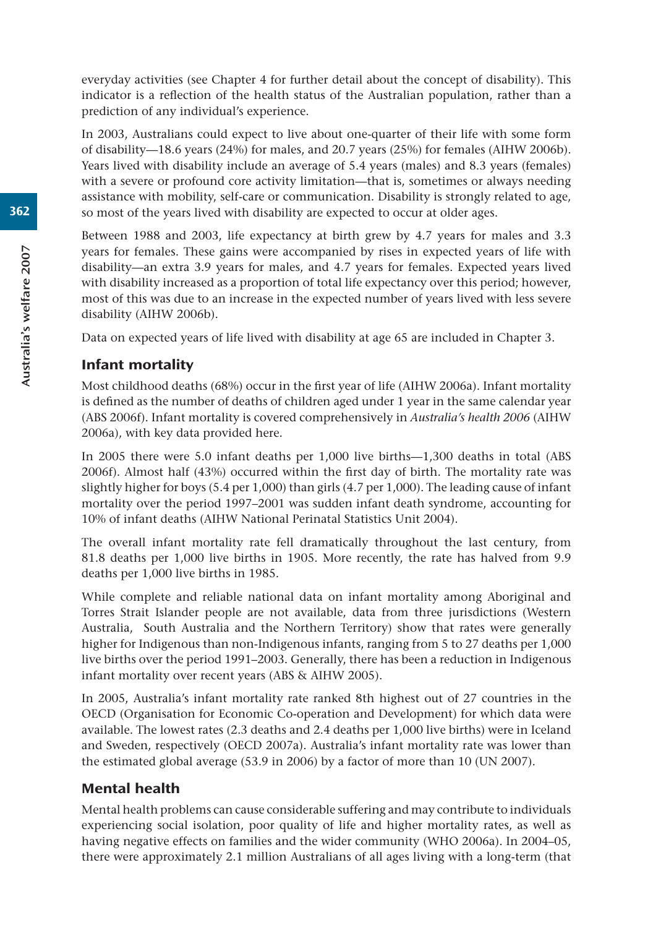everyday activities (see Chapter 4 for further detail about the concept of disability). This indicator is a reflection of the health status of the Australian population, rather than a prediction of any individual's experience.

In 2003, Australians could expect to live about one-quarter of their life with some form of disability—18.6 years (24%) for males, and 20.7 years (25%) for females (AIHW 2006b). Years lived with disability include an average of 5.4 years (males) and 8.3 years (females) with a severe or profound core activity limitation—that is, sometimes or always needing assistance with mobility, self-care or communication. Disability is strongly related to age, so most of the years lived with disability are expected to occur at older ages.

Between 1988 and 2003, life expectancy at birth grew by 4.7 years for males and 3.3 years for females. These gains were accompanied by rises in expected years of life with disability—an extra 3.9 years for males, and 4.7 years for females. Expected years lived with disability increased as a proportion of total life expectancy over this period; however, most of this was due to an increase in the expected number of years lived with less severe disability (AIHW 2006b).

Data on expected years of life lived with disability at age 65 are included in Chapter 3.

# Infant mortality

Most childhood deaths (68%) occur in the first year of life (AIHW 2006a). Infant mortality is defined as the number of deaths of children aged under 1 year in the same calendar year (ABS 2006f). Infant mortality is covered comprehensively in *Australia's health 2006* (AIHW 2006a), with key data provided here.

In 2005 there were 5.0 infant deaths per 1,000 live births—1,300 deaths in total (ABS 2006f). Almost half (43%) occurred within the first day of birth. The mortality rate was slightly higher for boys (5.4 per 1,000) than girls (4.7 per 1,000). The leading cause of infant mortality over the period 1997–2001 was sudden infant death syndrome, accounting for 10% of infant deaths (AIHW National Perinatal Statistics Unit 2004).

The overall infant mortality rate fell dramatically throughout the last century, from 81.8 deaths per 1,000 live births in 1905. More recently, the rate has halved from 9.9 deaths per 1,000 live births in 1985.

While complete and reliable national data on infant mortality among Aboriginal and Torres Strait Islander people are not available, data from three jurisdictions (Western Australia, South Australia and the Northern Territory) show that rates were generally higher for Indigenous than non-Indigenous infants, ranging from 5 to 27 deaths per 1,000 live births over the period 1991–2003. Generally, there has been a reduction in Indigenous infant mortality over recent years (ABS & AIHW 2005).

In 2005, Australia's infant mortality rate ranked 8th highest out of 27 countries in the OECD (Organisation for Economic Co-operation and Development) for which data were available. The lowest rates (2.3 deaths and 2.4 deaths per 1,000 live births) were in Iceland and Sweden, respectively (OECD 2007a). Australia's infant mortality rate was lower than the estimated global average (53.9 in 2006) by a factor of more than 10 (UN 2007).

# Mental health

Mental health problems can cause considerable suffering and may contribute to individuals experiencing social isolation, poor quality of life and higher mortality rates, as well as having negative effects on families and the wider community (WHO 2006a). In 2004–05, there were approximately 2.1 million Australians of all ages living with a long-term (that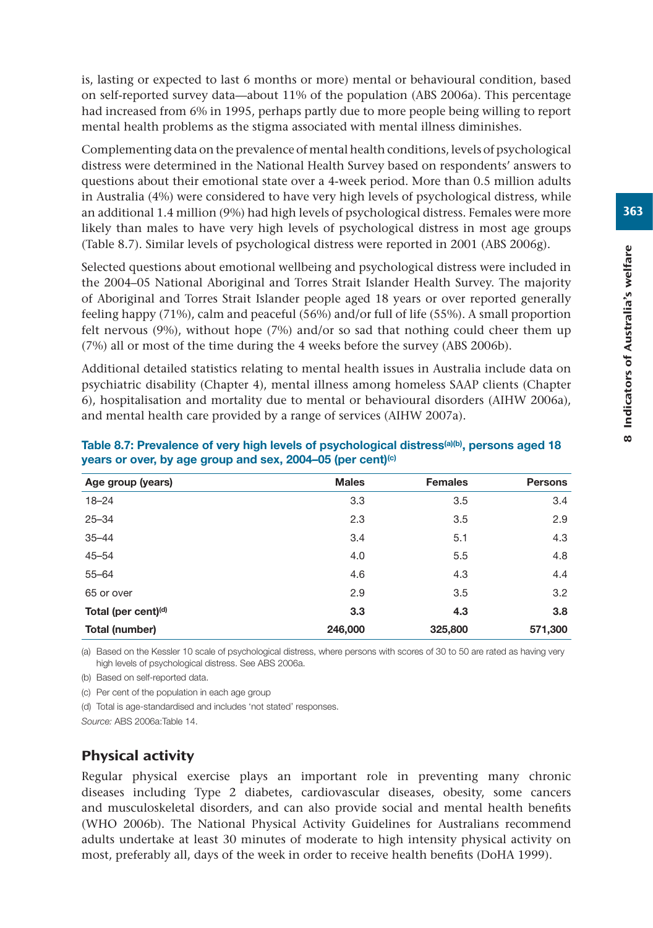is, lasting or expected to last 6 months or more) mental or behavioural condition, based on self-reported survey data—about 11% of the population (ABS 2006a). This percentage had increased from 6% in 1995, perhaps partly due to more people being willing to report mental health problems as the stigma associated with mental illness diminishes.

Complementing data on the prevalence of mental health conditions, levels of psychological distress were determined in the National Health Survey based on respondents' answers to questions about their emotional state over a 4-week period. More than 0.5 million adults in Australia (4%) were considered to have very high levels of psychological distress, while an additional 1.4 million (9%) had high levels of psychological distress. Females were more likely than males to have very high levels of psychological distress in most age groups (Table 8.7). Similar levels of psychological distress were reported in 2001 (ABS 2006g).

Selected questions about emotional wellbeing and psychological distress were included in the 2004–05 National Aboriginal and Torres Strait Islander Health Survey. The majority of Aboriginal and Torres Strait Islander people aged 18 years or over reported generally feeling happy (71%), calm and peaceful (56%) and/or full of life (55%). A small proportion felt nervous (9%), without hope (7%) and/or so sad that nothing could cheer them up (7%) all or most of the time during the 4 weeks before the survey (ABS 2006b).

Additional detailed statistics relating to mental health issues in Australia include data on psychiatric disability (Chapter 4), mental illness among homeless SAAP clients (Chapter 6), hospitalisation and mortality due to mental or behavioural disorders (AIHW 2006a), and mental health care provided by a range of services (AIHW 2007a).

| Age group (years)               | <b>Males</b> | <b>Females</b> | <b>Persons</b> |
|---------------------------------|--------------|----------------|----------------|
| $18 - 24$                       | 3.3          | 3.5            | 3.4            |
| $25 - 34$                       | 2.3          | 3.5            | 2.9            |
| $35 - 44$                       | 3.4          | 5.1            | 4.3            |
| $45 - 54$                       | 4.0          | 5.5            | 4.8            |
| $55 - 64$                       | 4.6          | 4.3            | 4.4            |
| 65 or over                      | 2.9          | 3.5            | 3.2            |
| Total (per cent) <sup>(d)</sup> | 3.3          | 4.3            | 3.8            |
| Total (number)                  | 246,000      | 325,800        | 571,300        |

Table 8.7: Prevalence of very high levels of psychological distress<sup>(a)(b)</sup>, persons aged 18 **years or over, by age group and sex, 2004–05 (per cent)(c)**

(a) Based on the Kessler 10 scale of psychological distress, where persons with scores of 30 to 50 are rated as having very high levels of psychological distress. See ABS 2006a.

(b) Based on self-reported data.

(c) Per cent of the population in each age group

(d) Total is age-standardised and includes 'not stated' responses.

*Source:* ABS 2006a:Table 14.

# Physical activity

Regular physical exercise plays an important role in preventing many chronic diseases including Type 2 diabetes, cardiovascular diseases, obesity, some cancers and musculoskeletal disorders, and can also provide social and mental health benefits (WHO 2006b). The National Physical Activity Guidelines for Australians recommend adults undertake at least 30 minutes of moderate to high intensity physical activity on most, preferably all, days of the week in order to receive health benefits (DoHA 1999).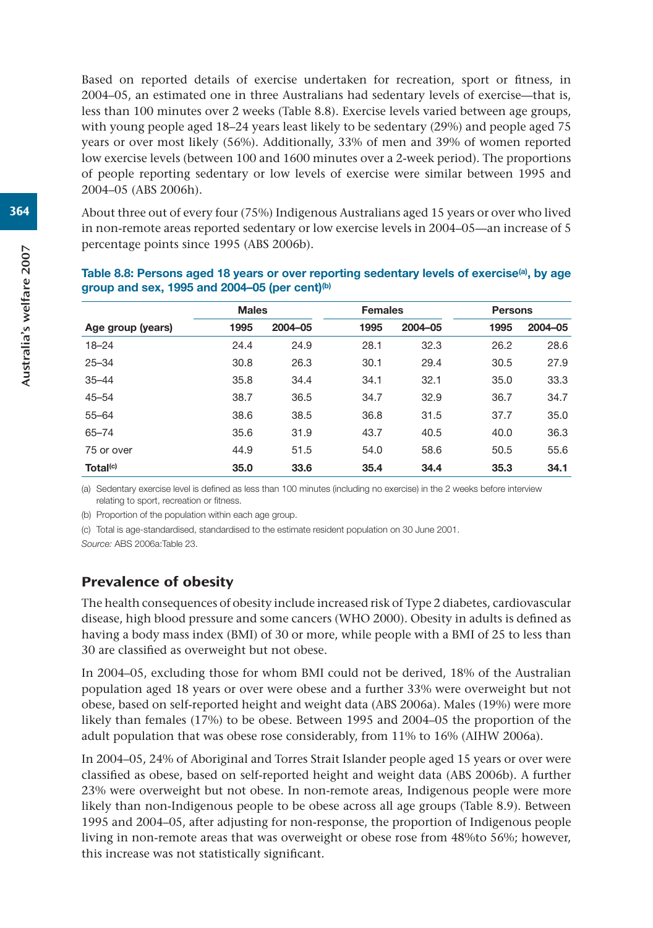Based on reported details of exercise undertaken for recreation, sport or fitness, in 2004–05, an estimated one in three Australians had sedentary levels of exercise—that is, less than 100 minutes over 2 weeks (Table 8.8). Exercise levels varied between age groups, with young people aged 18–24 years least likely to be sedentary (29%) and people aged 75 years or over most likely (56%). Additionally, 33% of men and 39% of women reported low exercise levels (between 100 and 1600 minutes over a 2-week period). The proportions of people reporting sedentary or low levels of exercise were similar between 1995 and 2004–05 (ABS 2006h).

About three out of every four (75%) Indigenous Australians aged 15 years or over who lived in non-remote areas reported sedentary or low exercise levels in 2004–05—an increase of 5 percentage points since 1995 (ABS 2006b).

|                      | <b>Males</b> |         | <b>Females</b> |         | <b>Persons</b> |         |
|----------------------|--------------|---------|----------------|---------|----------------|---------|
| Age group (years)    | 1995         | 2004-05 | 1995           | 2004-05 | 1995           | 2004-05 |
| $18 - 24$            | 24.4         | 24.9    | 28.1           | 32.3    | 26.2           | 28.6    |
| $25 - 34$            | 30.8         | 26.3    | 30.1           | 29.4    | 30.5           | 27.9    |
| $35 - 44$            | 35.8         | 34.4    | 34.1           | 32.1    | 35.0           | 33.3    |
| $45 - 54$            | 38.7         | 36.5    | 34.7           | 32.9    | 36.7           | 34.7    |
| $55 - 64$            | 38.6         | 38.5    | 36.8           | 31.5    | 37.7           | 35.0    |
| $65 - 74$            | 35.6         | 31.9    | 43.7           | 40.5    | 40.0           | 36.3    |
| 75 or over           | 44.9         | 51.5    | 54.0           | 58.6    | 50.5           | 55.6    |
| Total <sup>(c)</sup> | 35.0         | 33.6    | 35.4           | 34.4    | 35.3           | 34.1    |

#### **Table 8.8: Persons aged 18 years or over reporting sedentary levels of exercise(a), by age group and sex, 1995 and 2004–05 (per cent)(b)**

(a) Sedentary exercise level is defined as less than 100 minutes (including no exercise) in the 2 weeks before interview relating to sport, recreation or fitness.

(b) Proportion of the population within each age group.

(c) Total is age-standardised, standardised to the estimate resident population on 30 June 2001.

*Source:* ABS 2006a:Table 23.

# Prevalence of obesity

The health consequences of obesity include increased risk of Type 2 diabetes, cardiovascular disease, high blood pressure and some cancers (WHO 2000). Obesity in adults is defined as having a body mass index (BMI) of 30 or more, while people with a BMI of 25 to less than 30 are classified as overweight but not obese.

In 2004–05, excluding those for whom BMI could not be derived, 18% of the Australian population aged 18 years or over were obese and a further 33% were overweight but not obese, based on self-reported height and weight data (ABS 2006a). Males (19%) were more likely than females (17%) to be obese. Between 1995 and 2004–05 the proportion of the adult population that was obese rose considerably, from 11% to 16% (AIHW 2006a).

In 2004–05, 24% of Aboriginal and Torres Strait Islander people aged 15 years or over were classified as obese, based on self-reported height and weight data (ABS 2006b). A further 23% were overweight but not obese. In non-remote areas, Indigenous people were more likely than non-Indigenous people to be obese across all age groups (Table 8.9). Between 1995 and 2004–05, after adjusting for non-response, the proportion of Indigenous people living in non-remote areas that was overweight or obese rose from 48%to 56%; however, this increase was not statistically significant.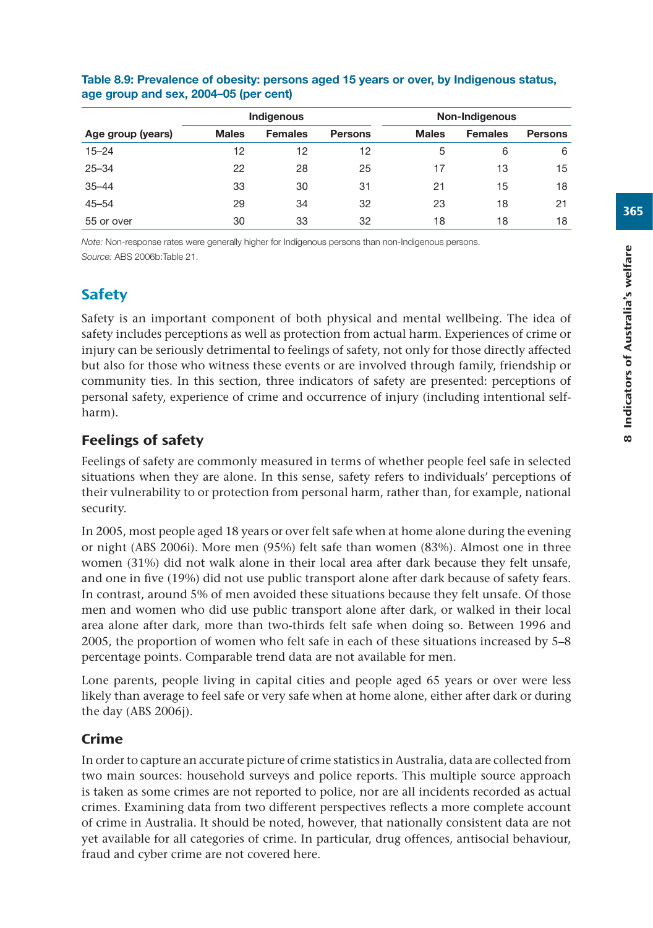|                   |              | Indigenous     |                | Non-Indigenous |                |                |
|-------------------|--------------|----------------|----------------|----------------|----------------|----------------|
| Age group (years) | <b>Males</b> | <b>Females</b> | <b>Persons</b> | <b>Males</b>   | <b>Females</b> | <b>Persons</b> |
| $15 - 24$         | 12           | 12             | 12             | 5              | 6              | 6              |
| $25 - 34$         | 22           | 28             | 25             | 17             | 13             | 15             |
| $35 - 44$         | 33           | 30             | 31             | 21             | 15             | 18             |
| $45 - 54$         | 29           | 34             | 32             | 23             | 18             | 21             |
| 55 or over        | 30           | 33             | 32             | 18             | 18             | 18             |

## **Table 8.9: Prevalence of obesity: persons aged 15 years or over, by Indigenous status, age group and sex, 2004–05 (per cent)**

*Note:* Non-response rates were generally higher for Indigenous persons than non-Indigenous persons. *Source:* ABS 2006b:Table 21.

# **Safety**

Safety is an important component of both physical and mental wellbeing. The idea of safety includes perceptions as well as protection from actual harm. Experiences of crime or injury can be seriously detrimental to feelings of safety, not only for those directly affected but also for those who witness these events or are involved through family, friendship or community ties. In this section, three indicators of safety are presented: perceptions of personal safety, experience of crime and occurrence of injury (including intentional selfharm).

# Feelings of safety

Feelings of safety are commonly measured in terms of whether people feel safe in selected situations when they are alone. In this sense, safety refers to individuals' perceptions of their vulnerability to or protection from personal harm, rather than, for example, national security.

In 2005, most people aged 18 years or over felt safe when at home alone during the evening or night (ABS 2006i). More men (95%) felt safe than women (83%). Almost one in three women (31%) did not walk alone in their local area after dark because they felt unsafe, and one in five (19%) did not use public transport alone after dark because of safety fears. In contrast, around 5% of men avoided these situations because they felt unsafe. Of those men and women who did use public transport alone after dark, or walked in their local area alone after dark, more than two-thirds felt safe when doing so. Between 1996 and 2005, the proportion of women who felt safe in each of these situations increased by 5–8 percentage points. Comparable trend data are not available for men.

Lone parents, people living in capital cities and people aged 65 years or over were less likely than average to feel safe or very safe when at home alone, either after dark or during the day (ABS 2006j).

# Crime

In order to capture an accurate picture of crime statistics in Australia, data are collected from two main sources: household surveys and police reports. This multiple source approach is taken as some crimes are not reported to police, nor are all incidents recorded as actual crimes. Examining data from two different perspectives reflects a more complete account of crime in Australia. It should be noted, however, that nationally consistent data are not yet available for all categories of crime. In particular, drug offences, antisocial behaviour, fraud and cyber crime are not covered here.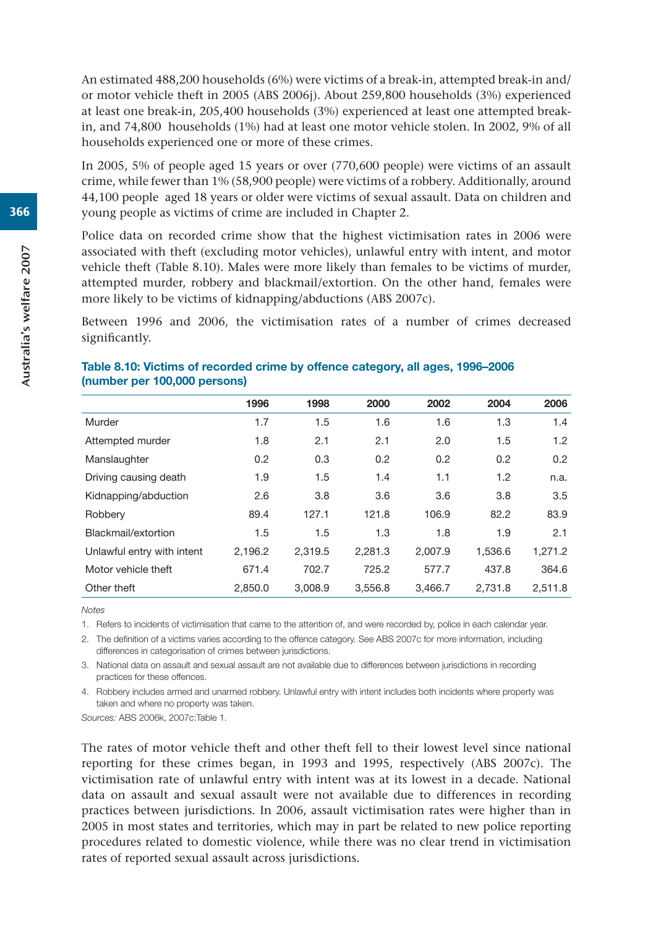An estimated 488,200 households (6%) were victims of a break-in, attempted break-in and/ or motor vehicle theft in 2005 (ABS 2006j). About 259,800 households (3%) experienced at least one break-in, 205,400 households (3%) experienced at least one attempted breakin, and 74,800 households (1%) had at least one motor vehicle stolen. In 2002, 9% of all households experienced one or more of these crimes.

In 2005, 5% of people aged 15 years or over (770,600 people) were victims of an assault crime, while fewer than 1% (58,900 people) were victims of a robbery. Additionally, around 44,100 people aged 18 years or older were victims of sexual assault. Data on children and young people as victims of crime are included in Chapter 2.

Police data on recorded crime show that the highest victimisation rates in 2006 were associated with theft (excluding motor vehicles), unlawful entry with intent, and motor vehicle theft (Table 8.10). Males were more likely than females to be victims of murder, attempted murder, robbery and blackmail/extortion. On the other hand, females were more likely to be victims of kidnapping/abductions (ABS 2007c).

Between 1996 and 2006, the victimisation rates of a number of crimes decreased significantly.

|                            | 1996    | 1998    | 2000    | 2002    | 2004    | 2006    |
|----------------------------|---------|---------|---------|---------|---------|---------|
| Murder                     | 1.7     | 1.5     | 1.6     | 1.6     | 1.3     | 1.4     |
| Attempted murder           | 1.8     | 2.1     | 2.1     | 2.0     | 1.5     | 1.2     |
| Manslaughter               | 0.2     | 0.3     | 0.2     | 0.2     | 0.2     | 0.2     |
| Driving causing death      | 1.9     | 1.5     | 1.4     | 1.1     | 1.2     | n.a.    |
| Kidnapping/abduction       | 2.6     | 3.8     | 3.6     | 3.6     | 3.8     | 3.5     |
| Robbery                    | 89.4    | 127.1   | 121.8   | 106.9   | 82.2    | 83.9    |
| Blackmail/extortion        | 1.5     | 1.5     | 1.3     | 1.8     | 1.9     | 2.1     |
| Unlawful entry with intent | 2,196.2 | 2,319.5 | 2,281.3 | 2.007.9 | 1,536.6 | 1,271.2 |
| Motor vehicle theft        | 671.4   | 702.7   | 725.2   | 577.7   | 437.8   | 364.6   |
| Other theft                | 2.850.0 | 3.008.9 | 3.556.8 | 3.466.7 | 2.731.8 | 2.511.8 |

#### **Table 8.10: Victims of recorded crime by offence category, all ages, 1996–2006 (number per 100,000 persons)**

*Notes*

1. Refers to incidents of victimisation that came to the attention of, and were recorded by, police in each calendar year.

2. The definition of a victims varies according to the offence category. See ABS 2007c for more information, including differences in categorisation of crimes between jurisdictions.

3. National data on assault and sexual assault are not available due to differences between jurisdictions in recording practices for these offences.

4. Robbery includes armed and unarmed robbery. Unlawful entry with intent includes both incidents where property was taken and where no property was taken.

*Sources:* ABS 2006k, 2007c:Table 1.

The rates of motor vehicle theft and other theft fell to their lowest level since national reporting for these crimes began, in 1993 and 1995, respectively (ABS 2007c). The victimisation rate of unlawful entry with intent was at its lowest in a decade. National data on assault and sexual assault were not available due to differences in recording practices between jurisdictions. In 2006, assault victimisation rates were higher than in 2005 in most states and territories, which may in part be related to new police reporting procedures related to domestic violence, while there was no clear trend in victimisation rates of reported sexual assault across jurisdictions.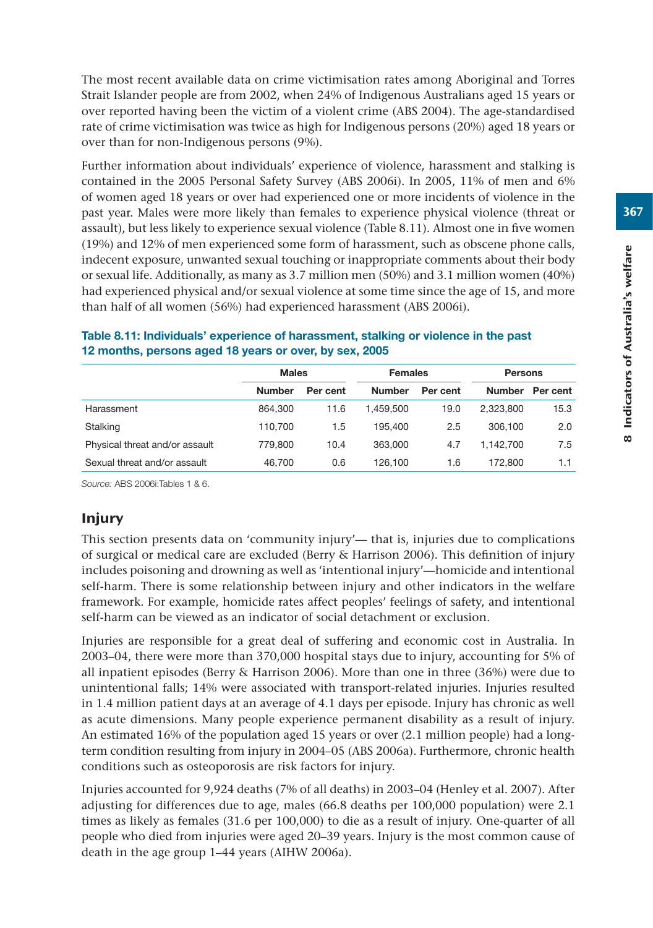The most recent available data on crime victimisation rates among Aboriginal and Torres Strait Islander people are from 2002, when 24% of Indigenous Australians aged 15 years or over reported having been the victim of a violent crime (ABS 2004). The age-standardised rate of crime victimisation was twice as high for Indigenous persons (20%) aged 18 years or over than for non-Indigenous persons (9%).

Further information about individuals' experience of violence, harassment and stalking is contained in the 2005 Personal Safety Survey (ABS 2006i). In 2005, 11% of men and 6% of women aged 18 years or over had experienced one or more incidents of violence in the past year. Males were more likely than females to experience physical violence (threat or assault), but less likely to experience sexual violence (Table 8.11). Almost one in five women (19%) and 12% of men experienced some form of harassment, such as obscene phone calls, indecent exposure, unwanted sexual touching or inappropriate comments about their body or sexual life. Additionally, as many as 3.7 million men (50%) and 3.1 million women (40%) had experienced physical and/or sexual violence at some time since the age of 15, and more than half of all women (56%) had experienced harassment (ABS 2006i).

|                                | <b>Males</b>  |          | <b>Females</b> |          | <b>Persons</b> |          |  |
|--------------------------------|---------------|----------|----------------|----------|----------------|----------|--|
|                                | <b>Number</b> | Per cent | <b>Number</b>  | Per cent | <b>Number</b>  | Per cent |  |
| Harassment                     | 864.300       | 11.6     | 1.459.500      | 19.0     | 2.323.800      | 15.3     |  |
| Stalking                       | 110.700       | 1.5      | 195.400        | 2.5      | 306,100        | 2.0      |  |
| Physical threat and/or assault | 779,800       | 10.4     | 363,000        | 4.7      | 1.142.700      | 7.5      |  |
| Sexual threat and/or assault   | 46.700        | 0.6      | 126.100        | 1.6      | 172.800        | 1.1      |  |

## **Table 8.11: Individuals' experience of harassment, stalking or violence in the past 12 months, persons aged 18 years or over, by sex, 2005**

*Source:* ABS 2006i:Tables 1 & 6.

# Injury

This section presents data on 'community injury'— that is, injuries due to complications of surgical or medical care are excluded (Berry & Harrison 2006). This definition of injury includes poisoning and drowning as well as 'intentional injury'—homicide and intentional self-harm. There is some relationship between injury and other indicators in the welfare framework. For example, homicide rates affect peoples' feelings of safety, and intentional self-harm can be viewed as an indicator of social detachment or exclusion.

Injuries are responsible for a great deal of suffering and economic cost in Australia. In 2003–04, there were more than 370,000 hospital stays due to injury, accounting for 5% of all inpatient episodes (Berry & Harrison 2006). More than one in three (36%) were due to unintentional falls; 14% were associated with transport-related injuries. Injuries resulted in 1.4 million patient days at an average of 4.1 days per episode. Injury has chronic as well as acute dimensions. Many people experience permanent disability as a result of injury. An estimated 16% of the population aged 15 years or over (2.1 million people) had a longterm condition resulting from injury in 2004–05 (ABS 2006a). Furthermore, chronic health conditions such as osteoporosis are risk factors for injury.

Injuries accounted for 9,924 deaths (7% of all deaths) in 2003–04 (Henley et al. 2007). After adjusting for differences due to age, males (66.8 deaths per 100,000 population) were 2.1 times as likely as females (31.6 per 100,000) to die as a result of injury. One-quarter of all people who died from injuries were aged 20–39 years. Injury is the most common cause of death in the age group 1–44 years (AIHW 2006a).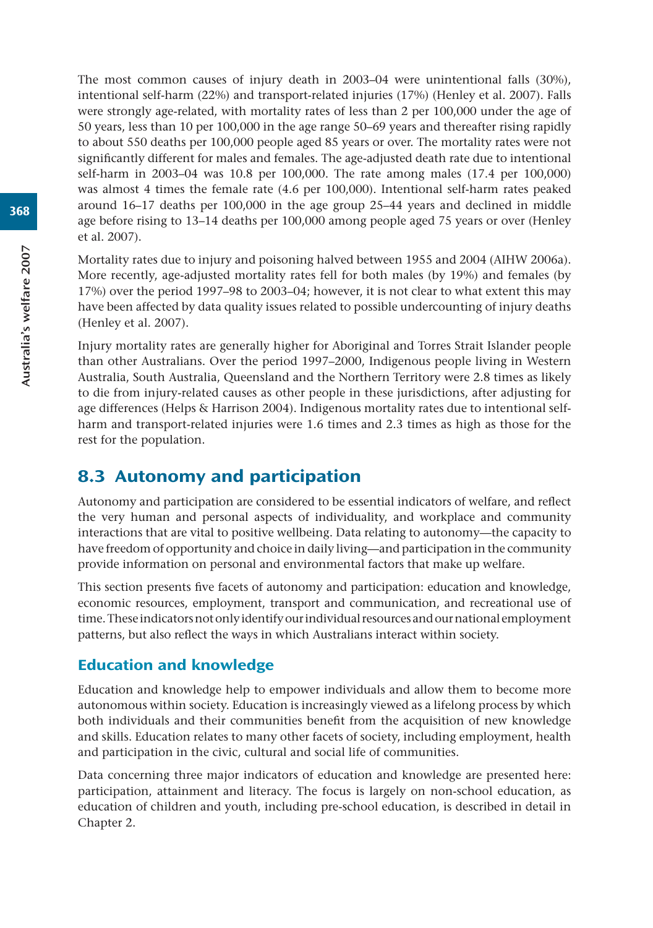The most common causes of injury death in 2003–04 were unintentional falls (30%), intentional self-harm (22%) and transport-related injuries (17%) (Henley et al. 2007). Falls were strongly age-related, with mortality rates of less than 2 per 100,000 under the age of 50 years, less than 10 per 100,000 in the age range 50–69 years and thereafter rising rapidly to about 550 deaths per 100,000 people aged 85 years or over. The mortality rates were not significantly different for males and females. The age-adjusted death rate due to intentional self-harm in 2003–04 was 10.8 per 100,000. The rate among males (17.4 per 100,000) was almost 4 times the female rate (4.6 per 100,000). Intentional self-harm rates peaked around 16–17 deaths per 100,000 in the age group 25–44 years and declined in middle age before rising to 13–14 deaths per 100,000 among people aged 75 years or over (Henley et al. 2007).

Mortality rates due to injury and poisoning halved between 1955 and 2004 (AIHW 2006a). More recently, age-adjusted mortality rates fell for both males (by 19%) and females (by 17%) over the period 1997–98 to 2003–04; however, it is not clear to what extent this may have been affected by data quality issues related to possible undercounting of injury deaths (Henley et al. 2007).

Injury mortality rates are generally higher for Aboriginal and Torres Strait Islander people than other Australians. Over the period 1997–2000, Indigenous people living in Western Australia, South Australia, Queensland and the Northern Territory were 2.8 times as likely to die from injury-related causes as other people in these jurisdictions, after adjusting for age differences (Helps & Harrison 2004). Indigenous mortality rates due to intentional selfharm and transport-related injuries were 1.6 times and 2.3 times as high as those for the rest for the population.

# 8.3 Autonomy and participation

Autonomy and participation are considered to be essential indicators of welfare, and reflect the very human and personal aspects of individuality, and workplace and community interactions that are vital to positive wellbeing. Data relating to autonomy—the capacity to have freedom of opportunity and choice in daily living—and participation in the community provide information on personal and environmental factors that make up welfare.

This section presents five facets of autonomy and participation: education and knowledge, economic resources, employment, transport and communication, and recreational use of time. These indicators not only identify our individual resources and our national employment patterns, but also reflect the ways in which Australians interact within society.

# Education and knowledge

Education and knowledge help to empower individuals and allow them to become more autonomous within society. Education is increasingly viewed as a lifelong process by which both individuals and their communities benefit from the acquisition of new knowledge and skills. Education relates to many other facets of society, including employment, health and participation in the civic, cultural and social life of communities.

Data concerning three major indicators of education and knowledge are presented here: participation, attainment and literacy. The focus is largely on non-school education, as education of children and youth, including pre-school education, is described in detail in Chapter 2.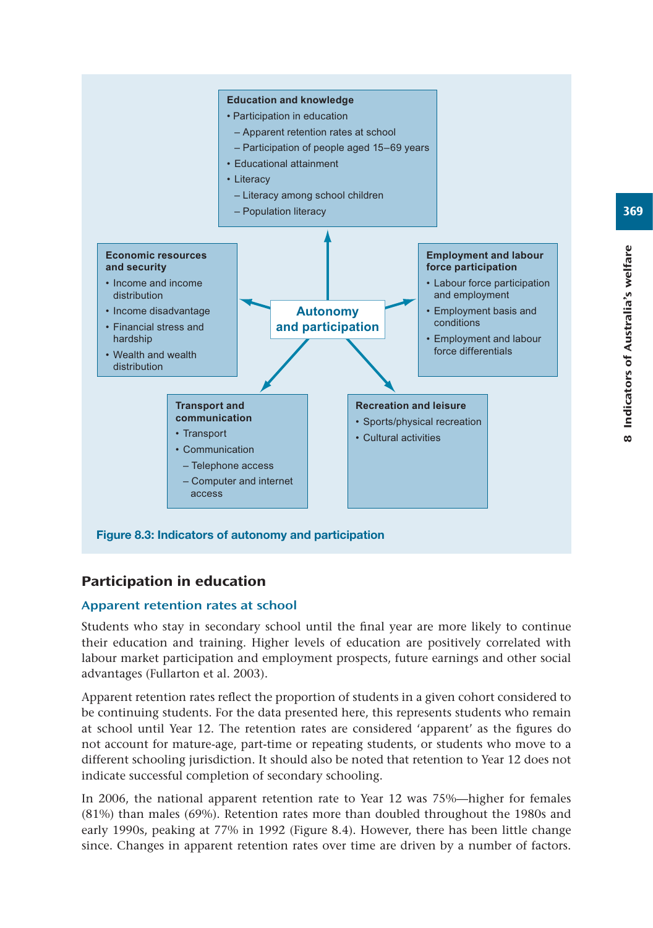

# Participation in education

## Apparent retention rates at school

Students who stay in secondary school until the final year are more likely to continue their education and training. Higher levels of education are positively correlated with labour market participation and employment prospects, future earnings and other social advantages (Fullarton et al. 2003).

Apparent retention rates reflect the proportion of students in a given cohort considered to be continuing students. For the data presented here, this represents students who remain at school until Year 12. The retention rates are considered 'apparent' as the figures do not account for mature-age, part-time or repeating students, or students who move to a different schooling jurisdiction. It should also be noted that retention to Year 12 does not indicate successful completion of secondary schooling.

In 2006, the national apparent retention rate to Year 12 was 75%—higher for females (81%) than males (69%). Retention rates more than doubled throughout the 1980s and early 1990s, peaking at 77% in 1992 (Figure 8.4). However, there has been little change since. Changes in apparent retention rates over time are driven by a number of factors.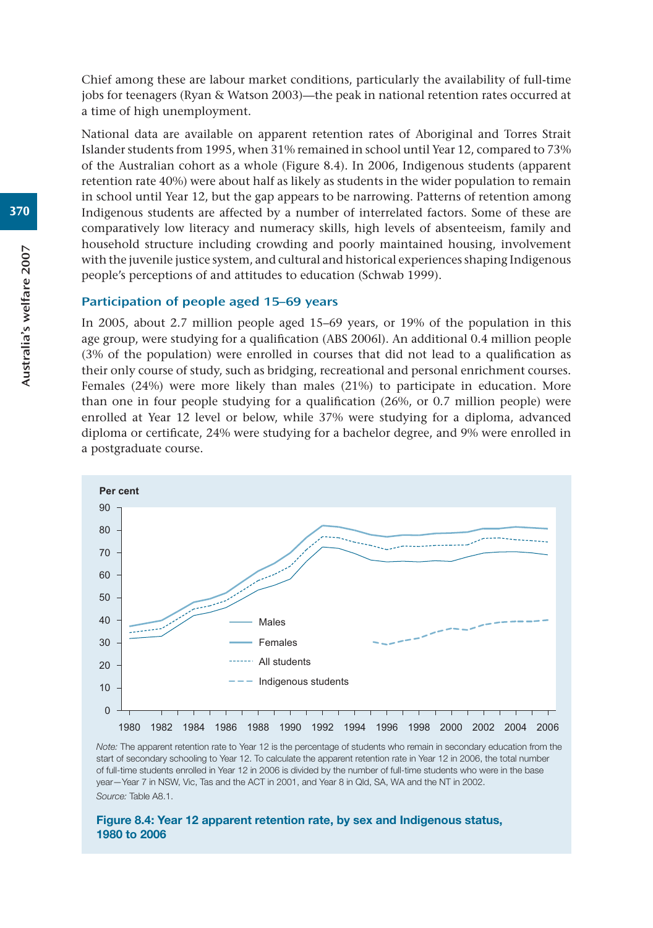Chief among these are labour market conditions, particularly the availability of full-time jobs for teenagers (Ryan & Watson 2003)—the peak in national retention rates occurred at a time of high unemployment.

National data are available on apparent retention rates of Aboriginal and Torres Strait Islander students from 1995, when 31% remained in school until Year 12, compared to 73% of the Australian cohort as a whole (Figure 8.4). In 2006, Indigenous students (apparent retention rate 40%) were about half as likely as students in the wider population to remain in school until Year 12, but the gap appears to be narrowing. Patterns of retention among Indigenous students are affected by a number of interrelated factors. Some of these are comparatively low literacy and numeracy skills, high levels of absenteeism, family and household structure including crowding and poorly maintained housing, involvement with the juvenile justice system, and cultural and historical experiences shaping Indigenous people's perceptions of and attitudes to education (Schwab 1999).

#### Participation of people aged 15–69 years

In 2005, about 2.7 million people aged 15–69 years, or 19% of the population in this age group, were studying for a qualification (ABS 2006l). An additional 0.4 million people (3% of the population) were enrolled in courses that did not lead to a qualification as their only course of study, such as bridging, recreational and personal enrichment courses. Females (24%) were more likely than males (21%) to participate in education. More than one in four people studying for a qualification (26%, or 0.7 million people) were enrolled at Year 12 level or below, while 37% were studying for a diploma, advanced diploma or certificate, 24% were studying for a bachelor degree, and 9% were enrolled in a postgraduate course.



*Note:* The apparent retention rate to Year 12 is the percentage of students who remain in secondary education from the start of secondary schooling to Year 12. To calculate the apparent retention rate in Year 12 in 2006, the total number of full-time students enrolled in Year 12 in 2006 is divided by the number of full-time students who were in the base year—Year 7 in NSW, Vic, Tas and the ACT in 2001, and Year 8 in Qld, SA, WA and the NT in 2002. *Source:* Table A8.1.

#### **Figure 8.4: Year 12 apparent retention rate, by sex and Indigenous status, 1980 to 2006**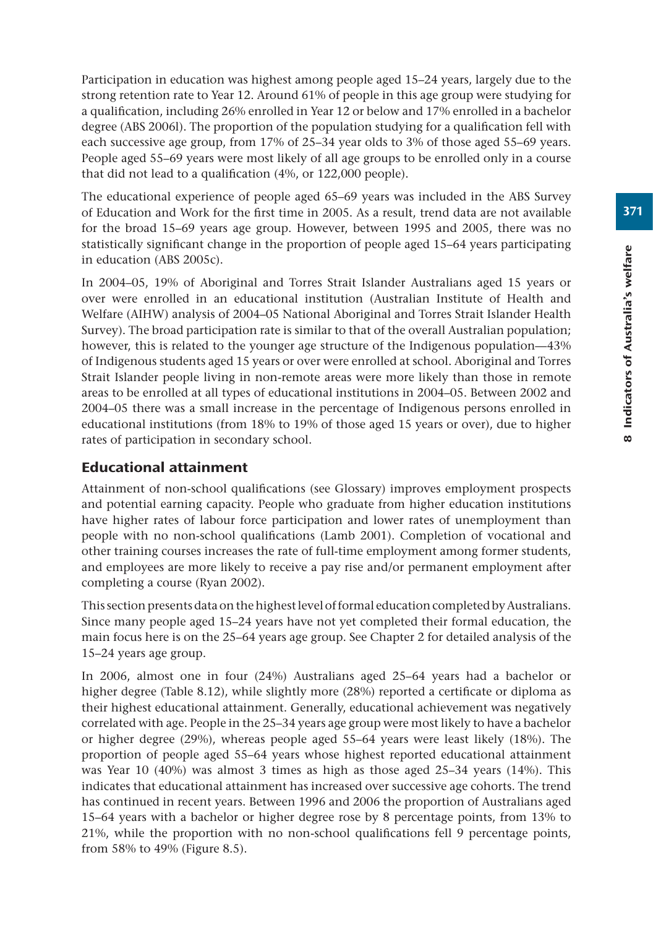Participation in education was highest among people aged 15–24 years, largely due to the strong retention rate to Year 12. Around 61% of people in this age group were studying for a qualification, including 26% enrolled in Year 12 or below and 17% enrolled in a bachelor degree (ABS 2006l). The proportion of the population studying for a qualification fell with each successive age group, from 17% of 25–34 year olds to 3% of those aged 55–69 years. People aged 55–69 years were most likely of all age groups to be enrolled only in a course that did not lead to a qualification (4%, or 122,000 people).

The educational experience of people aged 65–69 years was included in the ABS Survey of Education and Work for the first time in 2005. As a result, trend data are not available for the broad 15–69 years age group. However, between 1995 and 2005, there was no statistically significant change in the proportion of people aged 15–64 years participating in education (ABS 2005c).

In 2004–05, 19% of Aboriginal and Torres Strait Islander Australians aged 15 years or over were enrolled in an educational institution (Australian Institute of Health and Welfare (AIHW) analysis of 2004–05 National Aboriginal and Torres Strait Islander Health Survey). The broad participation rate is similar to that of the overall Australian population; however, this is related to the younger age structure of the Indigenous population—43% of Indigenous students aged 15 years or over were enrolled at school. Aboriginal and Torres Strait Islander people living in non-remote areas were more likely than those in remote areas to be enrolled at all types of educational institutions in 2004–05. Between 2002 and 2004–05 there was a small increase in the percentage of Indigenous persons enrolled in educational institutions (from 18% to 19% of those aged 15 years or over), due to higher rates of participation in secondary school.

# Educational attainment

Attainment of non-school qualifications (see Glossary) improves employment prospects and potential earning capacity. People who graduate from higher education institutions have higher rates of labour force participation and lower rates of unemployment than people with no non-school qualifications (Lamb 2001). Completion of vocational and other training courses increases the rate of full-time employment among former students, and employees are more likely to receive a pay rise and/or permanent employment after completing a course (Ryan 2002).

This section presents data on the highest level of formal education completed by Australians. Since many people aged 15–24 years have not yet completed their formal education, the main focus here is on the 25–64 years age group. See Chapter 2 for detailed analysis of the 15–24 years age group.

In 2006, almost one in four (24%) Australians aged 25–64 years had a bachelor or higher degree (Table 8.12), while slightly more (28%) reported a certificate or diploma as their highest educational attainment. Generally, educational achievement was negatively correlated with age. People in the 25–34 years age group were most likely to have a bachelor or higher degree (29%), whereas people aged 55–64 years were least likely (18%). The proportion of people aged 55–64 years whose highest reported educational attainment was Year 10 (40%) was almost 3 times as high as those aged 25–34 years (14%). This indicates that educational attainment has increased over successive age cohorts. The trend has continued in recent years. Between 1996 and 2006 the proportion of Australians aged 15–64 years with a bachelor or higher degree rose by 8 percentage points, from 13% to 21%, while the proportion with no non-school qualifications fell 9 percentage points, from 58% to 49% (Figure 8.5).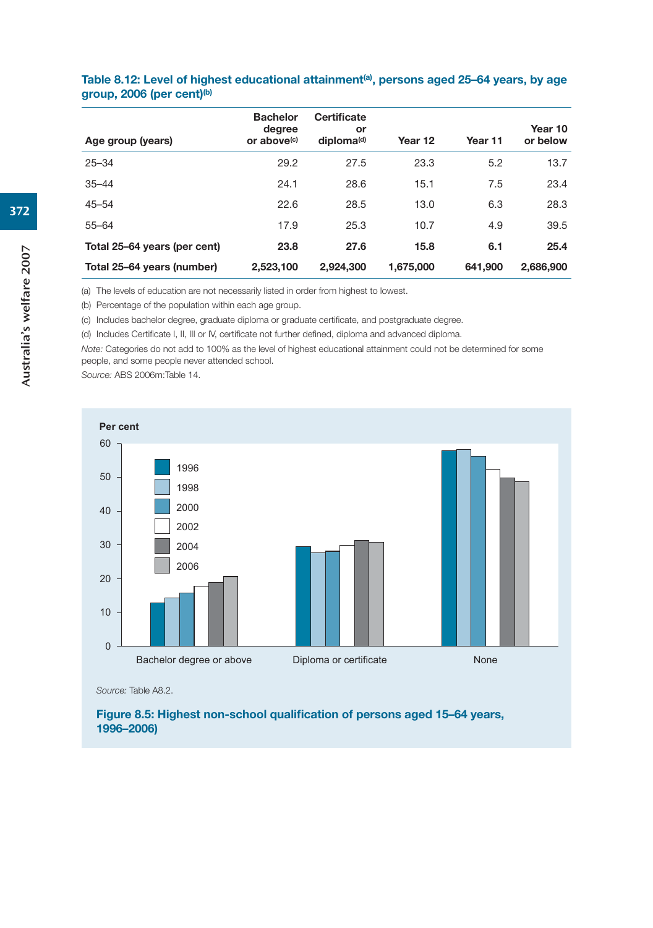| Age group (years)            | <b>Bachelor</b><br>degree<br>or above <sup>(c)</sup> | <b>Certificate</b><br>or<br>diploma <sup>(d)</sup> | Year 12   | Year 11 | Year 10<br>or below |
|------------------------------|------------------------------------------------------|----------------------------------------------------|-----------|---------|---------------------|
| $25 - 34$                    | 29.2                                                 | 27.5                                               | 23.3      | 5.2     | 13.7                |
| $35 - 44$                    | 24.1                                                 | 28.6                                               | 15.1      | 7.5     | 23.4                |
| $45 - 54$                    | 22.6                                                 | 28.5                                               | 13.0      | 6.3     | 28.3                |
| $55 - 64$                    | 17.9                                                 | 25.3                                               | 10.7      | 4.9     | 39.5                |
| Total 25-64 years (per cent) | 23.8                                                 | 27.6                                               | 15.8      | 6.1     | 25.4                |
| Total 25-64 years (number)   | 2,523,100                                            | 2.924.300                                          | 1,675,000 | 641.900 | 2,686,900           |

#### Table 8.12: Level of highest educational attainment<sup>(a)</sup>, persons aged 25–64 years, by age **group, 2006 (per cent)(b)**

(a) The levels of education are not necessarily listed in order from highest to lowest.

(b) Percentage of the population within each age group.

(c) Includes bachelor degree, graduate diploma or graduate certificate, and postgraduate degree.

(d) Includes Certificate I, II, III or IV, certificate not further defined, diploma and advanced diploma.

*Note:* Categories do not add to 100% as the level of highest educational attainment could not be determined for some people, and some people never attended school.

*Source:* ABS 2006m:Table 14.



*Source:* Table A8.2.

**Figure 8.5: Highest non-school qualification of persons aged 15–64 years, 1996–2006)**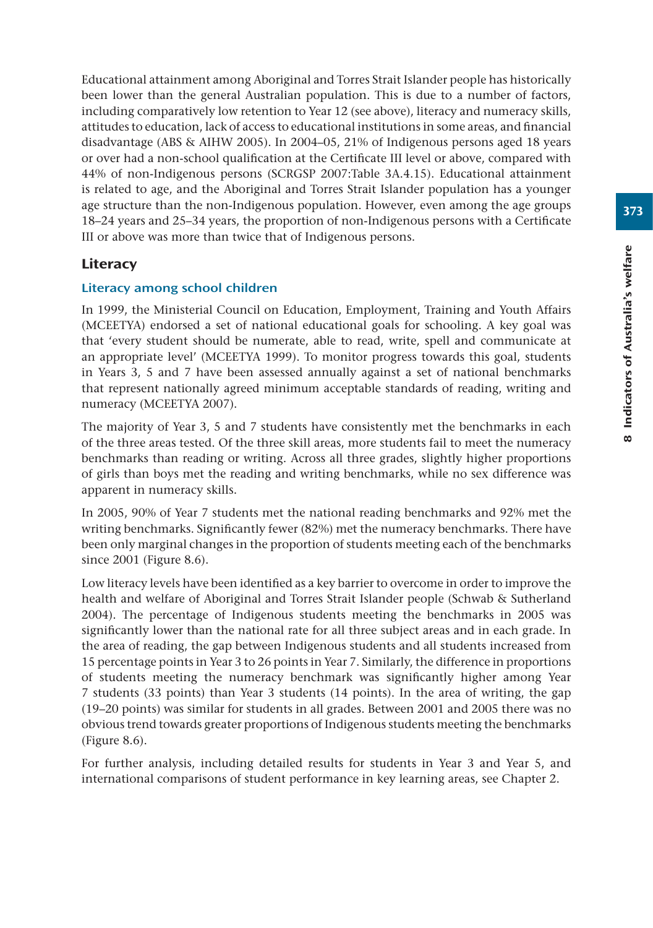Educational attainment among Aboriginal and Torres Strait Islander people has historically been lower than the general Australian population. This is due to a number of factors, including comparatively low retention to Year 12 (see above), literacy and numeracy skills, attitudes to education, lack of access to educational institutions in some areas, and financial disadvantage (ABS & AIHW 2005). In 2004–05, 21% of Indigenous persons aged 18 years or over had a non-school qualification at the Certificate III level or above, compared with 44% of non-Indigenous persons (SCRGSP 2007:Table 3A.4.15). Educational attainment is related to age, and the Aboriginal and Torres Strait Islander population has a younger age structure than the non-Indigenous population. However, even among the age groups 18–24 years and 25–34 years, the proportion of non-Indigenous persons with a Certificate III or above was more than twice that of Indigenous persons.

## **Literacy**

## Literacy among school children

In 1999, the Ministerial Council on Education, Employment, Training and Youth Affairs (MCEETYA) endorsed a set of national educational goals for schooling. A key goal was that 'every student should be numerate, able to read, write, spell and communicate at an appropriate level' (MCEETYA 1999). To monitor progress towards this goal, students in Years 3, 5 and 7 have been assessed annually against a set of national benchmarks that represent nationally agreed minimum acceptable standards of reading, writing and numeracy (MCEETYA 2007).

The majority of Year 3, 5 and 7 students have consistently met the benchmarks in each of the three areas tested. Of the three skill areas, more students fail to meet the numeracy benchmarks than reading or writing. Across all three grades, slightly higher proportions of girls than boys met the reading and writing benchmarks, while no sex difference was apparent in numeracy skills.

In 2005, 90% of Year 7 students met the national reading benchmarks and 92% met the writing benchmarks. Significantly fewer (82%) met the numeracy benchmarks. There have been only marginal changes in the proportion of students meeting each of the benchmarks since 2001 (Figure 8.6).

Low literacy levels have been identified as a key barrier to overcome in order to improve the health and welfare of Aboriginal and Torres Strait Islander people (Schwab & Sutherland 2004). The percentage of Indigenous students meeting the benchmarks in 2005 was significantly lower than the national rate for all three subject areas and in each grade. In the area of reading, the gap between Indigenous students and all students increased from 15 percentage points in Year 3 to 26 points in Year 7. Similarly, the difference in proportions of students meeting the numeracy benchmark was significantly higher among Year 7 students (33 points) than Year 3 students (14 points). In the area of writing, the gap (19–20 points) was similar for students in all grades. Between 2001 and 2005 there was no obvious trend towards greater proportions of Indigenous students meeting the benchmarks (Figure 8.6).

For further analysis, including detailed results for students in Year 3 and Year 5, and international comparisons of student performance in key learning areas, see Chapter 2.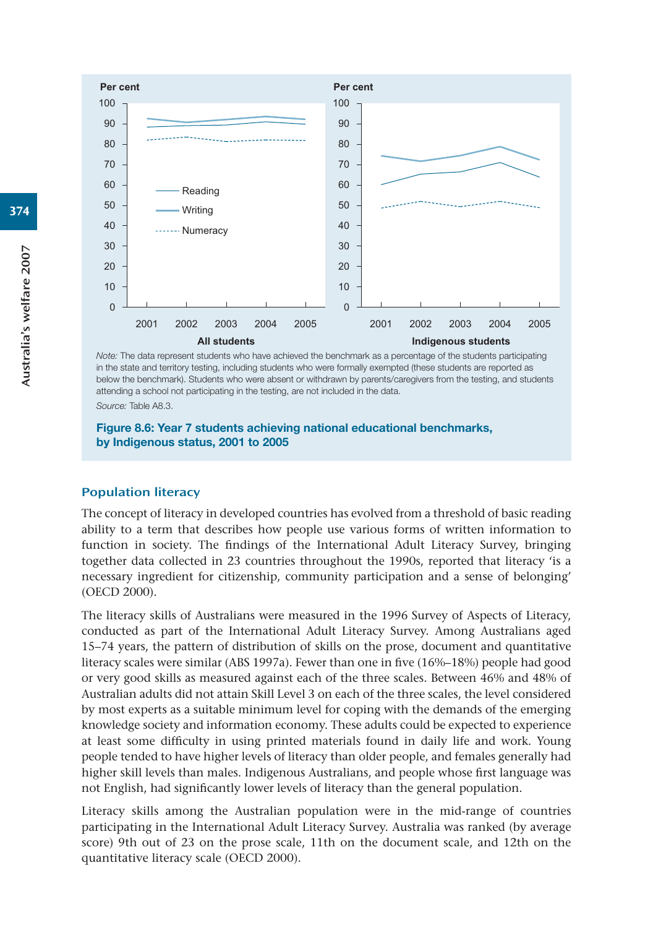

*Note:* The data represent students who have achieved the benchmark as a percentage of the students participating in the state and territory testing, including students who were formally exempted (these students are reported as below the benchmark). Students who were absent or withdrawn by parents/caregivers from the testing, and students attending a school not participating in the testing, are not included in the data. *Source:* Table A8.3.

**Figure 8.6: Year 7 students achieving national educational benchmarks, by Indigenous status, 2001 to 2005**

#### Population literacy

The concept of literacy in developed countries has evolved from a threshold of basic reading ability to a term that describes how people use various forms of written information to function in society. The findings of the International Adult Literacy Survey, bringing together data collected in 23 countries throughout the 1990s, reported that literacy 'is a necessary ingredient for citizenship, community participation and a sense of belonging' (OECD 2000).

The literacy skills of Australians were measured in the 1996 Survey of Aspects of Literacy, conducted as part of the International Adult Literacy Survey. Among Australians aged 15–74 years, the pattern of distribution of skills on the prose, document and quantitative literacy scales were similar (ABS 1997a). Fewer than one in five (16%–18%) people had good or very good skills as measured against each of the three scales. Between 46% and 48% of Australian adults did not attain Skill Level 3 on each of the three scales, the level considered by most experts as a suitable minimum level for coping with the demands of the emerging knowledge society and information economy. These adults could be expected to experience at least some difficulty in using printed materials found in daily life and work. Young people tended to have higher levels of literacy than older people, and females generally had higher skill levels than males. Indigenous Australians, and people whose first language was not English, had significantly lower levels of literacy than the general population.

Literacy skills among the Australian population were in the mid-range of countries participating in the International Adult Literacy Survey. Australia was ranked (by average score) 9th out of 23 on the prose scale, 11th on the document scale, and 12th on the quantitative literacy scale (OECD 2000).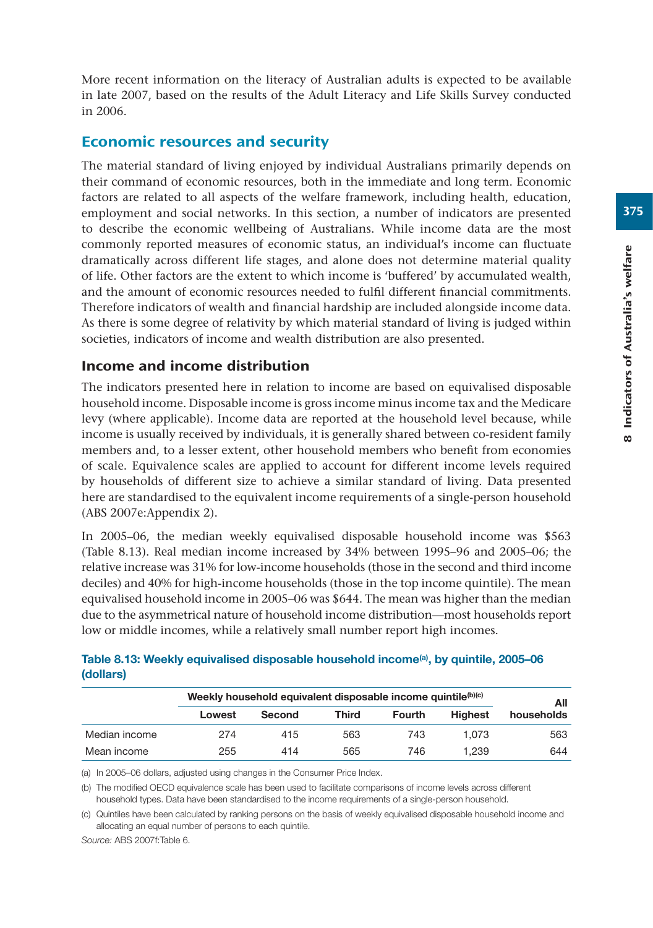More recent information on the literacy of Australian adults is expected to be available in late 2007, based on the results of the Adult Literacy and Life Skills Survey conducted in 2006.

## Economic resources and security

The material standard of living enjoyed by individual Australians primarily depends on their command of economic resources, both in the immediate and long term. Economic factors are related to all aspects of the welfare framework, including health, education, employment and social networks. In this section, a number of indicators are presented to describe the economic wellbeing of Australians. While income data are the most commonly reported measures of economic status, an individual's income can fluctuate dramatically across different life stages, and alone does not determine material quality of life. Other factors are the extent to which income is 'buffered' by accumulated wealth, and the amount of economic resources needed to fulfil different financial commitments. Therefore indicators of wealth and financial hardship are included alongside income data. As there is some degree of relativity by which material standard of living is judged within societies, indicators of income and wealth distribution are also presented.

## Income and income distribution

The indicators presented here in relation to income are based on equivalised disposable household income. Disposable income is gross income minus income tax and the Medicare levy (where applicable). Income data are reported at the household level because, while income is usually received by individuals, it is generally shared between co-resident family members and, to a lesser extent, other household members who benefit from economies of scale. Equivalence scales are applied to account for different income levels required by households of different size to achieve a similar standard of living. Data presented here are standardised to the equivalent income requirements of a single-person household (ABS 2007e:Appendix 2).

In 2005–06, the median weekly equivalised disposable household income was \$563 (Table 8.13). Real median income increased by 34% between 1995–96 and 2005–06; the relative increase was 31% for low-income households (those in the second and third income deciles) and 40% for high-income households (those in the top income quintile). The mean equivalised household income in 2005–06 was \$644. The mean was higher than the median due to the asymmetrical nature of household income distribution—most households report low or middle incomes, while a relatively small number report high incomes.

|               | All    |        |       |               |                |            |
|---------------|--------|--------|-------|---------------|----------------|------------|
|               | Lowest | Second | Third | <b>Fourth</b> | <b>Highest</b> | households |
| Median income | 274    | 415    | 563   | 743           | 1.073          | 563        |
| Mean income   | 255    | 414    | 565   | 746           | 1.239          | 644        |

#### **Table 8.13: Weekly equivalised disposable household income(a), by quintile, 2005–06 (dollars)**

(a) In 2005–06 dollars, adjusted using changes in the Consumer Price Index.

(b) The modified OECD equivalence scale has been used to facilitate comparisons of income levels across different household types. Data have been standardised to the income requirements of a single-person household.

(c) Quintiles have been calculated by ranking persons on the basis of weekly equivalised disposable household income and allocating an equal number of persons to each quintile.

*Source:* ABS 2007f:Table 6.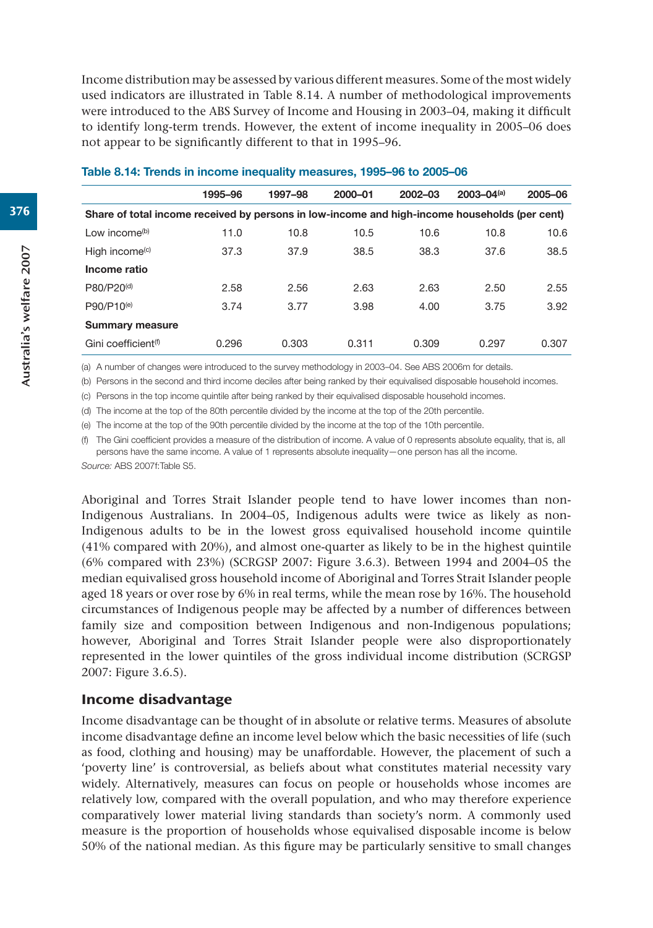Income distribution may be assessed by various different measures. Some of the most widely used indicators are illustrated in Table 8.14. A number of methodological improvements were introduced to the ABS Survey of Income and Housing in 2003–04, making it difficult to identify long-term trends. However, the extent of income inequality in 2005–06 does not appear to be significantly different to that in 1995–96.

|                                                                                               | 1995-96 | 1997-98 | $2000 - 01$ | $2002 - 03$ | $2003 - 04(a)$ | 2005-06 |
|-----------------------------------------------------------------------------------------------|---------|---------|-------------|-------------|----------------|---------|
| Share of total income received by persons in low-income and high-income households (per cent) |         |         |             |             |                |         |
| Low income <sup>(b)</sup>                                                                     | 11.0    | 10.8    | 10.5        | 10.6        | 10.8           | 10.6    |
| High income $(c)$                                                                             | 37.3    | 37.9    | 38.5        | 38.3        | 37.6           | 38.5    |
| Income ratio                                                                                  |         |         |             |             |                |         |
| P80/P20 <sup>(d)</sup>                                                                        | 2.58    | 2.56    | 2.63        | 2.63        | 2.50           | 2.55    |
| P90/P10 <sup>(e)</sup>                                                                        | 3.74    | 3.77    | 3.98        | 4.00        | 3.75           | 3.92    |
| <b>Summary measure</b>                                                                        |         |         |             |             |                |         |
| Gini coefficient <sup>(f)</sup>                                                               | 0.296   | 0.303   | 0.311       | 0.309       | 0.297          | 0.307   |

#### **Table 8.14: Trends in income inequality measures, 1995–96 to 2005–06**

(a) A number of changes were introduced to the survey methodology in 2003–04. See ABS 2006m for details.

(b) Persons in the second and third income deciles after being ranked by their equivalised disposable household incomes.

(c) Persons in the top income quintile after being ranked by their equivalised disposable household incomes.

(d) The income at the top of the 80th percentile divided by the income at the top of the 20th percentile.

(e) The income at the top of the 90th percentile divided by the income at the top of the 10th percentile.

(f) The Gini coefficient provides a measure of the distribution of income. A value of 0 represents absolute equality, that is, all persons have the same income. A value of 1 represents absolute inequality—one person has all the income.

*Source:* ABS 2007f:Table S5.

Aboriginal and Torres Strait Islander people tend to have lower incomes than non-Indigenous Australians. In 2004–05, Indigenous adults were twice as likely as non-Indigenous adults to be in the lowest gross equivalised household income quintile (41% compared with 20%), and almost one-quarter as likely to be in the highest quintile (6% compared with 23%) (SCRGSP 2007: Figure 3.6.3). Between 1994 and 2004–05 the median equivalised gross household income of Aboriginal and Torres Strait Islander people aged 18 years or over rose by 6% in real terms, while the mean rose by 16%. The household circumstances of Indigenous people may be affected by a number of differences between family size and composition between Indigenous and non-Indigenous populations; however, Aboriginal and Torres Strait Islander people were also disproportionately represented in the lower quintiles of the gross individual income distribution (SCRGSP 2007: Figure 3.6.5).

#### Income disadvantage

Income disadvantage can be thought of in absolute or relative terms. Measures of absolute income disadvantage define an income level below which the basic necessities of life (such as food, clothing and housing) may be unaffordable. However, the placement of such a 'poverty line' is controversial, as beliefs about what constitutes material necessity vary widely. Alternatively, measures can focus on people or households whose incomes are relatively low, compared with the overall population, and who may therefore experience comparatively lower material living standards than society's norm. A commonly used measure is the proportion of households whose equivalised disposable income is below 50% of the national median. As this figure may be particularly sensitive to small changes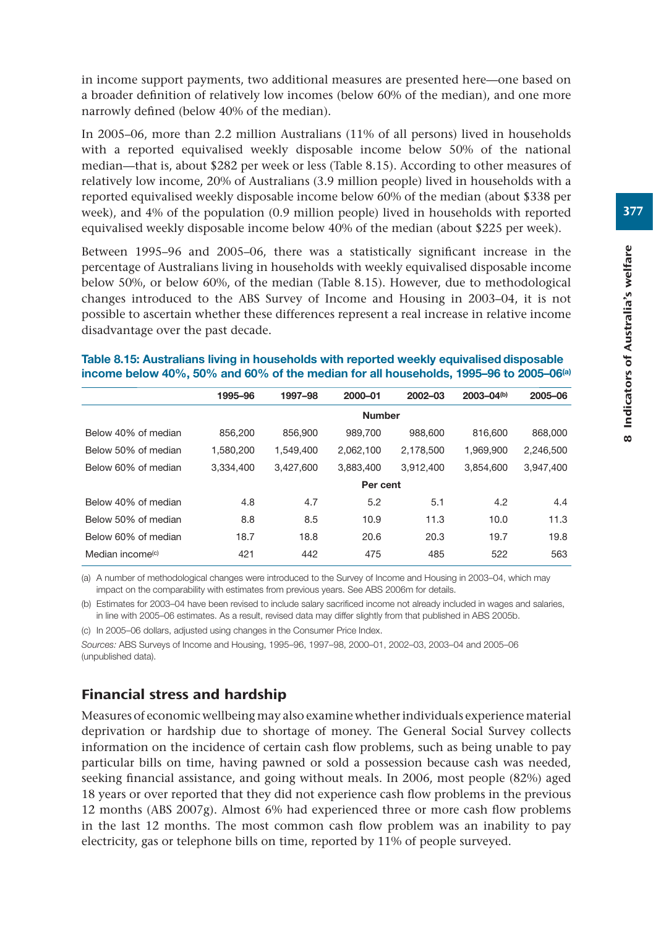in income support payments, two additional measures are presented here—one based on a broader definition of relatively low incomes (below 60% of the median), and one more narrowly defined (below 40% of the median).

In 2005–06, more than 2.2 million Australians (11% of all persons) lived in households with a reported equivalised weekly disposable income below 50% of the national median—that is, about \$282 per week or less (Table 8.15). According to other measures of relatively low income, 20% of Australians (3.9 million people) lived in households with a reported equivalised weekly disposable income below 60% of the median (about \$338 per week), and 4% of the population (0.9 million people) lived in households with reported equivalised weekly disposable income below 40% of the median (about \$225 per week).

Between 1995–96 and 2005–06, there was a statistically significant increase in the percentage of Australians living in households with weekly equivalised disposable income below 50%, or below 60%, of the median (Table 8.15). However, due to methodological changes introduced to the ABS Survey of Income and Housing in 2003–04, it is not possible to ascertain whether these differences represent a real increase in relative income disadvantage over the past decade.

#### **Table 8.15: Australians living in households with reported weekly equivalised disposable income below 40%, 50% and 60% of the median for all households, 1995–96 to 2005–06(a)**

|                     | 1995-96   | 1997-98   | 2000-01       | 2002-03   | $2003 - 04(b)$ | 2005-06   |
|---------------------|-----------|-----------|---------------|-----------|----------------|-----------|
|                     |           |           | <b>Number</b> |           |                |           |
| Below 40% of median | 856.200   | 856,900   | 989.700       | 988,600   | 816,600        | 868,000   |
| Below 50% of median | 1.580.200 | 1.549.400 | 2,062,100     | 2.178.500 | 1.969.900      | 2.246.500 |
| Below 60% of median | 3.334.400 | 3.427.600 | 3.883.400     | 3.912.400 | 3.854.600      | 3,947,400 |
|                     |           |           | Per cent      |           |                |           |
| Below 40% of median | 4.8       | 4.7       | 5.2           | 5.1       | 4.2            | 4.4       |
| Below 50% of median | 8.8       | 8.5       | 10.9          | 11.3      | 10.0           | 11.3      |
| Below 60% of median | 18.7      | 18.8      | 20.6          | 20.3      | 19.7           | 19.8      |
| Median income $(c)$ | 421       | 442       | 475           | 485       | 522            | 563       |

(a) A number of methodological changes were introduced to the Survey of Income and Housing in 2003–04, which may impact on the comparability with estimates from previous years. See ABS 2006m for details.

(b) Estimates for 2003–04 have been revised to include salary sacrificed income not already included in wages and salaries, in line with 2005–06 estimates. As a result, revised data may differ slightly from that published in ABS 2005b.

(c) In 2005–06 dollars, adjusted using changes in the Consumer Price Index.

*Sources:* ABS Surveys of Income and Housing, 1995–96, 1997–98, 2000–01, 2002–03, 2003–04 and 2005–06 (unpublished data).

# Financial stress and hardship

Measures of economic wellbeing may also examine whether individuals experience material deprivation or hardship due to shortage of money. The General Social Survey collects information on the incidence of certain cash flow problems, such as being unable to pay particular bills on time, having pawned or sold a possession because cash was needed, seeking financial assistance, and going without meals. In 2006, most people (82%) aged 18 years or over reported that they did not experience cash flow problems in the previous 12 months (ABS 2007g). Almost 6% had experienced three or more cash flow problems in the last 12 months. The most common cash flow problem was an inability to pay electricity, gas or telephone bills on time, reported by 11% of people surveyed.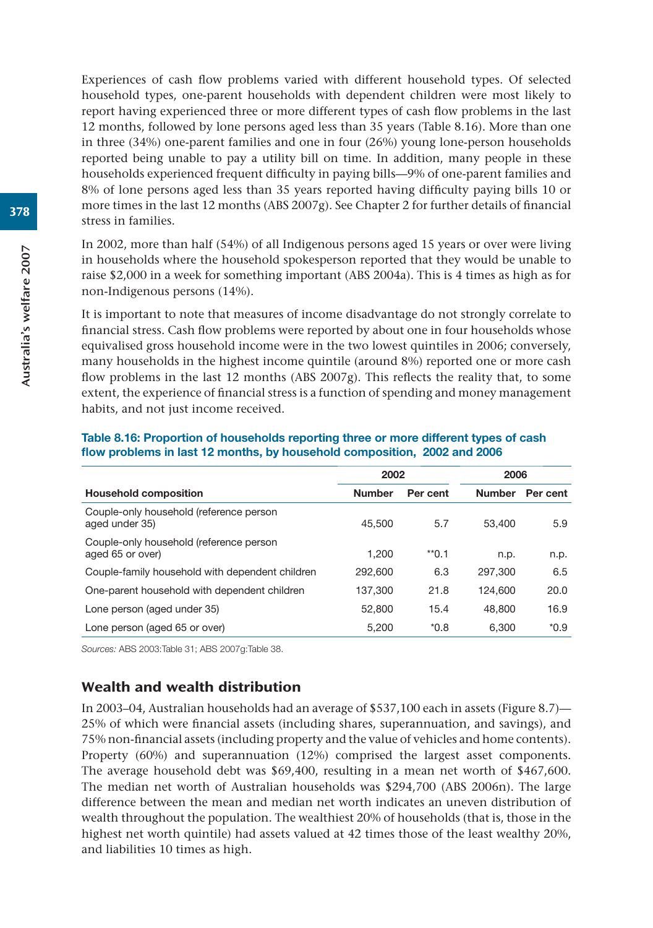Experiences of cash flow problems varied with different household types. Of selected household types, one-parent households with dependent children were most likely to report having experienced three or more different types of cash flow problems in the last 12 months, followed by lone persons aged less than 35 years (Table 8.16). More than one in three (34%) one-parent families and one in four (26%) young lone-person households reported being unable to pay a utility bill on time. In addition, many people in these households experienced frequent difficulty in paying bills—9% of one-parent families and 8% of lone persons aged less than 35 years reported having difficulty paying bills 10 or more times in the last 12 months (ABS 2007g). See Chapter 2 for further details of financial stress in families.

In 2002, more than half (54%) of all Indigenous persons aged 15 years or over were living in households where the household spokesperson reported that they would be unable to raise \$2,000 in a week for something important (ABS 2004a). This is 4 times as high as for non-Indigenous persons (14%).

It is important to note that measures of income disadvantage do not strongly correlate to financial stress. Cash flow problems were reported by about one in four households whose equivalised gross household income were in the two lowest quintiles in 2006; conversely, many households in the highest income quintile (around 8%) reported one or more cash flow problems in the last 12 months (ABS 2007g). This reflects the reality that, to some extent, the experience of financial stress is a function of spending and money management habits, and not just income received.

|                                                             | 2002          |          | 2006          |          |
|-------------------------------------------------------------|---------------|----------|---------------|----------|
| <b>Household composition</b>                                | <b>Number</b> | Per cent | <b>Number</b> | Per cent |
| Couple-only household (reference person<br>aged under 35)   | 45.500        | 5.7      | 53,400        | 5.9      |
| Couple-only household (reference person<br>aged 65 or over) | 1.200         | $*$ 0.1  | n.p.          | n.p.     |
| Couple-family household with dependent children             | 292,600       | 6.3      | 297,300       | 6.5      |
| One-parent household with dependent children                | 137,300       | 21.8     | 124,600       | 20.0     |
| Lone person (aged under 35)                                 | 52,800        | 15.4     | 48,800        | 16.9     |
| Lone person (aged 65 or over)                               | 5.200         | $*0.8$   | 6.300         | $*0.9$   |

## **Table 8.16: Proportion of households reporting three or more different types of cash flow problems in last 12 months, by household composition, 2002 and 2006**

*Sources:* ABS 2003:Table 31; ABS 2007g:Table 38.

## Wealth and wealth distribution

In 2003–04, Australian households had an average of \$537,100 each in assets (Figure 8.7)— 25% of which were financial assets (including shares, superannuation, and savings), and 75% non-financial assets (including property and the value of vehicles and home contents). Property (60%) and superannuation (12%) comprised the largest asset components. The average household debt was \$69,400, resulting in a mean net worth of \$467,600. The median net worth of Australian households was \$294,700 (ABS 2006n). The large difference between the mean and median net worth indicates an uneven distribution of wealth throughout the population. The wealthiest 20% of households (that is, those in the highest net worth quintile) had assets valued at 42 times those of the least wealthy 20%, and liabilities 10 times as high.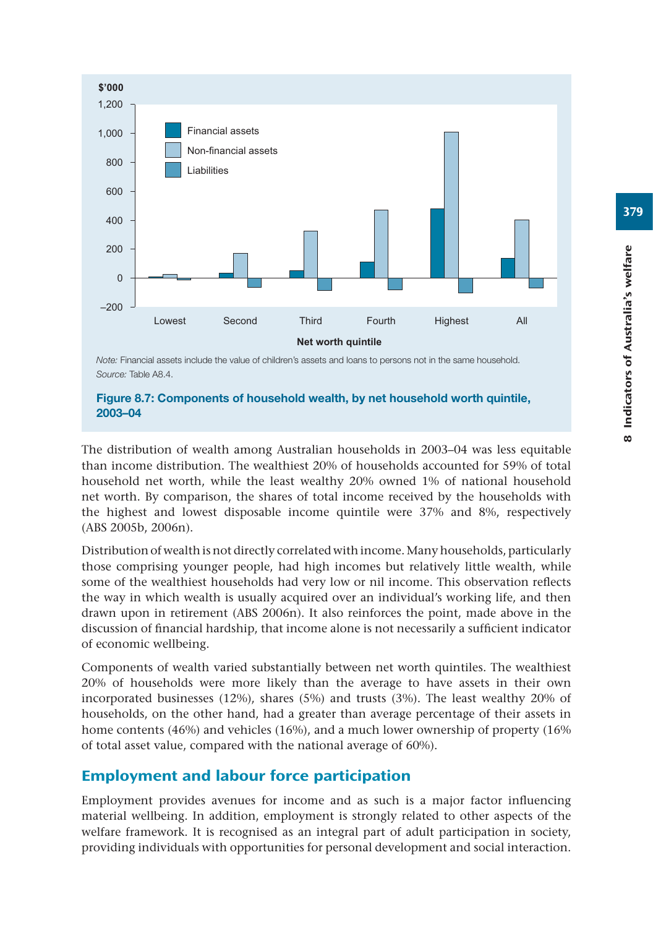

*Note:* Financial assets include the value of children's assets and loans to persons not in the same household. *Source:* Table A8.4.

#### **Figure 8.7: Components of household wealth, by net household worth quintile, 2003–04**

The distribution of wealth among Australian households in 2003–04 was less equitable than income distribution. The wealthiest 20% of households accounted for 59% of total household net worth, while the least wealthy 20% owned 1% of national household net worth. By comparison, the shares of total income received by the households with the highest and lowest disposable income quintile were 37% and 8%, respectively (ABS 2005b, 2006n).

Distribution of wealth is not directly correlated with income. Many households, particularly those comprising younger people, had high incomes but relatively little wealth, while some of the wealthiest households had very low or nil income. This observation reflects the way in which wealth is usually acquired over an individual's working life, and then drawn upon in retirement (ABS 2006n). It also reinforces the point, made above in the discussion of financial hardship, that income alone is not necessarily a sufficient indicator of economic wellbeing.

Components of wealth varied substantially between net worth quintiles. The wealthiest 20% of households were more likely than the average to have assets in their own incorporated businesses (12%), shares (5%) and trusts (3%). The least wealthy 20% of households, on the other hand, had a greater than average percentage of their assets in home contents (46%) and vehicles (16%), and a much lower ownership of property (16%) of total asset value, compared with the national average of 60%).

# Employment and labour force participation

Employment provides avenues for income and as such is a major factor influencing material wellbeing. In addition, employment is strongly related to other aspects of the welfare framework. It is recognised as an integral part of adult participation in society, providing individuals with opportunities for personal development and social interaction.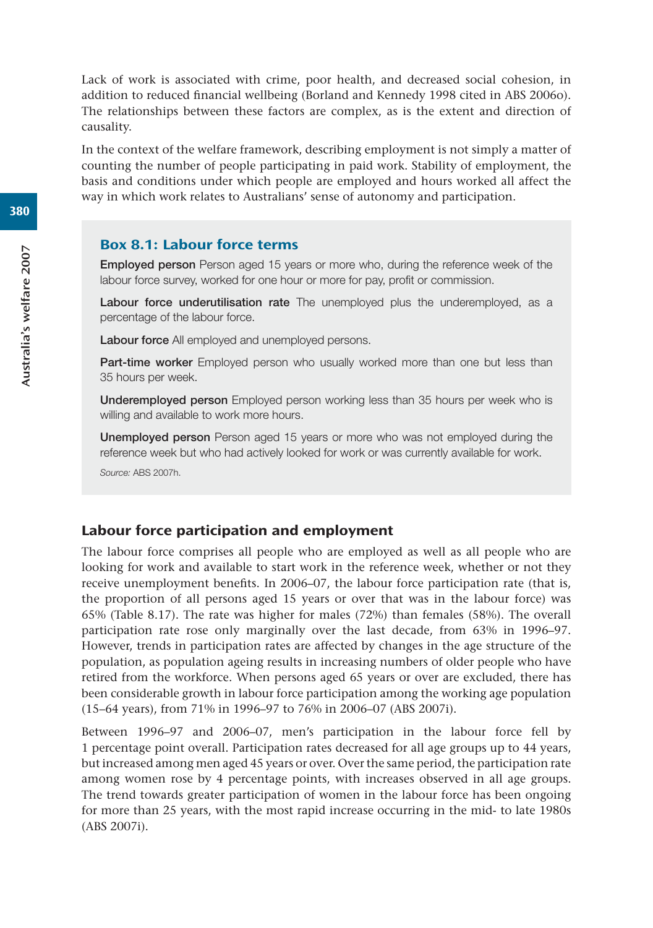Lack of work is associated with crime, poor health, and decreased social cohesion, in addition to reduced financial wellbeing (Borland and Kennedy 1998 cited in ABS 2006o). The relationships between these factors are complex, as is the extent and direction of causality.

In the context of the welfare framework, describing employment is not simply a matter of counting the number of people participating in paid work. Stability of employment, the basis and conditions under which people are employed and hours worked all affect the way in which work relates to Australians' sense of autonomy and participation.

## Box 8.1: Labour force terms

**Employed person** Person aged 15 years or more who, during the reference week of the labour force survey, worked for one hour or more for pay, profit or commission.

**Labour force underutilisation rate** The unemployed plus the underemployed, as a percentage of the labour force.

**Labour force** All employed and unemployed persons.

Part-time worker Employed person who usually worked more than one but less than 35 hours per week.

**Underemployed person** Employed person working less than 35 hours per week who is willing and available to work more hours.

**Unemployed person** Person aged 15 years or more who was not employed during the reference week but who had actively looked for work or was currently available for work.

*Source:* ABS 2007h.

## Labour force participation and employment

The labour force comprises all people who are employed as well as all people who are looking for work and available to start work in the reference week, whether or not they receive unemployment benefits. In 2006–07, the labour force participation rate (that is, the proportion of all persons aged 15 years or over that was in the labour force) was 65% (Table 8.17). The rate was higher for males (72%) than females (58%). The overall participation rate rose only marginally over the last decade, from 63% in 1996–97. However, trends in participation rates are affected by changes in the age structure of the population, as population ageing results in increasing numbers of older people who have retired from the workforce. When persons aged 65 years or over are excluded, there has been considerable growth in labour force participation among the working age population (15–64 years), from 71% in 1996–97 to 76% in 2006–07 (ABS 2007i).

Between 1996–97 and 2006–07, men's participation in the labour force fell by 1 percentage point overall. Participation rates decreased for all age groups up to 44 years, but increased among men aged 45 years or over. Over the same period, the participation rate among women rose by 4 percentage points, with increases observed in all age groups. The trend towards greater participation of women in the labour force has been ongoing for more than 25 years, with the most rapid increase occurring in the mid- to late 1980s (ABS 2007i).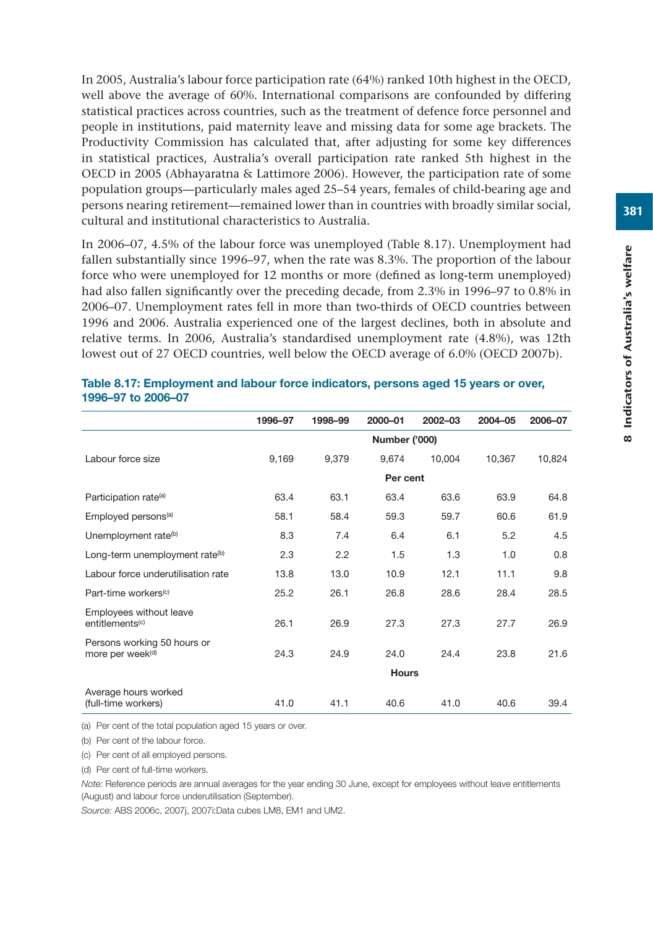In 2005, Australia's labour force participation rate (64%) ranked 10th highest in the OECD, well above the average of 60%. International comparisons are confounded by differing statistical practices across countries, such as the treatment of defence force personnel and people in institutions, paid maternity leave and missing data for some age brackets. The Productivity Commission has calculated that, after adjusting for some key differences in statistical practices, Australia's overall participation rate ranked 5th highest in the OECD in 2005 (Abhayaratna & Lattimore 2006). However, the participation rate of some population groups—particularly males aged 25–54 years, females of child-bearing age and persons nearing retirement—remained lower than in countries with broadly similar social, cultural and institutional characteristics to Australia.

In 2006–07, 4.5% of the labour force was unemployed (Table 8.17). Unemployment had fallen substantially since 1996–97, when the rate was 8.3%. The proportion of the labour force who were unemployed for 12 months or more (defined as long-term unemployed) had also fallen significantly over the preceding decade, from 2.3% in 1996–97 to 0.8% in 2006–07. Unemployment rates fell in more than two-thirds of OECD countries between 1996 and 2006. Australia experienced one of the largest declines, both in absolute and relative terms. In 2006, Australia's standardised unemployment rate (4.8%), was 12th lowest out of 27 OECD countries, well below the OECD average of 6.0% (OECD 2007b).

|                                                             | 1996-97 | 1998-99       | 2000-01      | 2002-03 | 2004-05 | 2006-07 |  |  |  |
|-------------------------------------------------------------|---------|---------------|--------------|---------|---------|---------|--|--|--|
|                                                             |         | Number ('000) |              |         |         |         |  |  |  |
| Labour force size                                           | 9,169   | 9,379         | 9,674        | 10,004  | 10,367  | 10,824  |  |  |  |
|                                                             |         |               | Per cent     |         |         |         |  |  |  |
| Participation rate <sup>(a)</sup>                           | 63.4    | 63.1          | 63.4         | 63.6    | 63.9    | 64.8    |  |  |  |
| Employed persons <sup>(a)</sup>                             | 58.1    | 58.4          | 59.3         | 59.7    | 60.6    | 61.9    |  |  |  |
| Unemployment rate <sup>(b)</sup>                            | 8.3     | 7.4           | 6.4          | 6.1     | 5.2     | 4.5     |  |  |  |
| Long-term unemployment rate <sup>(b)</sup>                  | 2.3     | 2.2           | 1.5          | 1.3     | 1.0     | 0.8     |  |  |  |
| Labour force underutilisation rate                          | 13.8    | 13.0          | 10.9         | 12.1    | 11.1    | 9.8     |  |  |  |
| Part-time workers <sup>(c)</sup>                            | 25.2    | 26.1          | 26.8         | 28.6    | 28.4    | 28.5    |  |  |  |
| Employees without leave<br>entitlements <sup>(c)</sup>      | 26.1    | 26.9          | 27.3         | 27.3    | 27.7    | 26.9    |  |  |  |
| Persons working 50 hours or<br>more per week <sup>(d)</sup> | 24.3    | 24.9          | 24.0         | 24.4    | 23.8    | 21.6    |  |  |  |
|                                                             |         |               | <b>Hours</b> |         |         |         |  |  |  |
| Average hours worked<br>(full-time workers)                 | 41.0    | 41.1          | 40.6         | 41.0    | 40.6    | 39.4    |  |  |  |

#### **Table 8.17: Employment and labour force indicators, persons aged 15 years or over, 1996–97 to 2006–07**

(a) Per cent of the total population aged 15 years or over.

(b) Per cent of the labour force.

(c) Per cent of all employed persons.

(d) Per cent of full-time workers.

*Note:* Reference periods are annual averages for the year ending 30 June, except for employees without leave entitlements (August) and labour force underutilisation (September).

*Source:* ABS 2006c, 2007j, 2007i:Data cubes LM8, EM1 and UM2.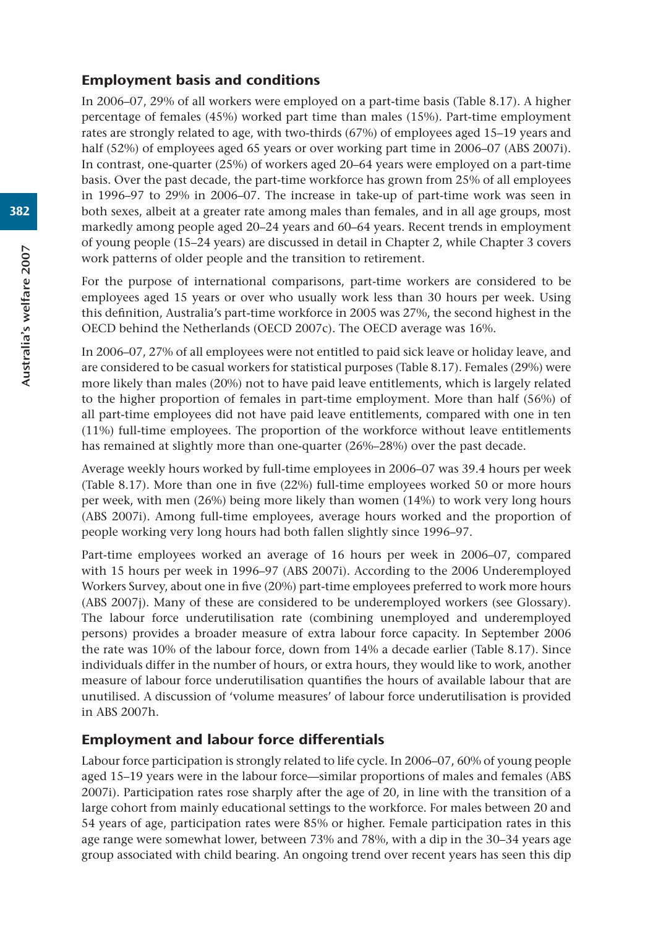## Employment basis and conditions

In 2006–07, 29% of all workers were employed on a part-time basis (Table 8.17). A higher percentage of females (45%) worked part time than males (15%). Part-time employment rates are strongly related to age, with two-thirds (67%) of employees aged 15–19 years and half (52%) of employees aged 65 years or over working part time in 2006–07 (ABS 2007i). In contrast, one-quarter (25%) of workers aged 20–64 years were employed on a part-time basis. Over the past decade, the part-time workforce has grown from 25% of all employees in 1996–97 to 29% in 2006–07. The increase in take-up of part-time work was seen in both sexes, albeit at a greater rate among males than females, and in all age groups, most markedly among people aged 20–24 years and 60–64 years. Recent trends in employment of young people (15–24 years) are discussed in detail in Chapter 2, while Chapter 3 covers work patterns of older people and the transition to retirement.

For the purpose of international comparisons, part-time workers are considered to be employees aged 15 years or over who usually work less than 30 hours per week. Using this definition, Australia's part-time workforce in 2005 was 27%, the second highest in the OECD behind the Netherlands (OECD 2007c). The OECD average was 16%.

In 2006–07, 27% of all employees were not entitled to paid sick leave or holiday leave, and are considered to be casual workers for statistical purposes (Table 8.17). Females (29%) were more likely than males (20%) not to have paid leave entitlements, which is largely related to the higher proportion of females in part-time employment. More than half (56%) of all part-time employees did not have paid leave entitlements, compared with one in ten (11%) full-time employees. The proportion of the workforce without leave entitlements has remained at slightly more than one-quarter (26%–28%) over the past decade.

Average weekly hours worked by full-time employees in 2006–07 was 39.4 hours per week (Table 8.17). More than one in five (22%) full-time employees worked 50 or more hours per week, with men (26%) being more likely than women (14%) to work very long hours (ABS 2007i). Among full-time employees, average hours worked and the proportion of people working very long hours had both fallen slightly since 1996–97.

Part-time employees worked an average of 16 hours per week in 2006–07, compared with 15 hours per week in 1996–97 (ABS 2007i). According to the 2006 Underemployed Workers Survey, about one in five (20%) part-time employees preferred to work more hours (ABS 2007j). Many of these are considered to be underemployed workers (see Glossary). The labour force underutilisation rate (combining unemployed and underemployed persons) provides a broader measure of extra labour force capacity. In September 2006 the rate was 10% of the labour force, down from 14% a decade earlier (Table 8.17). Since individuals differ in the number of hours, or extra hours, they would like to work, another measure of labour force underutilisation quantifies the hours of available labour that are unutilised. A discussion of 'volume measures' of labour force underutilisation is provided in ABS 2007h.

# Employment and labour force differentials

Labour force participation is strongly related to life cycle. In 2006–07, 60% of young people aged 15–19 years were in the labour force—similar proportions of males and females (ABS 2007i). Participation rates rose sharply after the age of 20, in line with the transition of a large cohort from mainly educational settings to the workforce. For males between 20 and 54 years of age, participation rates were 85% or higher. Female participation rates in this age range were somewhat lower, between 73% and 78%, with a dip in the 30–34 years age group associated with child bearing. An ongoing trend over recent years has seen this dip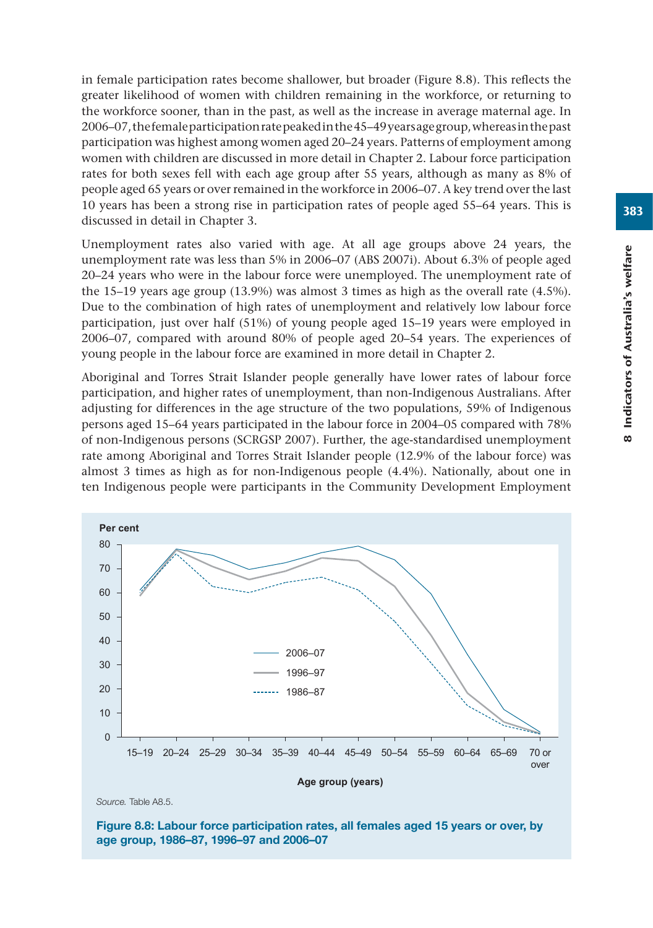in female participation rates become shallower, but broader (Figure 8.8). This reflects the greater likelihood of women with children remaining in the workforce, or returning to the workforce sooner, than in the past, as well as the increase in average maternal age. In 2006–07, the female participation rate peaked in the 45–49 years age group, whereas in the past participation was highest among women aged 20–24 years. Patterns of employment among women with children are discussed in more detail in Chapter 2. Labour force participation rates for both sexes fell with each age group after 55 years, although as many as 8% of people aged 65 years or over remained in the workforce in 2006–07. A key trend over the last 10 years has been a strong rise in participation rates of people aged 55–64 years. This is discussed in detail in Chapter 3.

Unemployment rates also varied with age. At all age groups above 24 years, the unemployment rate was less than 5% in 2006–07 (ABS 2007i). About 6.3% of people aged 20–24 years who were in the labour force were unemployed. The unemployment rate of the 15–19 years age group (13.9%) was almost 3 times as high as the overall rate (4.5%). Due to the combination of high rates of unemployment and relatively low labour force participation, just over half (51%) of young people aged 15–19 years were employed in 2006–07, compared with around 80% of people aged 20–54 years. The experiences of young people in the labour force are examined in more detail in Chapter 2.

Aboriginal and Torres Strait Islander people generally have lower rates of labour force participation, and higher rates of unemployment, than non-Indigenous Australians. After adjusting for differences in the age structure of the two populations, 59% of Indigenous persons aged 15–64 years participated in the labour force in 2004–05 compared with 78% of non-Indigenous persons (SCRGSP 2007). Further, the age-standardised unemployment rate among Aboriginal and Torres Strait Islander people (12.9% of the labour force) was almost 3 times as high as for non-Indigenous people (4.4%). Nationally, about one in ten Indigenous people were participants in the Community Development Employment



*Source.* Table A8.5.

**Figure 8.8: Labour force participation rates, all females aged 15 years or over, by age group, 1986–87, 1996–97 and 2006–07**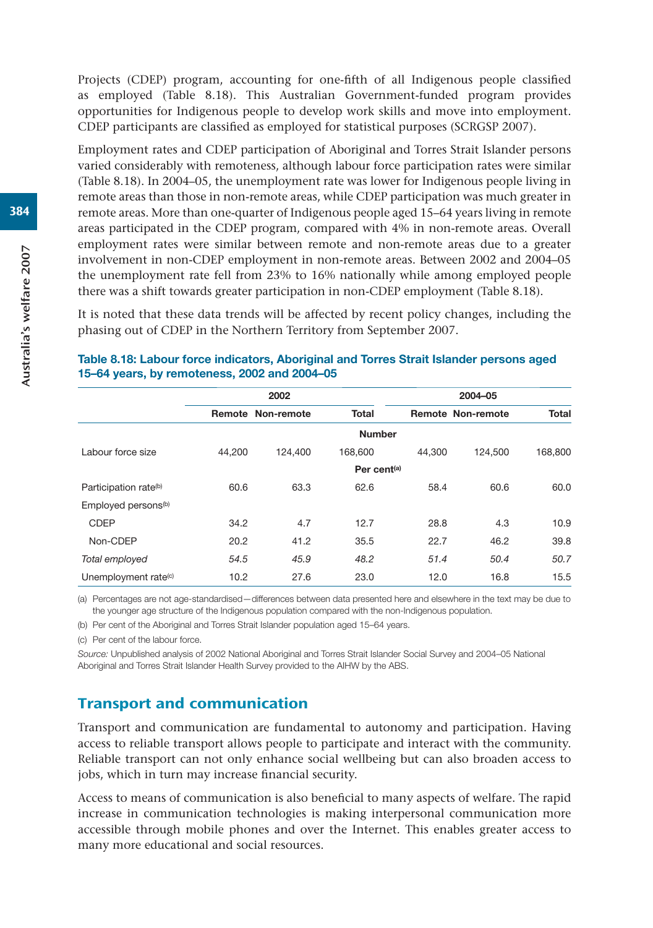Projects (CDEP) program, accounting for one-fifth of all Indigenous people classified as employed (Table 8.18). This Australian Government-funded program provides opportunities for Indigenous people to develop work skills and move into employment. CDEP participants are classified as employed for statistical purposes (SCRGSP 2007).

Employment rates and CDEP participation of Aboriginal and Torres Strait Islander persons varied considerably with remoteness, although labour force participation rates were similar (Table 8.18). In 2004–05, the unemployment rate was lower for Indigenous people living in remote areas than those in non-remote areas, while CDEP participation was much greater in remote areas. More than one-quarter of Indigenous people aged 15–64 years living in remote areas participated in the CDEP program, compared with 4% in non-remote areas. Overall employment rates were similar between remote and non-remote areas due to a greater involvement in non-CDEP employment in non-remote areas. Between 2002 and 2004–05 the unemployment rate fell from 23% to 16% nationally while among employed people there was a shift towards greater participation in non-CDEP employment (Table 8.18).

It is noted that these data trends will be affected by recent policy changes, including the phasing out of CDEP in the Northern Territory from September 2007.

|                                   |        | 2002                     |                         | 2004-05 |                          |              |  |
|-----------------------------------|--------|--------------------------|-------------------------|---------|--------------------------|--------------|--|
|                                   |        | <b>Remote Non-remote</b> | <b>Total</b>            |         | <b>Remote Non-remote</b> | <b>Total</b> |  |
|                                   |        |                          | <b>Number</b>           |         |                          |              |  |
| Labour force size                 | 44.200 | 124.400                  | 168,600                 | 44,300  | 124.500                  | 168,800      |  |
|                                   |        |                          | Per cent <sup>(a)</sup> |         |                          |              |  |
| Participation rate <sup>(b)</sup> | 60.6   | 63.3                     | 62.6                    | 58.4    | 60.6                     | 60.0         |  |
| Employed persons <sup>(b)</sup>   |        |                          |                         |         |                          |              |  |
| <b>CDEP</b>                       | 34.2   | 4.7                      | 12.7                    | 28.8    | 4.3                      | 10.9         |  |
| Non-CDEP                          | 20.2   | 41.2                     | 35.5                    | 22.7    | 46.2                     | 39.8         |  |
| Total employed                    | 54.5   | 45.9                     | 48.2                    | 51.4    | 50.4                     | 50.7         |  |
| Unemployment rate <sup>(c)</sup>  | 10.2   | 27.6                     | 23.0                    | 12.0    | 16.8                     | 15.5         |  |

#### **Table 8.18: Labour force indicators, Aboriginal and Torres Strait Islander persons aged 15–64 years, by remoteness, 2002 and 2004–05**

(a) Percentages are not age-standardised—differences between data presented here and elsewhere in the text may be due to the younger age structure of the Indigenous population compared with the non-Indigenous population.

(b) Per cent of the Aboriginal and Torres Strait Islander population aged 15–64 years.

(c) Per cent of the labour force.

*Source:* Unpublished analysis of 2002 National Aboriginal and Torres Strait Islander Social Survey and 2004–05 National Aboriginal and Torres Strait Islander Health Survey provided to the AIHW by the ABS.

## Transport and communication

Transport and communication are fundamental to autonomy and participation. Having access to reliable transport allows people to participate and interact with the community. Reliable transport can not only enhance social wellbeing but can also broaden access to jobs, which in turn may increase financial security.

Access to means of communication is also beneficial to many aspects of welfare. The rapid increase in communication technologies is making interpersonal communication more accessible through mobile phones and over the Internet. This enables greater access to many more educational and social resources.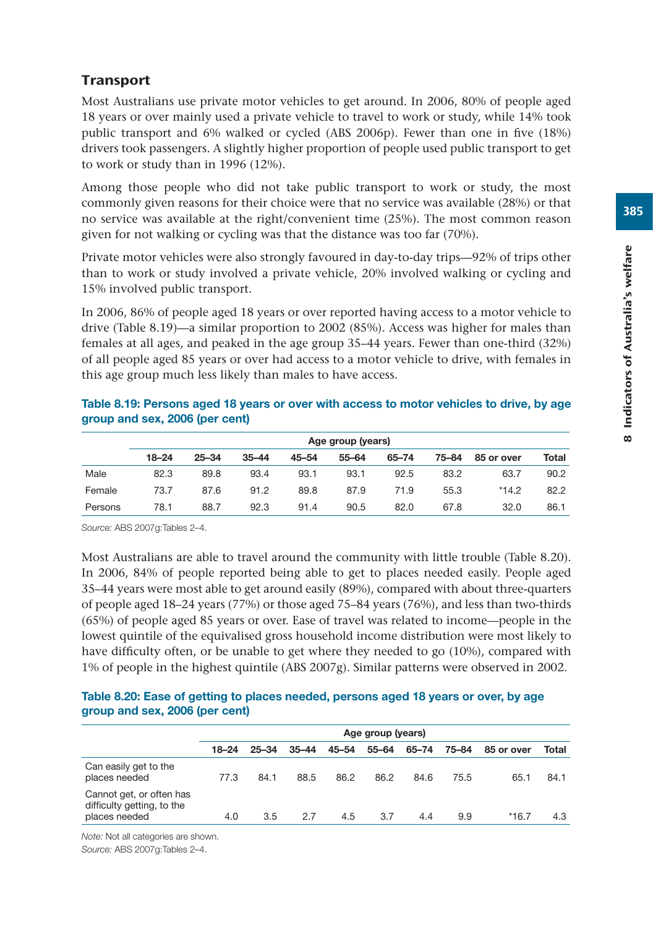# **Transport**

Most Australians use private motor vehicles to get around. In 2006, 80% of people aged 18 years or over mainly used a private vehicle to travel to work or study, while 14% took public transport and 6% walked or cycled (ABS 2006p). Fewer than one in five (18%) drivers took passengers. A slightly higher proportion of people used public transport to get to work or study than in 1996 (12%).

Among those people who did not take public transport to work or study, the most commonly given reasons for their choice were that no service was available (28%) or that no service was available at the right/convenient time (25%). The most common reason given for not walking or cycling was that the distance was too far (70%).

Private motor vehicles were also strongly favoured in day-to-day trips—92% of trips other than to work or study involved a private vehicle, 20% involved walking or cycling and 15% involved public transport.

In 2006, 86% of people aged 18 years or over reported having access to a motor vehicle to drive (Table 8.19)—a similar proportion to 2002 (85%). Access was higher for males than females at all ages, and peaked in the age group 35–44 years. Fewer than one-third (32%) of all people aged 85 years or over had access to a motor vehicle to drive, with females in this age group much less likely than males to have access.

|         | Age group (years) |           |           |           |           |       |       |            |       |  |  |
|---------|-------------------|-----------|-----------|-----------|-----------|-------|-------|------------|-------|--|--|
|         | $18 - 24$         | $25 - 34$ | $35 - 44$ | $45 - 54$ | $55 - 64$ | 65-74 | 75-84 | 85 or over | Total |  |  |
| Male    | 82.3              | 89.8      | 93.4      | 93.1      | 93.1      | 92.5  | 83.2  | 63.7       | 90.2  |  |  |
| Female  | 73.7              | 87.6      | 91.2      | 89.8      | 87.9      | 71.9  | 55.3  | $*14.2$    | 82.2  |  |  |
| Persons | 78.1              | 88.7      | 92.3      | 91.4      | 90.5      | 82.0  | 67.8  | 32.0       | 86.1  |  |  |

## **Table 8.19: Persons aged 18 years or over with access to motor vehicles to drive, by age group and sex, 2006 (per cent)**

*Source:* ABS 2007g:Tables 2–4.

Most Australians are able to travel around the community with little trouble (Table 8.20). In 2006, 84% of people reported being able to get to places needed easily. People aged 35–44 years were most able to get around easily (89%), compared with about three-quarters of people aged 18–24 years (77%) or those aged 75–84 years (76%), and less than two-thirds (65%) of people aged 85 years or over. Ease of travel was related to income—people in the lowest quintile of the equivalised gross household income distribution were most likely to have difficulty often, or be unable to get where they needed to go (10%), compared with 1% of people in the highest quintile (ABS 2007g). Similar patterns were observed in 2002.

## **Table 8.20: Ease of getting to places needed, persons aged 18 years or over, by age group and sex, 2006 (per cent)**

|                                                                         | Age group (years) |           |           |       |       |       |       |            |       |  |
|-------------------------------------------------------------------------|-------------------|-----------|-----------|-------|-------|-------|-------|------------|-------|--|
|                                                                         | $18 - 24$         | $25 - 34$ | $35 - 44$ | 45–54 | 55-64 | 65–74 | 75-84 | 85 or over | Total |  |
| Can easily get to the<br>places needed                                  | 77.3              | 84.1      | 88.5      | 86.2  | 86.2  | 84.6  | 75.5  | 65.1       | 84.1  |  |
| Cannot get, or often has<br>difficulty getting, to the<br>places needed | 4.0               | 3.5       | 2.7       | 4.5   | 3.7   | 4.4   | 9.9   | $*16.7$    | 4.3   |  |

*Note:* Not all categories are shown. *Source:* ABS 2007g:Tables 2–4.

385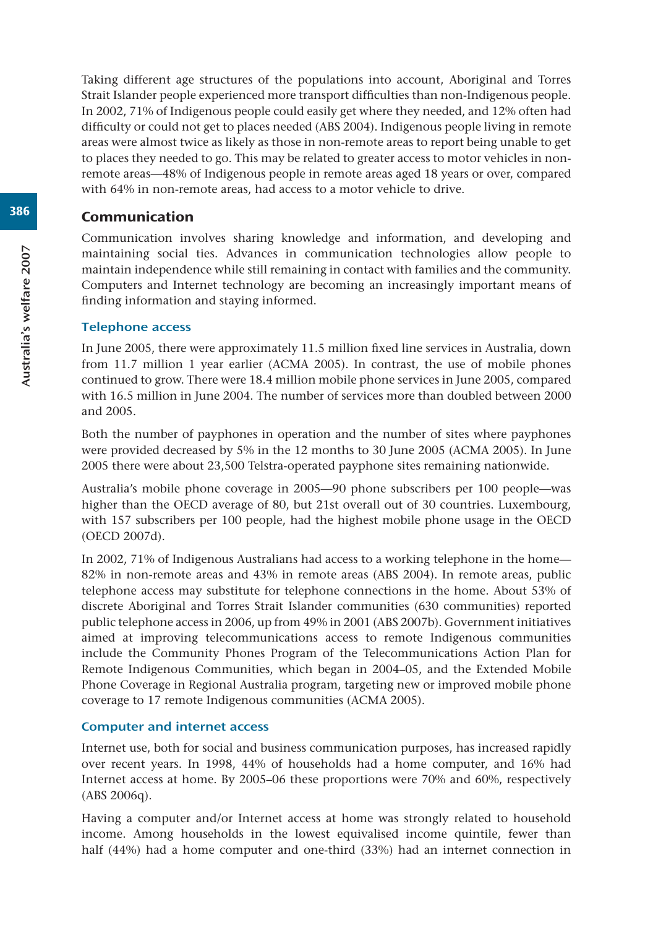Taking different age structures of the populations into account, Aboriginal and Torres Strait Islander people experienced more transport difficulties than non-Indigenous people. In 2002, 71% of Indigenous people could easily get where they needed, and 12% often had difficulty or could not get to places needed (ABS 2004). Indigenous people living in remote areas were almost twice as likely as those in non-remote areas to report being unable to get to places they needed to go. This may be related to greater access to motor vehicles in nonremote areas—48% of Indigenous people in remote areas aged 18 years or over, compared with 64% in non-remote areas, had access to a motor vehicle to drive.

## Communication

Communication involves sharing knowledge and information, and developing and maintaining social ties. Advances in communication technologies allow people to maintain independence while still remaining in contact with families and the community. Computers and Internet technology are becoming an increasingly important means of finding information and staying informed.

## Telephone access

In June 2005, there were approximately 11.5 million fixed line services in Australia, down from 11.7 million 1 year earlier (ACMA 2005). In contrast, the use of mobile phones continued to grow. There were 18.4 million mobile phone services in June 2005, compared with 16.5 million in June 2004. The number of services more than doubled between 2000 and 2005.

Both the number of payphones in operation and the number of sites where payphones were provided decreased by 5% in the 12 months to 30 June 2005 (ACMA 2005). In June 2005 there were about 23,500 Telstra-operated payphone sites remaining nationwide.

Australia's mobile phone coverage in 2005—90 phone subscribers per 100 people—was higher than the OECD average of 80, but 21st overall out of 30 countries. Luxembourg, with 157 subscribers per 100 people, had the highest mobile phone usage in the OECD (OECD 2007d).

In 2002, 71% of Indigenous Australians had access to a working telephone in the home— 82% in non-remote areas and 43% in remote areas (ABS 2004). In remote areas, public telephone access may substitute for telephone connections in the home. About 53% of discrete Aboriginal and Torres Strait Islander communities (630 communities) reported public telephone access in 2006, up from 49% in 2001 (ABS 2007b). Government initiatives aimed at improving telecommunications access to remote Indigenous communities include the Community Phones Program of the Telecommunications Action Plan for Remote Indigenous Communities, which began in 2004–05, and the Extended Mobile Phone Coverage in Regional Australia program, targeting new or improved mobile phone coverage to 17 remote Indigenous communities (ACMA 2005).

## Computer and internet access

Internet use, both for social and business communication purposes, has increased rapidly over recent years. In 1998, 44% of households had a home computer, and 16% had Internet access at home. By 2005–06 these proportions were 70% and 60%, respectively (ABS 2006q).

Having a computer and/or Internet access at home was strongly related to household income. Among households in the lowest equivalised income quintile, fewer than half (44%) had a home computer and one-third (33%) had an internet connection in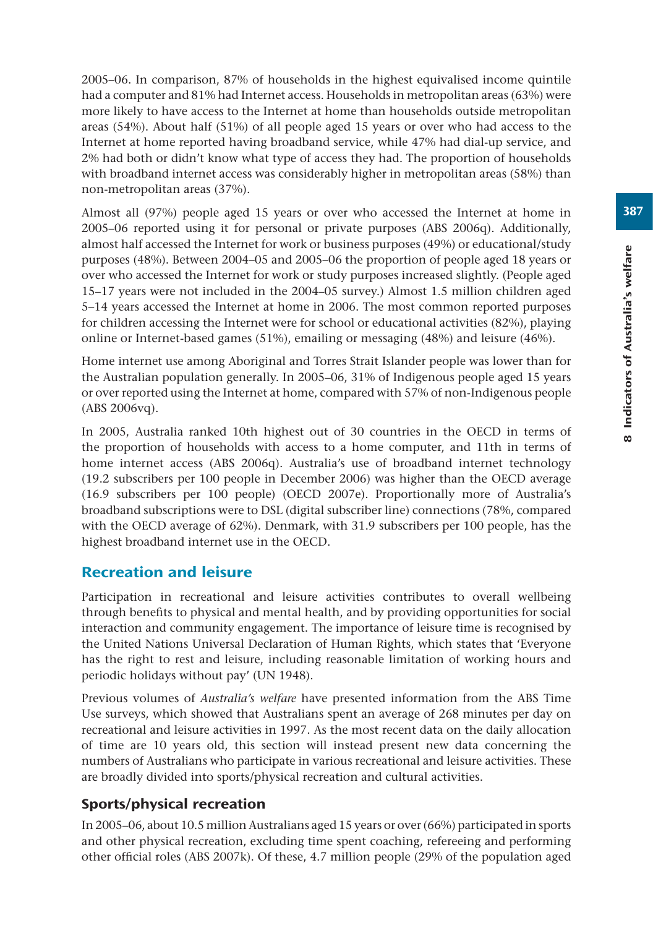2005–06. In comparison, 87% of households in the highest equivalised income quintile had a computer and 81% had Internet access. Households in metropolitan areas (63%) were more likely to have access to the Internet at home than households outside metropolitan areas (54%). About half (51%) of all people aged 15 years or over who had access to the Internet at home reported having broadband service, while 47% had dial-up service, and 2% had both or didn't know what type of access they had. The proportion of households with broadband internet access was considerably higher in metropolitan areas (58%) than non-metropolitan areas (37%).

Almost all (97%) people aged 15 years or over who accessed the Internet at home in 2005–06 reported using it for personal or private purposes (ABS 2006q). Additionally, almost half accessed the Internet for work or business purposes (49%) or educational/study purposes (48%). Between 2004–05 and 2005–06 the proportion of people aged 18 years or over who accessed the Internet for work or study purposes increased slightly. (People aged 15–17 years were not included in the 2004–05 survey.) Almost 1.5 million children aged 5–14 years accessed the Internet at home in 2006. The most common reported purposes for children accessing the Internet were for school or educational activities (82%), playing online or Internet-based games (51%), emailing or messaging (48%) and leisure (46%).

Home internet use among Aboriginal and Torres Strait Islander people was lower than for the Australian population generally. In 2005–06, 31% of Indigenous people aged 15 years or over reported using the Internet at home, compared with 57% of non-Indigenous people (ABS 2006vq).

In 2005, Australia ranked 10th highest out of 30 countries in the OECD in terms of the proportion of households with access to a home computer, and 11th in terms of home internet access (ABS 2006q). Australia's use of broadband internet technology (19.2 subscribers per 100 people in December 2006) was higher than the OECD average (16.9 subscribers per 100 people) (OECD 2007e). Proportionally more of Australia's broadband subscriptions were to DSL (digital subscriber line) connections (78%, compared with the OECD average of 62%). Denmark, with 31.9 subscribers per 100 people, has the highest broadband internet use in the OECD.

# Recreation and leisure

Participation in recreational and leisure activities contributes to overall wellbeing through benefits to physical and mental health, and by providing opportunities for social interaction and community engagement. The importance of leisure time is recognised by the United Nations Universal Declaration of Human Rights, which states that 'Everyone has the right to rest and leisure, including reasonable limitation of working hours and periodic holidays without pay' (UN 1948).

Previous volumes of *Australia's welfare* have presented information from the ABS Time Use surveys, which showed that Australians spent an average of 268 minutes per day on recreational and leisure activities in 1997. As the most recent data on the daily allocation of time are 10 years old, this section will instead present new data concerning the numbers of Australians who participate in various recreational and leisure activities. These are broadly divided into sports/physical recreation and cultural activities.

# Sports/physical recreation

In 2005–06, about 10.5 million Australians aged 15 years or over (66%) participated in sports and other physical recreation, excluding time spent coaching, refereeing and performing other official roles (ABS 2007k). Of these, 4.7 million people (29% of the population aged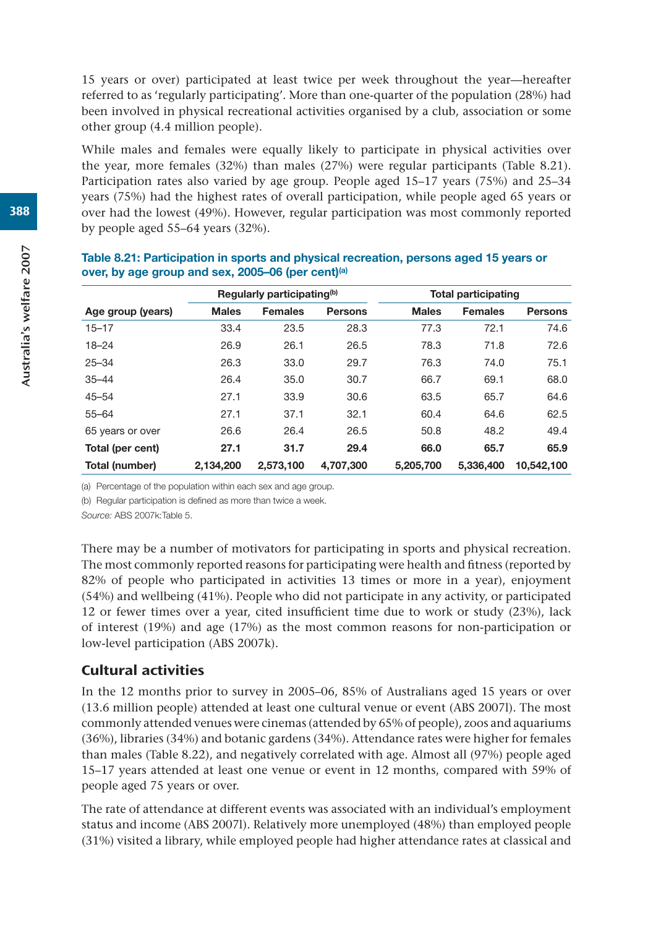15 years or over) participated at least twice per week throughout the year—hereafter referred to as 'regularly participating'. More than one-quarter of the population (28%) had been involved in physical recreational activities organised by a club, association or some other group (4.4 million people).

While males and females were equally likely to participate in physical activities over the year, more females (32%) than males (27%) were regular participants (Table 8.21). Participation rates also varied by age group. People aged 15–17 years (75%) and 25–34 years (75%) had the highest rates of overall participation, while people aged 65 years or over had the lowest (49%). However, regular participation was most commonly reported by people aged 55–64 years (32%).

|                   | Regularly participating <sup>(b)</sup> |                |                |              | <b>Total participating</b> |                |  |
|-------------------|----------------------------------------|----------------|----------------|--------------|----------------------------|----------------|--|
| Age group (years) | <b>Males</b>                           | <b>Females</b> | <b>Persons</b> | <b>Males</b> | <b>Females</b>             | <b>Persons</b> |  |
| $15 - 17$         | 33.4                                   | 23.5           | 28.3           | 77.3         | 72.1                       | 74.6           |  |
| $18 - 24$         | 26.9                                   | 26.1           | 26.5           | 78.3         | 71.8                       | 72.6           |  |
| $25 - 34$         | 26.3                                   | 33.0           | 29.7           | 76.3         | 74.0                       | 75.1           |  |
| $35 - 44$         | 26.4                                   | 35.0           | 30.7           | 66.7         | 69.1                       | 68.0           |  |
| $45 - 54$         | 27.1                                   | 33.9           | 30.6           | 63.5         | 65.7                       | 64.6           |  |
| $55 - 64$         | 27.1                                   | 37.1           | 32.1           | 60.4         | 64.6                       | 62.5           |  |
| 65 years or over  | 26.6                                   | 26.4           | 26.5           | 50.8         | 48.2                       | 49.4           |  |
| Total (per cent)  | 27.1                                   | 31.7           | 29.4           | 66.0         | 65.7                       | 65.9           |  |
| Total (number)    | 2,134,200                              | 2,573,100      | 4,707,300      | 5,205,700    | 5.336.400                  | 10.542.100     |  |

| Table 8.21: Participation in sports and physical recreation, persons aged 15 years or |
|---------------------------------------------------------------------------------------|
| over, by age group and sex, 2005–06 (per cent)(a)                                     |

(a) Percentage of the population within each sex and age group.

(b) Regular participation is defined as more than twice a week.

*Source:* ABS 2007k:Table 5.

There may be a number of motivators for participating in sports and physical recreation. The most commonly reported reasons for participating were health and fitness (reported by 82% of people who participated in activities 13 times or more in a year), enjoyment (54%) and wellbeing (41%). People who did not participate in any activity, or participated 12 or fewer times over a year, cited insufficient time due to work or study (23%), lack of interest (19%) and age (17%) as the most common reasons for non-participation or low-level participation (ABS 2007k).

## Cultural activities

In the 12 months prior to survey in 2005–06, 85% of Australians aged 15 years or over (13.6 million people) attended at least one cultural venue or event (ABS 2007l). The most commonly attended venues were cinemas (attended by 65% of people), zoos and aquariums (36%), libraries (34%) and botanic gardens (34%). Attendance rates were higher for females than males (Table 8.22), and negatively correlated with age. Almost all (97%) people aged 15–17 years attended at least one venue or event in 12 months, compared with 59% of people aged 75 years or over.

The rate of attendance at different events was associated with an individual's employment status and income (ABS 2007l). Relatively more unemployed (48%) than employed people (31%) visited a library, while employed people had higher attendance rates at classical and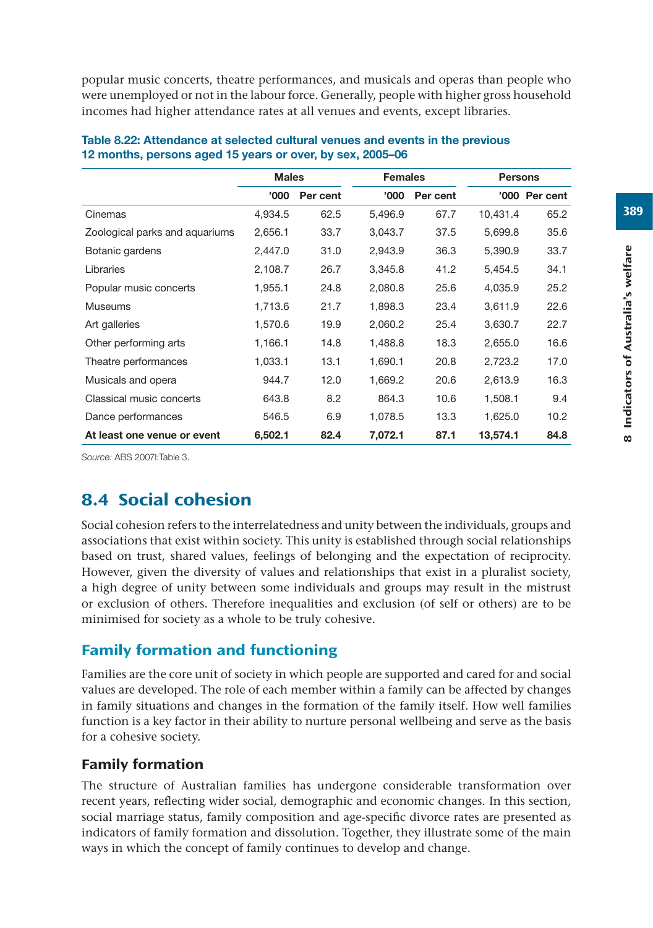popular music concerts, theatre performances, and musicals and operas than people who were unemployed or not in the labour force. Generally, people with higher gross household incomes had higher attendance rates at all venues and events, except libraries.

|                                | <b>Males</b> |          | <b>Females</b> |          | <b>Persons</b> |               |
|--------------------------------|--------------|----------|----------------|----------|----------------|---------------|
|                                | 000'         | Per cent | <b>'000</b>    | Per cent |                | '000 Per cent |
| Cinemas                        | 4.934.5      | 62.5     | 5,496.9        | 67.7     | 10,431.4       | 65.2          |
| Zoological parks and aquariums | 2,656.1      | 33.7     | 3,043.7        | 37.5     | 5,699.8        | 35.6          |
| Botanic gardens                | 2,447.0      | 31.0     | 2,943.9        | 36.3     | 5,390.9        | 33.7          |
| Libraries                      | 2,108.7      | 26.7     | 3,345.8        | 41.2     | 5,454.5        | 34.1          |
| Popular music concerts         | 1,955.1      | 24.8     | 2,080.8        | 25.6     | 4,035.9        | 25.2          |
| <b>Museums</b>                 | 1,713.6      | 21.7     | 1,898.3        | 23.4     | 3,611.9        | 22.6          |
| Art galleries                  | 1.570.6      | 19.9     | 2,060.2        | 25.4     | 3,630.7        | 22.7          |
| Other performing arts          | 1,166.1      | 14.8     | 1,488.8        | 18.3     | 2,655.0        | 16.6          |
| Theatre performances           | 1,033.1      | 13.1     | 1,690.1        | 20.8     | 2,723.2        | 17.0          |
| Musicals and opera             | 944.7        | 12.0     | 1,669.2        | 20.6     | 2,613.9        | 16.3          |
| Classical music concerts       | 643.8        | 8.2      | 864.3          | 10.6     | 1,508.1        | 9.4           |
| Dance performances             | 546.5        | 6.9      | 1,078.5        | 13.3     | 1,625.0        | 10.2          |
| At least one venue or event    | 6,502.1      | 82.4     | 7,072.1        | 87.1     | 13,574.1       | 84.8          |

#### **Table 8.22: Attendance at selected cultural venues and events in the previous 12 months, persons aged 15 years or over, by sex, 2005–06**

*Source:* ABS 2007l:Table 3.

# 8.4 Social cohesion

Social cohesion refers to the interrelatedness and unity between the individuals, groups and associations that exist within society. This unity is established through social relationships based on trust, shared values, feelings of belonging and the expectation of reciprocity. However, given the diversity of values and relationships that exist in a pluralist society, a high degree of unity between some individuals and groups may result in the mistrust or exclusion of others. Therefore inequalities and exclusion (of self or others) are to be minimised for society as a whole to be truly cohesive.

# Family formation and functioning

Families are the core unit of society in which people are supported and cared for and social values are developed. The role of each member within a family can be affected by changes in family situations and changes in the formation of the family itself. How well families function is a key factor in their ability to nurture personal wellbeing and serve as the basis for a cohesive society.

# Family formation

The structure of Australian families has undergone considerable transformation over recent years, reflecting wider social, demographic and economic changes. In this section, social marriage status, family composition and age-specific divorce rates are presented as indicators of family formation and dissolution. Together, they illustrate some of the main ways in which the concept of family continues to develop and change.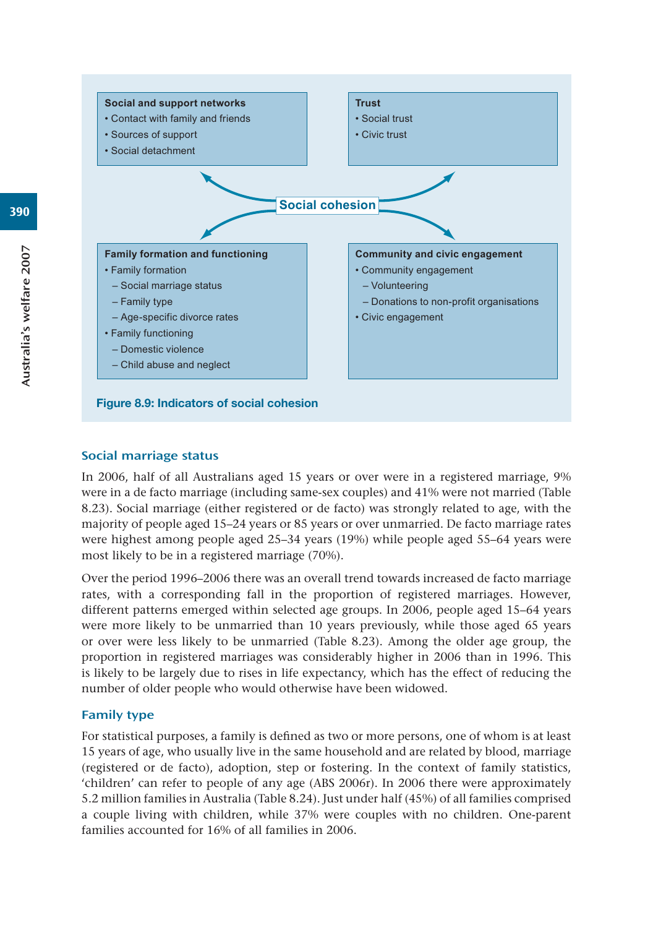

## Social marriage status

In 2006, half of all Australians aged 15 years or over were in a registered marriage, 9% were in a de facto marriage (including same-sex couples) and 41% were not married (Table 8.23). Social marriage (either registered or de facto) was strongly related to age, with the majority of people aged 15–24 years or 85 years or over unmarried. De facto marriage rates were highest among people aged 25–34 years (19%) while people aged 55–64 years were most likely to be in a registered marriage (70%).

Over the period 1996–2006 there was an overall trend towards increased de facto marriage rates, with a corresponding fall in the proportion of registered marriages. However, different patterns emerged within selected age groups. In 2006, people aged 15–64 years were more likely to be unmarried than 10 years previously, while those aged 65 years or over were less likely to be unmarried (Table 8.23). Among the older age group, the proportion in registered marriages was considerably higher in 2006 than in 1996. This is likely to be largely due to rises in life expectancy, which has the effect of reducing the number of older people who would otherwise have been widowed.

## Family type

For statistical purposes, a family is defined as two or more persons, one of whom is at least 15 years of age, who usually live in the same household and are related by blood, marriage (registered or de facto), adoption, step or fostering. In the context of family statistics, 'children' can refer to people of any age (ABS 2006r). In 2006 there were approximately 5.2 million families in Australia (Table 8.24). Just under half (45%) of all families comprised a couple living with children, while 37% were couples with no children. One-parent families accounted for 16% of all families in 2006.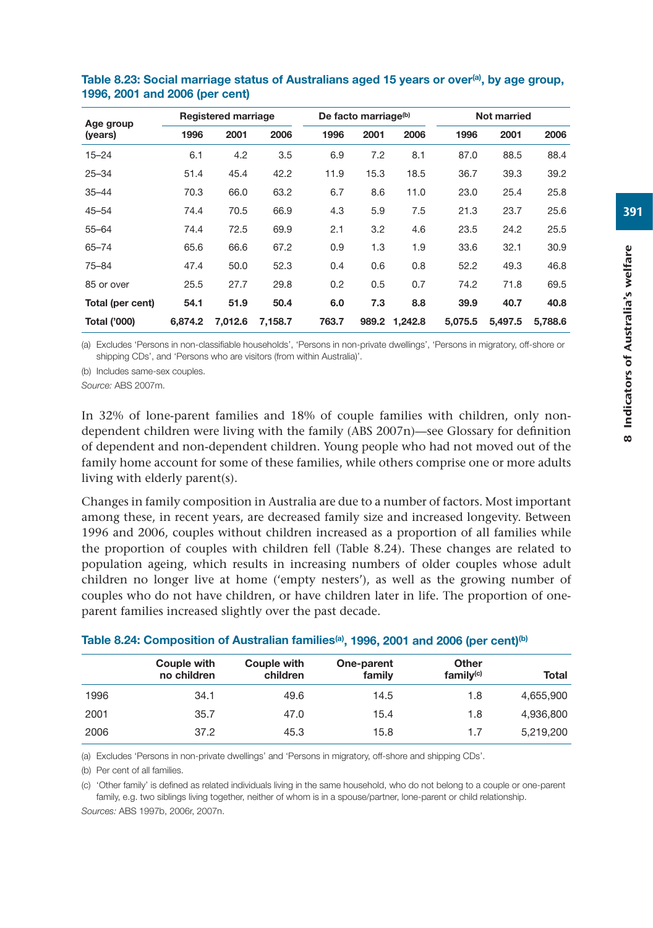| Age group           |         | Registered marriage |         |       | De facto marriage <sup>(b)</sup> |               |         | Not married |         |
|---------------------|---------|---------------------|---------|-------|----------------------------------|---------------|---------|-------------|---------|
| (years)             | 1996    | 2001                | 2006    | 1996  | 2001                             | 2006          | 1996    | 2001        | 2006    |
| $15 - 24$           | 6.1     | 4.2                 | 3.5     | 6.9   | 7.2                              | 8.1           | 87.0    | 88.5        | 88.4    |
| $25 - 34$           | 51.4    | 45.4                | 42.2    | 11.9  | 15.3                             | 18.5          | 36.7    | 39.3        | 39.2    |
| $35 - 44$           | 70.3    | 66.0                | 63.2    | 6.7   | 8.6                              | 11.0          | 23.0    | 25.4        | 25.8    |
| $45 - 54$           | 74.4    | 70.5                | 66.9    | 4.3   | 5.9                              | 7.5           | 21.3    | 23.7        | 25.6    |
| $55 - 64$           | 74.4    | 72.5                | 69.9    | 2.1   | 3.2                              | 4.6           | 23.5    | 24.2        | 25.5    |
| $65 - 74$           | 65.6    | 66.6                | 67.2    | 0.9   | 1.3                              | 1.9           | 33.6    | 32.1        | 30.9    |
| $75 - 84$           | 47.4    | 50.0                | 52.3    | 0.4   | 0.6                              | 0.8           | 52.2    | 49.3        | 46.8    |
| 85 or over          | 25.5    | 27.7                | 29.8    | 0.2   | 0.5                              | 0.7           | 74.2    | 71.8        | 69.5    |
| Total (per cent)    | 54.1    | 51.9                | 50.4    | 6.0   | 7.3                              | 8.8           | 39.9    | 40.7        | 40.8    |
| <b>Total ('000)</b> | 6.874.2 | 7.012.6             | 7.158.7 | 763.7 |                                  | 989.2 1,242.8 | 5.075.5 | 5.497.5     | 5.788.6 |

#### Table 8.23: Social marriage status of Australians aged 15 years or over<sup>(a)</sup>, by age group, **1996, 2001 and 2006 (per cent)**

(a) Excludes 'Persons in non-classifiable households', 'Persons in non-private dwellings', 'Persons in migratory, off-shore or shipping CDs', and 'Persons who are visitors (from within Australia)'.

(b) Includes same-sex couples.

*Source:* ABS 2007m.

In 32% of lone-parent families and 18% of couple families with children, only nondependent children were living with the family (ABS 2007n)—see Glossary for definition of dependent and non-dependent children. Young people who had not moved out of the family home account for some of these families, while others comprise one or more adults living with elderly parent(s).

Changes in family composition in Australia are due to a number of factors. Most important among these, in recent years, are decreased family size and increased longevity. Between 1996 and 2006, couples without children increased as a proportion of all families while the proportion of couples with children fell (Table 8.24). These changes are related to population ageing, which results in increasing numbers of older couples whose adult children no longer live at home ('empty nesters'), as well as the growing number of couples who do not have children, or have children later in life. The proportion of oneparent families increased slightly over the past decade.

|      | Couple with<br>no children | Couple with<br>children | One-parent<br>family | Other<br>family <sup>(c)</sup> | Total     |
|------|----------------------------|-------------------------|----------------------|--------------------------------|-----------|
| 1996 | 34.1                       | 49.6                    | 14.5                 | 1.8                            | 4,655,900 |
| 2001 | 35.7                       | 47.0                    | 15.4                 | 1.8                            | 4,936,800 |
| 2006 | 37.2                       | 45.3                    | 15.8                 | 1.7                            | 5,219,200 |

#### Table 8.24: Composition of Australian families<sup>(a)</sup>, 1996, 2001 and 2006 (per cent)<sup>(b)</sup>

(a) Excludes 'Persons in non-private dwellings' and 'Persons in migratory, off-shore and shipping CDs'.

(b) Per cent of all families.

(c) 'Other family' is defined as related individuals living in the same household, who do not belong to a couple or one-parent family, e.g. two siblings living together, neither of whom is in a spouse/partner, lone-parent or child relationship.

*Sources:* ABS 1997b, 2006r, 2007n.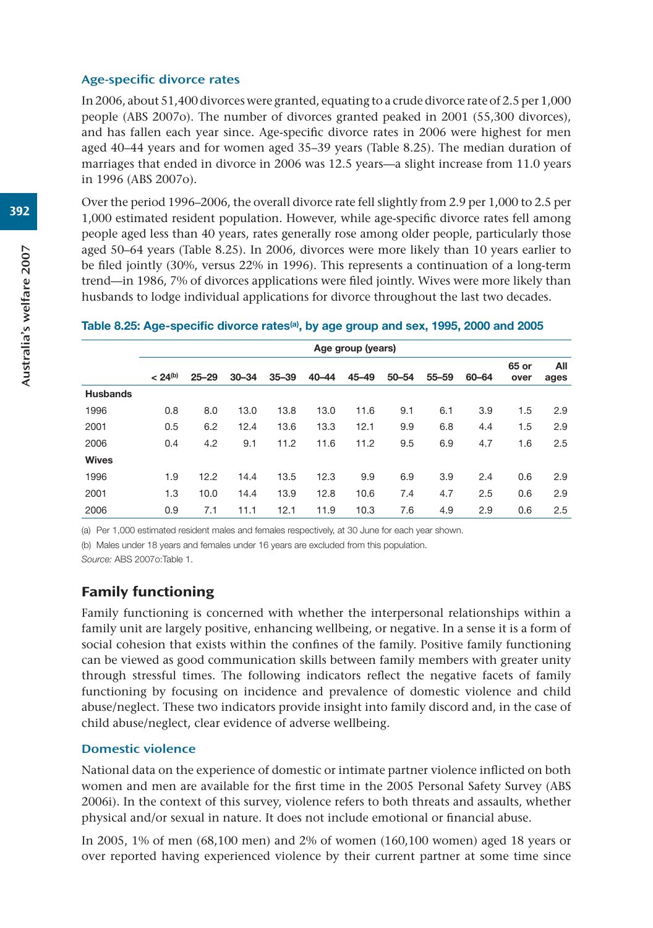#### Age-specific divorce rates

In 2006, about 51,400 divorces were granted, equating to a crude divorce rate of 2.5 per 1,000 people (ABS 2007o). The number of divorces granted peaked in 2001 (55,300 divorces), and has fallen each year since. Age-specific divorce rates in 2006 were highest for men aged 40–44 years and for women aged 35–39 years (Table 8.25). The median duration of marriages that ended in divorce in 2006 was 12.5 years—a slight increase from 11.0 years in 1996 (ABS 2007o).

Over the period 1996–2006, the overall divorce rate fell slightly from 2.9 per 1,000 to 2.5 per 1,000 estimated resident population. However, while age-specific divorce rates fell among people aged less than 40 years, rates generally rose among older people, particularly those aged 50–64 years (Table 8.25). In 2006, divorces were more likely than 10 years earlier to be filed jointly (30%, versus 22% in 1996). This represents a continuation of a long-term trend—in 1986, 7% of divorces applications were filed jointly. Wives were more likely than husbands to lodge individual applications for divorce throughout the last two decades.

#### **Table 8.25: Age-specific divorce rates(a), by age group and sex, 1995, 2000 and 2005**

|                 | Age group (years) |           |           |           |           |           |           |           |       |               |             |
|-----------------|-------------------|-----------|-----------|-----------|-----------|-----------|-----------|-----------|-------|---------------|-------------|
|                 | $< 24^{(b)}$      | $25 - 29$ | $30 - 34$ | $35 - 39$ | $40 - 44$ | $45 - 49$ | $50 - 54$ | $55 - 59$ | 60-64 | 65 or<br>over | All<br>ages |
| <b>Husbands</b> |                   |           |           |           |           |           |           |           |       |               |             |
| 1996            | 0.8               | 8.0       | 13.0      | 13.8      | 13.0      | 11.6      | 9.1       | 6.1       | 3.9   | 1.5           | 2.9         |
| 2001            | 0.5               | 6.2       | 12.4      | 13.6      | 13.3      | 12.1      | 9.9       | 6.8       | 4.4   | 1.5           | 2.9         |
| 2006            | 0.4               | 4.2       | 9.1       | 11.2      | 11.6      | 11.2      | 9.5       | 6.9       | 4.7   | 1.6           | 2.5         |
| Wives           |                   |           |           |           |           |           |           |           |       |               |             |
| 1996            | 1.9               | 12.2      | 14.4      | 13.5      | 12.3      | 9.9       | 6.9       | 3.9       | 2.4   | 0.6           | 2.9         |
| 2001            | 1.3               | 10.0      | 14.4      | 13.9      | 12.8      | 10.6      | 7.4       | 4.7       | 2.5   | 0.6           | 2.9         |
| 2006            | 0.9               | 7.1       | 11.1      | 12.1      | 11.9      | 10.3      | 7.6       | 4.9       | 2.9   | 0.6           | 2.5         |

(a) Per 1,000 estimated resident males and females respectively, at 30 June for each year shown.

(b) Males under 18 years and females under 16 years are excluded from this population.

*Source:* ABS 2007o:Table 1.

## Family functioning

Family functioning is concerned with whether the interpersonal relationships within a family unit are largely positive, enhancing wellbeing, or negative. In a sense it is a form of social cohesion that exists within the confines of the family. Positive family functioning can be viewed as good communication skills between family members with greater unity through stressful times. The following indicators reflect the negative facets of family functioning by focusing on incidence and prevalence of domestic violence and child abuse/neglect. These two indicators provide insight into family discord and, in the case of child abuse/neglect, clear evidence of adverse wellbeing.

#### Domestic violence

National data on the experience of domestic or intimate partner violence inflicted on both women and men are available for the first time in the 2005 Personal Safety Survey (ABS 2006i). In the context of this survey, violence refers to both threats and assaults, whether physical and/or sexual in nature. It does not include emotional or financial abuse.

In 2005, 1% of men (68,100 men) and 2% of women (160,100 women) aged 18 years or over reported having experienced violence by their current partner at some time since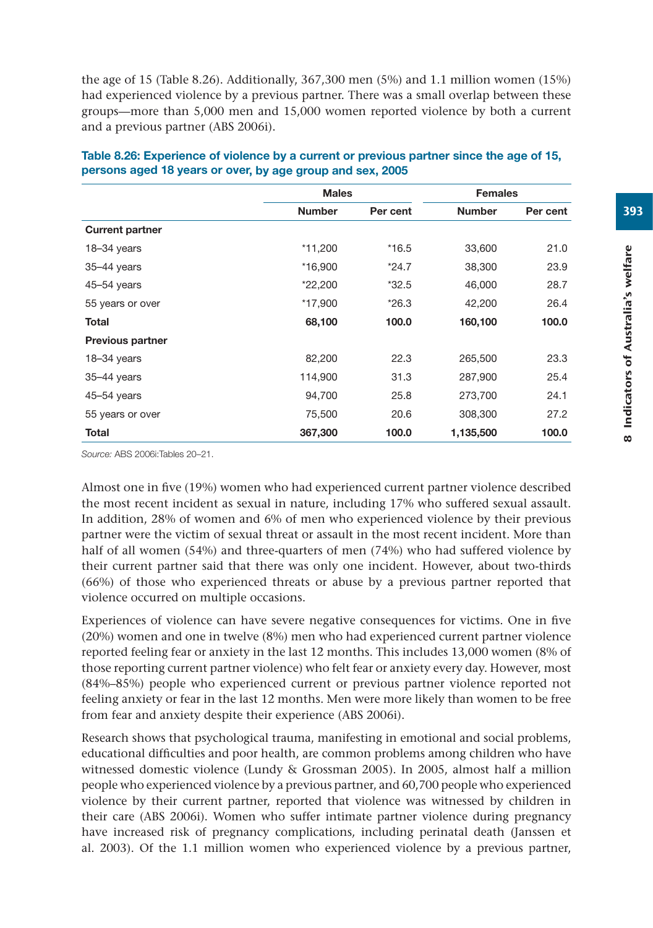the age of 15 (Table 8.26). Additionally, 367,300 men (5%) and 1.1 million women (15%) had experienced violence by a previous partner. There was a small overlap between these groups—more than 5,000 men and 15,000 women reported violence by both a current and a previous partner (ABS 2006i).

|                         | <b>Males</b>  |          | <b>Females</b> |          |
|-------------------------|---------------|----------|----------------|----------|
|                         | <b>Number</b> | Per cent | <b>Number</b>  | Per cent |
| <b>Current partner</b>  |               |          |                |          |
| $18 - 34$ years         | *11,200       | $*16.5$  | 33,600         | 21.0     |
| 35-44 years             | *16,900       | $*24.7$  | 38,300         | 23.9     |
| $45 - 54$ years         | $*22,200$     | $*32.5$  | 46,000         | 28.7     |
| 55 years or over        | *17,900       | $*26.3$  | 42,200         | 26.4     |
| <b>Total</b>            | 68,100        | 100.0    | 160,100        | 100.0    |
| <b>Previous partner</b> |               |          |                |          |
| $18 - 34$ years         | 82,200        | 22.3     | 265,500        | 23.3     |
| $35 - 44$ years         | 114,900       | 31.3     | 287,900        | 25.4     |
| $45 - 54$ years         | 94,700        | 25.8     | 273,700        | 24.1     |
| 55 years or over        | 75,500        | 20.6     | 308,300        | 27.2     |
| <b>Total</b>            | 367,300       | 100.0    | 1,135,500      | 100.0    |

| Table 8.26: Experience of violence by a current or previous partner since the age of 15, |
|------------------------------------------------------------------------------------------|
| persons aged 18 years or over, by age group and sex, 2005                                |

*Source:* ABS 2006i:Tables 20–21.

Almost one in five (19%) women who had experienced current partner violence described the most recent incident as sexual in nature, including 17% who suffered sexual assault. In addition, 28% of women and 6% of men who experienced violence by their previous partner were the victim of sexual threat or assault in the most recent incident. More than half of all women (54%) and three-quarters of men (74%) who had suffered violence by their current partner said that there was only one incident. However, about two-thirds (66%) of those who experienced threats or abuse by a previous partner reported that violence occurred on multiple occasions.

Experiences of violence can have severe negative consequences for victims. One in five (20%) women and one in twelve (8%) men who had experienced current partner violence reported feeling fear or anxiety in the last 12 months. This includes 13,000 women (8% of those reporting current partner violence) who felt fear or anxiety every day. However, most (84%–85%) people who experienced current or previous partner violence reported not feeling anxiety or fear in the last 12 months. Men were more likely than women to be free from fear and anxiety despite their experience (ABS 2006i).

Research shows that psychological trauma, manifesting in emotional and social problems, educational difficulties and poor health, are common problems among children who have witnessed domestic violence (Lundy & Grossman 2005). In 2005, almost half a million people who experienced violence by a previous partner, and 60,700 people who experienced violence by their current partner, reported that violence was witnessed by children in their care (ABS 2006i). Women who suffer intimate partner violence during pregnancy have increased risk of pregnancy complications, including perinatal death (Janssen et al. 2003). Of the 1.1 million women who experienced violence by a previous partner,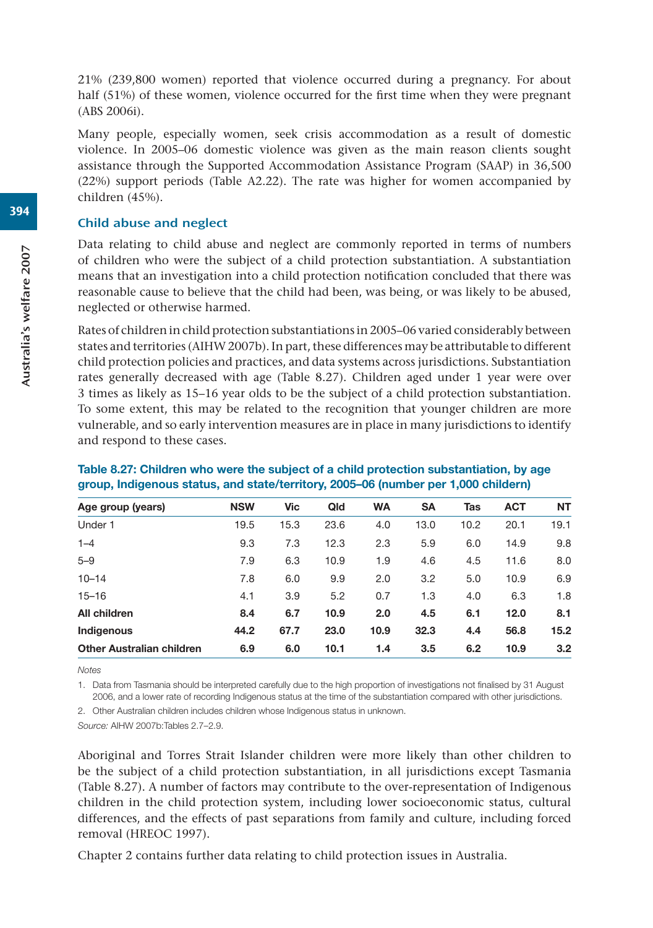21% (239,800 women) reported that violence occurred during a pregnancy. For about half (51%) of these women, violence occurred for the first time when they were pregnant (ABS 2006i).

Many people, especially women, seek crisis accommodation as a result of domestic violence. In 2005–06 domestic violence was given as the main reason clients sought assistance through the Supported Accommodation Assistance Program (SAAP) in 36,500 (22%) support periods (Table A2.22). The rate was higher for women accompanied by children (45%).

#### Child abuse and neglect

Data relating to child abuse and neglect are commonly reported in terms of numbers of children who were the subject of a child protection substantiation. A substantiation means that an investigation into a child protection notification concluded that there was reasonable cause to believe that the child had been, was being, or was likely to be abused, neglected or otherwise harmed.

Rates of children in child protection substantiations in 2005–06 varied considerably between states and territories (AIHW 2007b). In part, these differences may be attributable to different child protection policies and practices, and data systems across jurisdictions. Substantiation rates generally decreased with age (Table 8.27). Children aged under 1 year were over 3 times as likely as 15–16 year olds to be the subject of a child protection substantiation. To some extent, this may be related to the recognition that younger children are more vulnerable, and so early intervention measures are in place in many jurisdictions to identify and respond to these cases.

| Age group (years)                | <b>NSW</b> | Vic  | Qld  | <b>WA</b> | <b>SA</b> | Tas  | <b>ACT</b> | <b>NT</b> |
|----------------------------------|------------|------|------|-----------|-----------|------|------------|-----------|
| Under 1                          | 19.5       | 15.3 | 23.6 | 4.0       | 13.0      | 10.2 | 20.1       | 19.1      |
| $1 - 4$                          | 9.3        | 7.3  | 12.3 | 2.3       | 5.9       | 6.0  | 14.9       | 9.8       |
| $5 - 9$                          | 7.9        | 6.3  | 10.9 | 1.9       | 4.6       | 4.5  | 11.6       | 8.0       |
| $10 - 14$                        | 7.8        | 6.0  | 9.9  | 2.0       | 3.2       | 5.0  | 10.9       | 6.9       |
| $15 - 16$                        | 4.1        | 3.9  | 5.2  | 0.7       | 1.3       | 4.0  | 6.3        | 1.8       |
| All children                     | 8.4        | 6.7  | 10.9 | 2.0       | 4.5       | 6.1  | 12.0       | 8.1       |
| Indigenous                       | 44.2       | 67.7 | 23.0 | 10.9      | 32.3      | 4.4  | 56.8       | 15.2      |
| <b>Other Australian children</b> | 6.9        | 6.0  | 10.1 | 1.4       | 3.5       | 6.2  | 10.9       | 3.2       |
|                                  |            |      |      |           |           |      |            |           |

## **Table 8.27: Children who were the subject of a child protection substantiation, by age group, Indigenous status, and state/territory, 2005–06 (number per 1,000 childern)**

*Notes*

1. Data from Tasmania should be interpreted carefully due to the high proportion of investigations not finalised by 31 August 2006, and a lower rate of recording Indigenous status at the time of the substantiation compared with other jurisdictions.

2. Other Australian children includes children whose Indigenous status in unknown.

*Source:* AIHW 2007b:Tables 2.7–2.9.

Aboriginal and Torres Strait Islander children were more likely than other children to be the subject of a child protection substantiation, in all jurisdictions except Tasmania (Table 8.27). A number of factors may contribute to the over-representation of Indigenous children in the child protection system, including lower socioeconomic status, cultural differences, and the effects of past separations from family and culture, including forced removal (HREOC 1997).

Chapter 2 contains further data relating to child protection issues in Australia.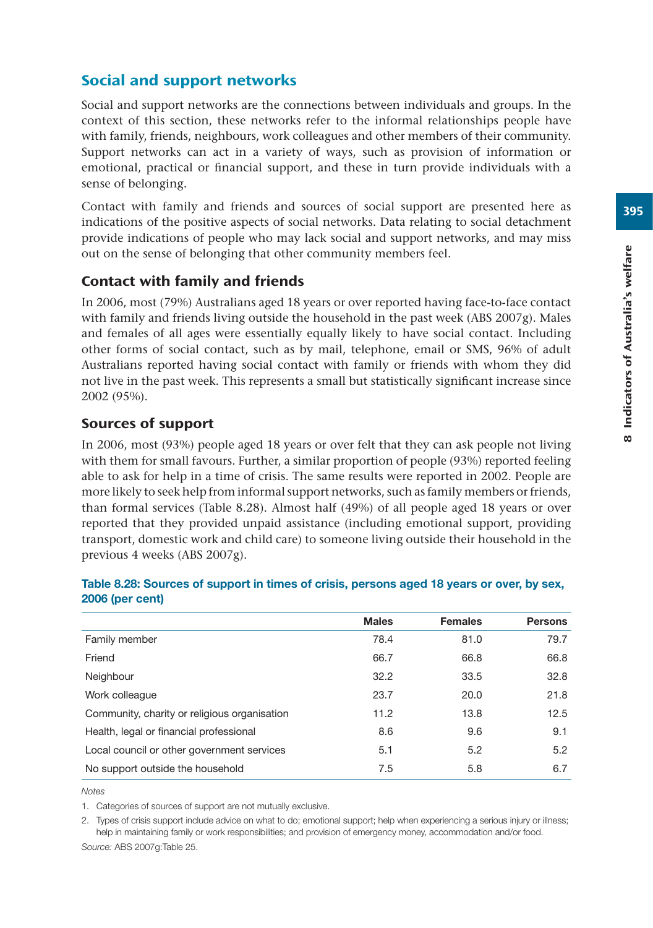# Social and support networks

Social and support networks are the connections between individuals and groups. In the context of this section, these networks refer to the informal relationships people have with family, friends, neighbours, work colleagues and other members of their community. Support networks can act in a variety of ways, such as provision of information or emotional, practical or financial support, and these in turn provide individuals with a sense of belonging.

Contact with family and friends and sources of social support are presented here as indications of the positive aspects of social networks. Data relating to social detachment provide indications of people who may lack social and support networks, and may miss out on the sense of belonging that other community members feel.

# Contact with family and friends

In 2006, most (79%) Australians aged 18 years or over reported having face-to-face contact with family and friends living outside the household in the past week (ABS 2007g). Males and females of all ages were essentially equally likely to have social contact. Including other forms of social contact, such as by mail, telephone, email or SMS, 96% of adult Australians reported having social contact with family or friends with whom they did not live in the past week. This represents a small but statistically significant increase since 2002 (95%).

# Sources of support

In 2006, most (93%) people aged 18 years or over felt that they can ask people not living with them for small favours. Further, a similar proportion of people (93%) reported feeling able to ask for help in a time of crisis. The same results were reported in 2002. People are more likely to seek help from informal support networks, such as family members or friends, than formal services (Table 8.28). Almost half (49%) of all people aged 18 years or over reported that they provided unpaid assistance (including emotional support, providing transport, domestic work and child care) to someone living outside their household in the previous 4 weeks (ABS 2007g).

| <b>Males</b> | <b>Females</b> | <b>Persons</b> |
|--------------|----------------|----------------|
| 78.4         | 81.0           | 79.7           |
| 66.7         | 66.8           | 66.8           |
| 32.2         | 33.5           | 32.8           |
| 23.7         | 20.0           | 21.8           |
| 11.2         | 13.8           | 12.5           |
| 8.6          | 9.6            | 9.1            |
| 5.1          | 5.2            | 5.2            |
| 7.5          | 5.8            | 6.7            |
|              |                |                |

## **Table 8.28: Sources of support in times of crisis, persons aged 18 years or over, by sex, 2006 (per cent)**

*Notes*

1. Categories of sources of support are not mutually exclusive.

2. Types of crisis support include advice on what to do; emotional support; help when experiencing a serious injury or illness; help in maintaining family or work responsibilities; and provision of emergency money, accommodation and/or food. *Source:* ABS 2007g:Table 25.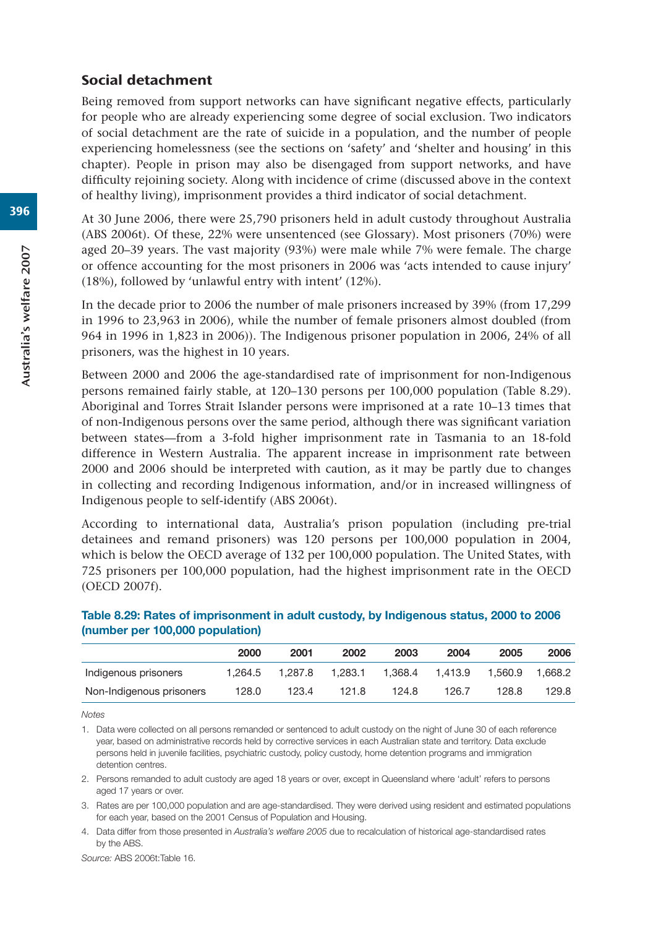## Social detachment

Being removed from support networks can have significant negative effects, particularly for people who are already experiencing some degree of social exclusion. Two indicators of social detachment are the rate of suicide in a population, and the number of people experiencing homelessness (see the sections on 'safety' and 'shelter and housing' in this chapter). People in prison may also be disengaged from support networks, and have difficulty rejoining society. Along with incidence of crime (discussed above in the context of healthy living), imprisonment provides a third indicator of social detachment.

At 30 June 2006, there were 25,790 prisoners held in adult custody throughout Australia (ABS 2006t). Of these, 22% were unsentenced (see Glossary). Most prisoners (70%) were aged 20–39 years. The vast majority (93%) were male while 7% were female. The charge or offence accounting for the most prisoners in 2006 was 'acts intended to cause injury' (18%), followed by 'unlawful entry with intent' (12%).

In the decade prior to 2006 the number of male prisoners increased by 39% (from 17,299 in 1996 to 23,963 in 2006), while the number of female prisoners almost doubled (from 964 in 1996 in 1,823 in 2006)). The Indigenous prisoner population in 2006, 24% of all prisoners, was the highest in 10 years.

Between 2000 and 2006 the age-standardised rate of imprisonment for non-Indigenous persons remained fairly stable, at 120–130 persons per 100,000 population (Table 8.29). Aboriginal and Torres Strait Islander persons were imprisoned at a rate 10–13 times that of non-Indigenous persons over the same period, although there was significant variation between states—from a 3-fold higher imprisonment rate in Tasmania to an 18-fold difference in Western Australia. The apparent increase in imprisonment rate between 2000 and 2006 should be interpreted with caution, as it may be partly due to changes in collecting and recording Indigenous information, and/or in increased willingness of Indigenous people to self-identify (ABS 2006t).

According to international data, Australia's prison population (including pre-trial detainees and remand prisoners) was 120 persons per 100,000 population in 2004, which is below the OECD average of 132 per 100,000 population. The United States, with 725 prisoners per 100,000 population, had the highest imprisonment rate in the OECD (OECD 2007f).

|                          | 2000    | 2001    | 2002    | 2003    | 2004    | 2005    | 2006    |
|--------------------------|---------|---------|---------|---------|---------|---------|---------|
| Indigenous prisoners     | 1.264.5 | 1.287.8 | 1.283.1 | 1.368.4 | 1.413.9 | 1.560.9 | 1.668.2 |
| Non-Indigenous prisoners | 128.0   | 123.4   | 121.8   | 124.8   | 126.7   | 128.8   | 129.8   |

## **Table 8.29: Rates of imprisonment in adult custody, by Indigenous status, 2000 to 2006 (number per 100,000 population)**

*Notes*

1. Data were collected on all persons remanded or sentenced to adult custody on the night of June 30 of each reference year, based on administrative records held by corrective services in each Australian state and territory. Data exclude persons held in juvenile facilities, psychiatric custody, policy custody, home detention programs and immigration detention centres.

2. Persons remanded to adult custody are aged 18 years or over, except in Queensland where 'adult' refers to persons aged 17 years or over.

3. Rates are per 100,000 population and are age-standardised. They were derived using resident and estimated populations for each year, based on the 2001 Census of Population and Housing.

4. Data differ from those presented in *Australia's welfare 2005* due to recalculation of historical age-standardised rates by the ABS.

*Source:* ABS 2006t:Table 16.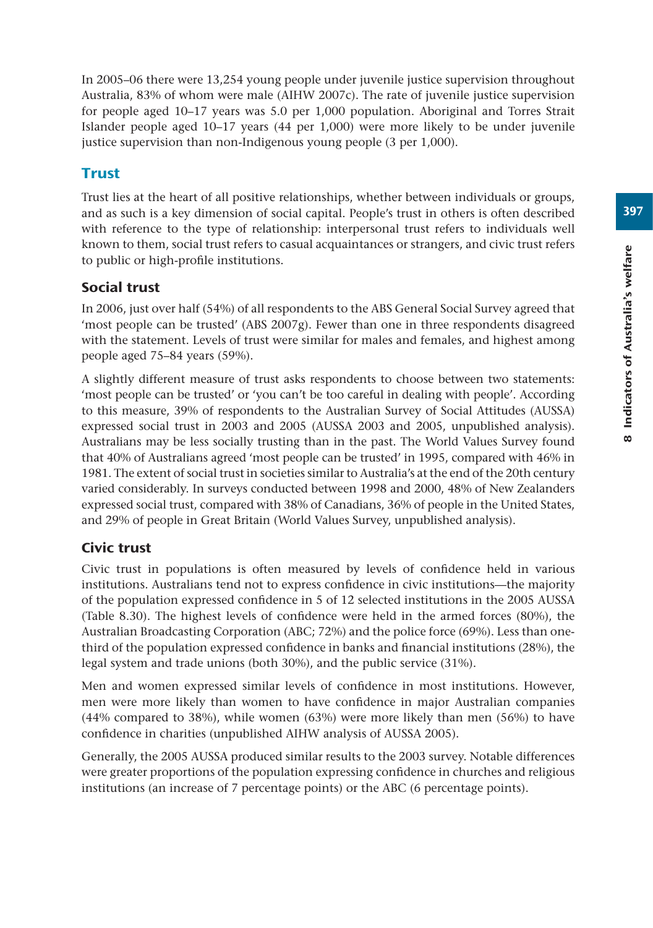In 2005–06 there were 13,254 young people under juvenile justice supervision throughout Australia, 83% of whom were male (AIHW 2007c). The rate of juvenile justice supervision for people aged 10–17 years was 5.0 per 1,000 population. Aboriginal and Torres Strait Islander people aged 10–17 years (44 per 1,000) were more likely to be under juvenile justice supervision than non-Indigenous young people (3 per 1,000).

# **Trust**

Trust lies at the heart of all positive relationships, whether between individuals or groups, and as such is a key dimension of social capital. People's trust in others is often described with reference to the type of relationship: interpersonal trust refers to individuals well known to them, social trust refers to casual acquaintances or strangers, and civic trust refers to public or high-profile institutions.

# Social trust

In 2006, just over half (54%) of all respondents to the ABS General Social Survey agreed that 'most people can be trusted' (ABS 2007g). Fewer than one in three respondents disagreed with the statement. Levels of trust were similar for males and females, and highest among people aged 75–84 years (59%).

A slightly different measure of trust asks respondents to choose between two statements: 'most people can be trusted' or 'you can't be too careful in dealing with people'. According to this measure, 39% of respondents to the Australian Survey of Social Attitudes (AUSSA) expressed social trust in 2003 and 2005 (AUSSA 2003 and 2005, unpublished analysis). Australians may be less socially trusting than in the past. The World Values Survey found that 40% of Australians agreed 'most people can be trusted' in 1995, compared with 46% in 1981. The extent of social trust in societies similar to Australia's at the end of the 20th century varied considerably. In surveys conducted between 1998 and 2000, 48% of New Zealanders expressed social trust, compared with 38% of Canadians, 36% of people in the United States, and 29% of people in Great Britain (World Values Survey, unpublished analysis).

# Civic trust

Civic trust in populations is often measured by levels of confidence held in various institutions. Australians tend not to express confidence in civic institutions—the majority of the population expressed confidence in 5 of 12 selected institutions in the 2005 AUSSA (Table 8.30). The highest levels of confidence were held in the armed forces (80%), the Australian Broadcasting Corporation (ABC; 72%) and the police force (69%). Less than onethird of the population expressed confidence in banks and financial institutions (28%), the legal system and trade unions (both 30%), and the public service (31%).

Men and women expressed similar levels of confidence in most institutions. However, men were more likely than women to have confidence in major Australian companies (44% compared to 38%), while women (63%) were more likely than men (56%) to have confidence in charities (unpublished AIHW analysis of AUSSA 2005).

Generally, the 2005 AUSSA produced similar results to the 2003 survey. Notable differences were greater proportions of the population expressing confidence in churches and religious institutions (an increase of 7 percentage points) or the ABC (6 percentage points).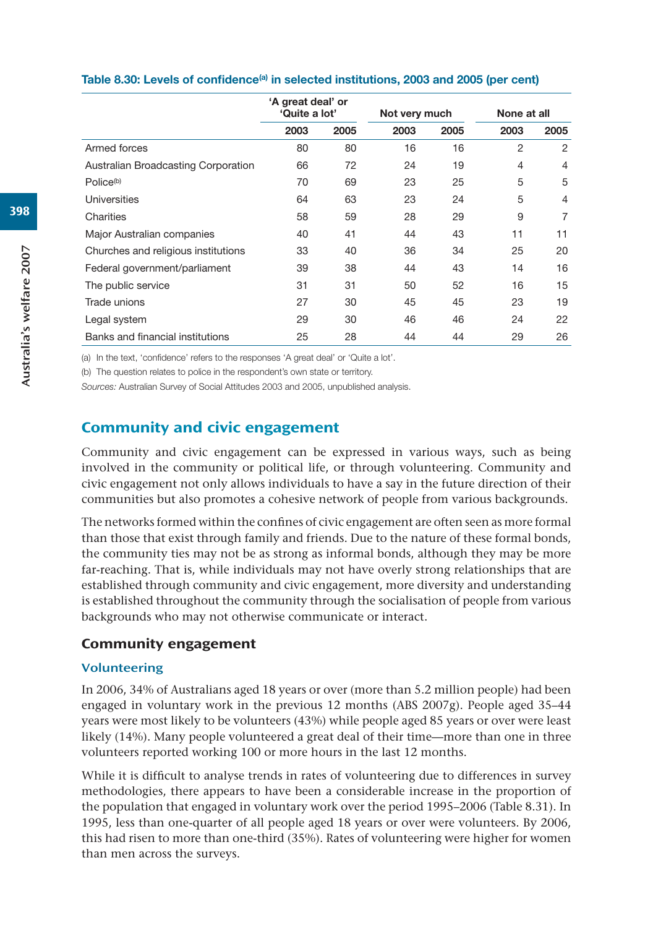|                                     | 'A great deal' or<br>'Quite a lot' |      | Not very much |      | None at all    |                |  |
|-------------------------------------|------------------------------------|------|---------------|------|----------------|----------------|--|
|                                     | 2003                               | 2005 | 2003          | 2005 | 2003           | 2005           |  |
| Armed forces                        | 80                                 | 80   | 16            | 16   | $\overline{2}$ | 2              |  |
| Australian Broadcasting Corporation | 66                                 | 72   | 24            | 19   | $\overline{4}$ | 4              |  |
| Police <sup>(b)</sup>               | 70                                 | 69   | 23            | 25   | 5              | 5              |  |
| Universities                        | 64                                 | 63   | 23            | 24   | 5              | $\overline{4}$ |  |
| Charities                           | 58                                 | 59   | 28            | 29   | 9              | 7              |  |
| Major Australian companies          | 40                                 | 41   | 44            | 43   | 11             | 11             |  |
| Churches and religious institutions | 33                                 | 40   | 36            | 34   | 25             | 20             |  |
| Federal government/parliament       | 39                                 | 38   | 44            | 43   | 14             | 16             |  |
| The public service                  | 31                                 | 31   | 50            | 52   | 16             | 15             |  |
| Trade unions                        | 27                                 | 30   | 45            | 45   | 23             | 19             |  |
| Legal system                        | 29                                 | 30   | 46            | 46   | 24             | 22             |  |
| Banks and financial institutions    | 25                                 | 28   | 44            | 44   | 29             | 26             |  |

#### Table 8.30: Levels of confidence<sup>(a)</sup> in selected institutions, 2003 and 2005 (per cent)

(a) In the text, 'confidence' refers to the responses 'A great deal' or 'Quite a lot'.

(b) The question relates to police in the respondent's own state or territory.

*Sources:* Australian Survey of Social Attitudes 2003 and 2005, unpublished analysis.

# Community and civic engagement

Community and civic engagement can be expressed in various ways, such as being involved in the community or political life, or through volunteering. Community and civic engagement not only allows individuals to have a say in the future direction of their communities but also promotes a cohesive network of people from various backgrounds.

The networks formed within the confines of civic engagement are often seen as more formal than those that exist through family and friends. Due to the nature of these formal bonds, the community ties may not be as strong as informal bonds, although they may be more far-reaching. That is, while individuals may not have overly strong relationships that are established through community and civic engagement, more diversity and understanding is established throughout the community through the socialisation of people from various backgrounds who may not otherwise communicate or interact.

## Community engagement

## Volunteering

In 2006, 34% of Australians aged 18 years or over (more than 5.2 million people) had been engaged in voluntary work in the previous 12 months (ABS  $2007g$ ). People aged 35–44 years were most likely to be volunteers (43%) while people aged 85 years or over were least likely (14%). Many people volunteered a great deal of their time—more than one in three volunteers reported working 100 or more hours in the last 12 months.

While it is difficult to analyse trends in rates of volunteering due to differences in survey methodologies, there appears to have been a considerable increase in the proportion of the population that engaged in voluntary work over the period 1995–2006 (Table 8.31). In 1995, less than one-quarter of all people aged 18 years or over were volunteers. By 2006, this had risen to more than one-third (35%). Rates of volunteering were higher for women than men across the surveys.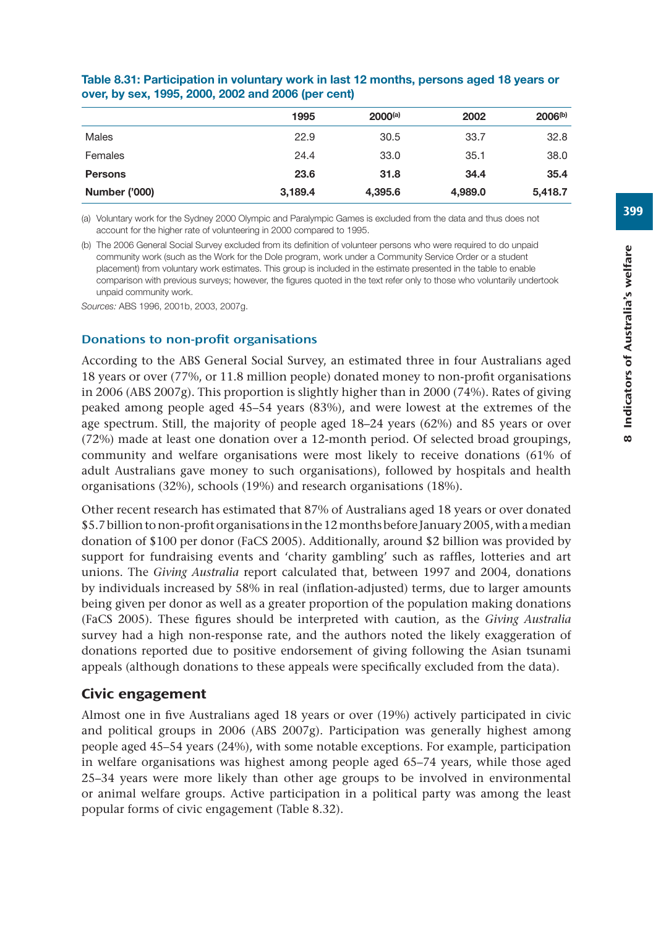|                      | 1995    | $2000^{(a)}$ | 2002    | $2006^{(b)}$ |
|----------------------|---------|--------------|---------|--------------|
| Males                | 22.9    | 30.5         | 33.7    | 32.8         |
| Females              | 24.4    | 33.0         | 35.1    | 38.0         |
| <b>Persons</b>       | 23.6    | 31.8         | 34.4    | 35.4         |
| <b>Number ('000)</b> | 3,189.4 | 4,395.6      | 4,989.0 | 5,418.7      |

## **Table 8.31: Participation in voluntary work in last 12 months, persons aged 18 years or over, by sex, 1995, 2000, 2002 and 2006 (per cent)**

(a) Voluntary work for the Sydney 2000 Olympic and Paralympic Games is excluded from the data and thus does not account for the higher rate of volunteering in 2000 compared to 1995.

(b) The 2006 General Social Survey excluded from its definition of volunteer persons who were required to do unpaid community work (such as the Work for the Dole program, work under a Community Service Order or a student placement) from voluntary work estimates. This group is included in the estimate presented in the table to enable comparison with previous surveys; however, the figures quoted in the text refer only to those who voluntarily undertook unpaid community work.

*Sources:* ABS 1996, 2001b, 2003, 2007g.

## Donations to non-profit organisations

According to the ABS General Social Survey, an estimated three in four Australians aged 18 years or over (77%, or 11.8 million people) donated money to non-profit organisations in 2006 (ABS 2007g). This proportion is slightly higher than in 2000 (74%). Rates of giving peaked among people aged 45–54 years (83%), and were lowest at the extremes of the age spectrum. Still, the majority of people aged 18–24 years (62%) and 85 years or over (72%) made at least one donation over a 12-month period. Of selected broad groupings, community and welfare organisations were most likely to receive donations (61% of adult Australians gave money to such organisations), followed by hospitals and health organisations (32%), schools (19%) and research organisations (18%).

Other recent research has estimated that 87% of Australians aged 18 years or over donated \$5.7 billion to non-profit organisations in the 12 months before January 2005, with a median donation of \$100 per donor (FaCS 2005). Additionally, around \$2 billion was provided by support for fundraising events and 'charity gambling' such as raffles, lotteries and art unions. The *Giving Australia* report calculated that, between 1997 and 2004, donations by individuals increased by 58% in real (inflation-adjusted) terms, due to larger amounts being given per donor as well as a greater proportion of the population making donations (FaCS 2005). These figures should be interpreted with caution, as the *Giving Australia*  survey had a high non-response rate, and the authors noted the likely exaggeration of donations reported due to positive endorsement of giving following the Asian tsunami appeals (although donations to these appeals were specifically excluded from the data).

## Civic engagement

Almost one in five Australians aged 18 years or over (19%) actively participated in civic and political groups in 2006 (ABS 2007g). Participation was generally highest among people aged 45–54 years (24%), with some notable exceptions. For example, participation in welfare organisations was highest among people aged 65–74 years, while those aged 25–34 years were more likely than other age groups to be involved in environmental or animal welfare groups. Active participation in a political party was among the least popular forms of civic engagement (Table 8.32).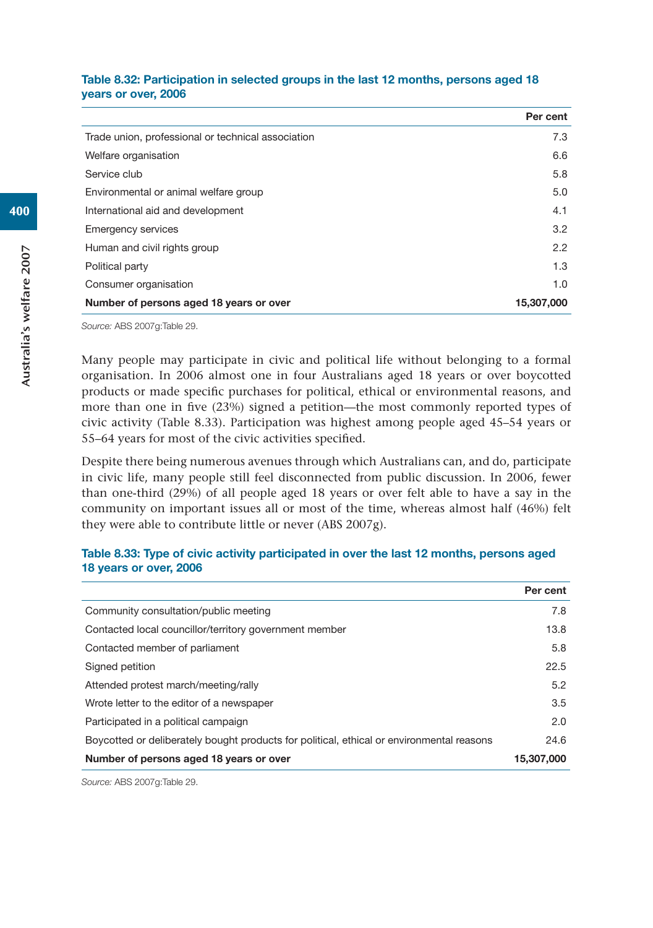| Table 8.32: Participation in selected groups in the last 12 months, persons aged 18 |  |  |  |
|-------------------------------------------------------------------------------------|--|--|--|
| vears or over, 2006                                                                 |  |  |  |

|                                                    | Per cent   |
|----------------------------------------------------|------------|
| Trade union, professional or technical association | 7.3        |
| Welfare organisation                               | 6.6        |
| Service club                                       | 5.8        |
| Environmental or animal welfare group              | 5.0        |
| International aid and development                  | 4.1        |
| <b>Emergency services</b>                          | 3.2        |
| Human and civil rights group                       | 2.2        |
| Political party                                    | 1.3        |
| Consumer organisation                              | 1.0        |
| Number of persons aged 18 years or over            | 15,307,000 |

*Source:* ABS 2007g:Table 29.

Many people may participate in civic and political life without belonging to a formal organisation. In 2006 almost one in four Australians aged 18 years or over boycotted products or made specific purchases for political, ethical or environmental reasons, and more than one in five (23%) signed a petition—the most commonly reported types of civic activity (Table 8.33). Participation was highest among people aged 45–54 years or 55–64 years for most of the civic activities specified.

Despite there being numerous avenues through which Australians can, and do, participate in civic life, many people still feel disconnected from public discussion. In 2006, fewer than one-third (29%) of all people aged 18 years or over felt able to have a say in the community on important issues all or most of the time, whereas almost half (46%) felt they were able to contribute little or never (ABS 2007g).

#### **Table 8.33: Type of civic activity participated in over the last 12 months, persons aged 18 years or over, 2006**

|                                                                                           | Per cent   |
|-------------------------------------------------------------------------------------------|------------|
| Community consultation/public meeting                                                     | 7.8        |
| Contacted local councillor/territory government member                                    | 13.8       |
| Contacted member of parliament                                                            | 5.8        |
| Signed petition                                                                           | 22.5       |
| Attended protest march/meeting/rally                                                      | 5.2        |
| Wrote letter to the editor of a newspaper                                                 | 3.5        |
| Participated in a political campaign                                                      | 2.0        |
| Boycotted or deliberately bought products for political, ethical or environmental reasons | 24.6       |
| Number of persons aged 18 years or over                                                   | 15,307,000 |

*Source:* ABS 2007g:Table 29.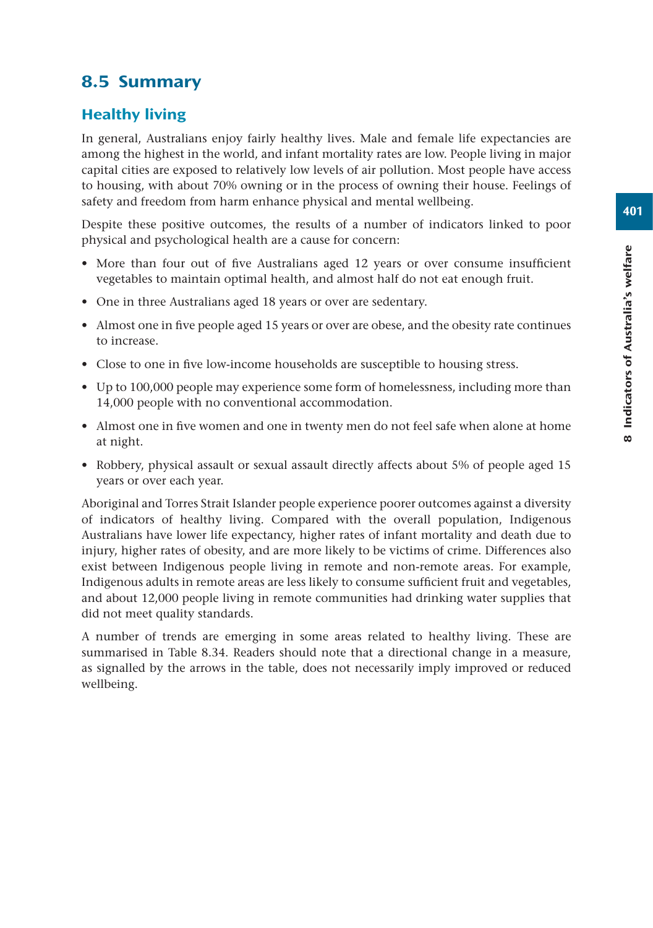# 8.5 Summary

# Healthy living

In general, Australians enjoy fairly healthy lives. Male and female life expectancies are among the highest in the world, and infant mortality rates are low. People living in major capital cities are exposed to relatively low levels of air pollution. Most people have access to housing, with about 70% owning or in the process of owning their house. Feelings of safety and freedom from harm enhance physical and mental wellbeing.

Despite these positive outcomes, the results of a number of indicators linked to poor physical and psychological health are a cause for concern:

- More than four out of five Australians aged 12 years or over consume insufficient vegetables to maintain optimal health, and almost half do not eat enough fruit.
- One in three Australians aged 18 years or over are sedentary.
- Almost one in five people aged 15 years or over are obese, and the obesity rate continues to increase.
- Close to one in five low-income households are susceptible to housing stress.
- Up to 100,000 people may experience some form of homelessness, including more than 14,000 people with no conventional accommodation.
- Almost one in five women and one in twenty men do not feel safe when alone at home at night.
- Robbery, physical assault or sexual assault directly affects about 5% of people aged 15 years or over each year.

Aboriginal and Torres Strait Islander people experience poorer outcomes against a diversity of indicators of healthy living. Compared with the overall population, Indigenous Australians have lower life expectancy, higher rates of infant mortality and death due to injury, higher rates of obesity, and are more likely to be victims of crime. Differences also exist between Indigenous people living in remote and non-remote areas. For example, Indigenous adults in remote areas are less likely to consume sufficient fruit and vegetables, and about 12,000 people living in remote communities had drinking water supplies that did not meet quality standards.

A number of trends are emerging in some areas related to healthy living. These are summarised in Table 8.34. Readers should note that a directional change in a measure, as signalled by the arrows in the table, does not necessarily imply improved or reduced wellbeing.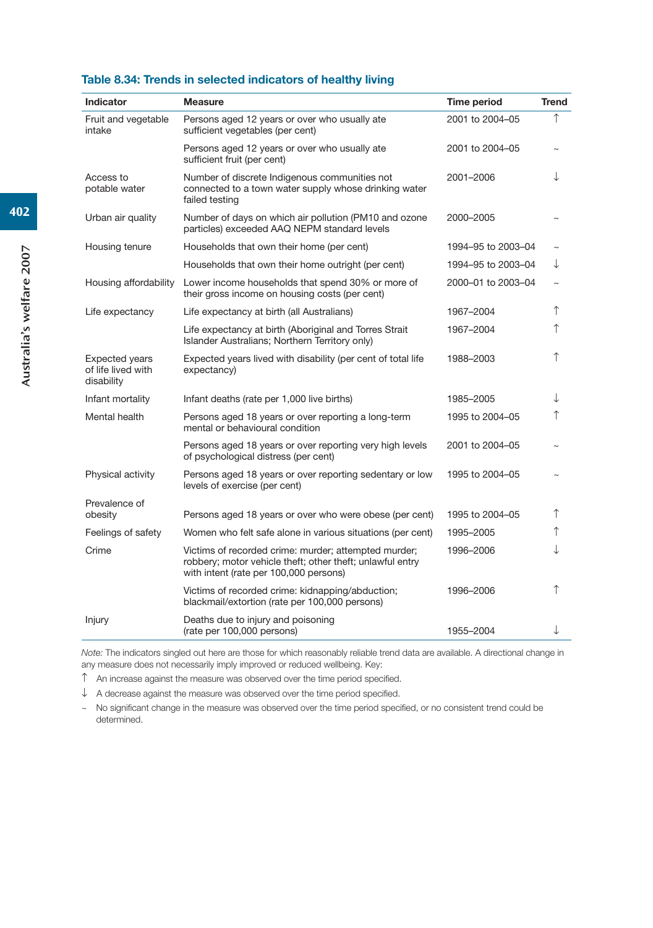#### **Table 8.34: Trends in selected indicators of healthy living**

| <b>Indicator</b>                                          | <b>Measure</b>                                                                                                                                              | Time period        | <b>Trend</b> |
|-----------------------------------------------------------|-------------------------------------------------------------------------------------------------------------------------------------------------------------|--------------------|--------------|
| Fruit and vegetable<br>intake                             | Persons aged 12 years or over who usually ate<br>sufficient vegetables (per cent)                                                                           | 2001 to 2004-05    | ↑            |
|                                                           | Persons aged 12 years or over who usually ate<br>sufficient fruit (per cent)                                                                                | 2001 to 2004-05    |              |
| Access to<br>potable water                                | Number of discrete Indigenous communities not<br>connected to a town water supply whose drinking water<br>failed testing                                    | 2001-2006          | T            |
| Urban air quality                                         | Number of days on which air pollution (PM10 and ozone<br>particles) exceeded AAQ NEPM standard levels                                                       | 2000-2005          |              |
| Housing tenure                                            | Households that own their home (per cent)                                                                                                                   | 1994-95 to 2003-04 |              |
|                                                           | Households that own their home outright (per cent)                                                                                                          | 1994-95 to 2003-04 | ↓            |
| Housing affordability                                     | Lower income households that spend 30% or more of<br>their gross income on housing costs (per cent)                                                         | 2000-01 to 2003-04 | $\sim$       |
| Life expectancy                                           | Life expectancy at birth (all Australians)                                                                                                                  | 1967-2004          | ↑            |
|                                                           | Life expectancy at birth (Aboriginal and Torres Strait<br>Islander Australians; Northern Territory only)                                                    | 1967-2004          | ↑            |
| <b>Expected years</b><br>of life lived with<br>disability | Expected years lived with disability (per cent of total life<br>expectancy)                                                                                 | 1988-2003          | ↑            |
| Infant mortality                                          | Infant deaths (rate per 1,000 live births)                                                                                                                  | 1985-2005          | ↓            |
| Mental health                                             | Persons aged 18 years or over reporting a long-term<br>mental or behavioural condition                                                                      | 1995 to 2004-05    | ↑            |
|                                                           | Persons aged 18 years or over reporting very high levels<br>of psychological distress (per cent)                                                            | 2001 to 2004-05    |              |
| Physical activity                                         | Persons aged 18 years or over reporting sedentary or low<br>levels of exercise (per cent)                                                                   | 1995 to 2004-05    |              |
| Prevalence of                                             |                                                                                                                                                             |                    |              |
| obesity                                                   | Persons aged 18 years or over who were obese (per cent)                                                                                                     | 1995 to 2004-05    | ↑            |
| Feelings of safety                                        | Women who felt safe alone in various situations (per cent)                                                                                                  | 1995-2005          | ↑            |
| Crime                                                     | Victims of recorded crime: murder; attempted murder;<br>robbery; motor vehicle theft; other theft; unlawful entry<br>with intent (rate per 100,000 persons) | 1996-2006          | ↓            |
|                                                           | Victims of recorded crime: kidnapping/abduction;<br>blackmail/extortion (rate per 100,000 persons)                                                          | 1996-2006          | ↑            |
| Injury                                                    | Deaths due to injury and poisoning<br>(rate per 100,000 persons)                                                                                            | 1955-2004          | ↓            |
|                                                           |                                                                                                                                                             |                    |              |

*Note:* The indicators singled out here are those for which reasonably reliable trend data are available. A directional change in any measure does not necessarily imply improved or reduced wellbeing. Key:

 $\uparrow$  An increase against the measure was observed over the time period specified.

 $\downarrow$  A decrease against the measure was observed over the time period specified.

~ No significant change in the measure was observed over the time period specified, or no consistent trend could be determined.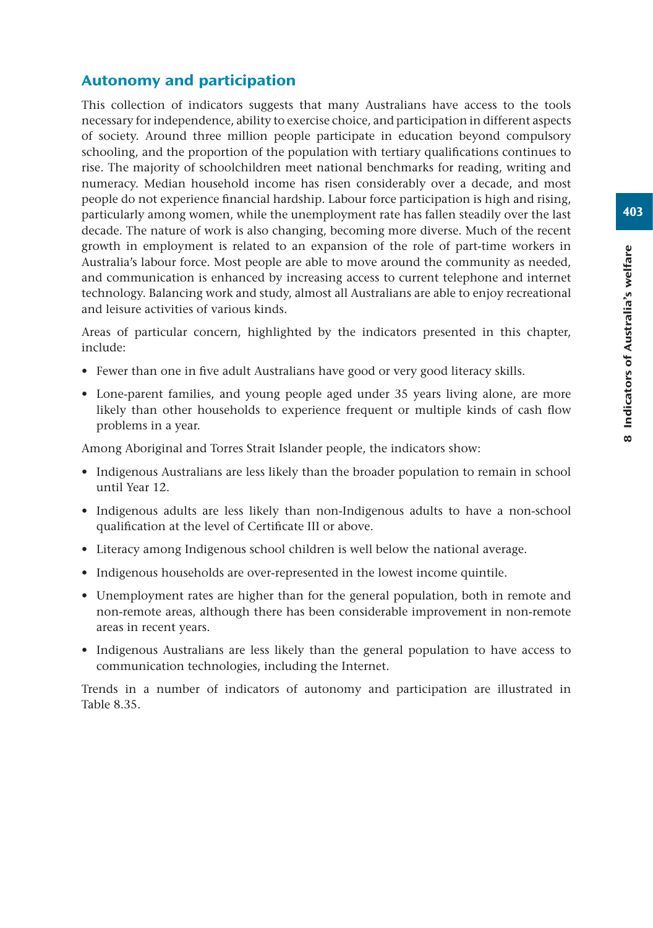# Autonomy and participation

This collection of indicators suggests that many Australians have access to the tools necessary for independence, ability to exercise choice, and participation in different aspects of society. Around three million people participate in education beyond compulsory schooling, and the proportion of the population with tertiary qualifications continues to rise. The majority of schoolchildren meet national benchmarks for reading, writing and numeracy. Median household income has risen considerably over a decade, and most people do not experience financial hardship. Labour force participation is high and rising, particularly among women, while the unemployment rate has fallen steadily over the last decade. The nature of work is also changing, becoming more diverse. Much of the recent growth in employment is related to an expansion of the role of part-time workers in Australia's labour force. Most people are able to move around the community as needed, and communication is enhanced by increasing access to current telephone and internet technology. Balancing work and study, almost all Australians are able to enjoy recreational and leisure activities of various kinds.

Areas of particular concern, highlighted by the indicators presented in this chapter, include:

- Fewer than one in five adult Australians have good or very good literacy skills.
- Lone-parent families, and young people aged under 35 years living alone, are more likely than other households to experience frequent or multiple kinds of cash flow problems in a year.

Among Aboriginal and Torres Strait Islander people, the indicators show:

- Indigenous Australians are less likely than the broader population to remain in school until Year 12.
- Indigenous adults are less likely than non-Indigenous adults to have a non-school qualification at the level of Certificate III or above.
- Literacy among Indigenous school children is well below the national average.
- Indigenous households are over-represented in the lowest income quintile.
- Unemployment rates are higher than for the general population, both in remote and non-remote areas, although there has been considerable improvement in non-remote areas in recent years.
- Indigenous Australians are less likely than the general population to have access to communication technologies, including the Internet.

Trends in a number of indicators of autonomy and participation are illustrated in Table 8.35.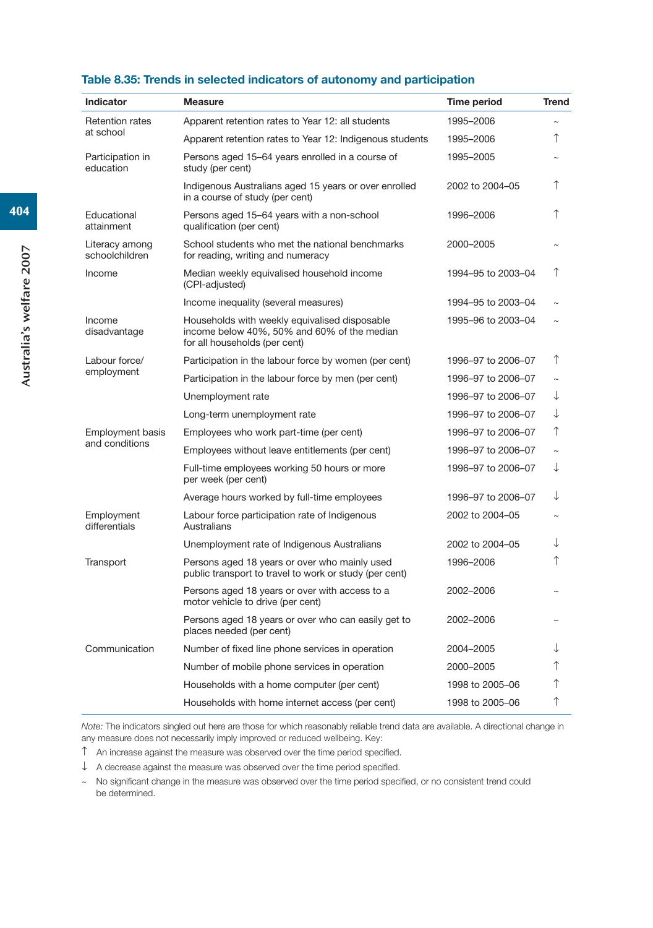#### **Table 8.35: Trends in selected indicators of autonomy and participation**

| <b>Indicator</b>                          | <b>Measure</b>                                                                                                                | Time period        | <b>Trend</b> |
|-------------------------------------------|-------------------------------------------------------------------------------------------------------------------------------|--------------------|--------------|
| <b>Retention rates</b><br>at school       | Apparent retention rates to Year 12: all students                                                                             | 1995-2006          |              |
|                                           | Apparent retention rates to Year 12: Indigenous students                                                                      | 1995-2006          | ↑            |
| Participation in<br>education             | Persons aged 15–64 years enrolled in a course of<br>study (per cent)                                                          | 1995-2005          |              |
|                                           | Indigenous Australians aged 15 years or over enrolled<br>in a course of study (per cent)                                      | 2002 to 2004-05    | ↑            |
| Educational<br>attainment                 | Persons aged 15-64 years with a non-school<br>qualification (per cent)                                                        | 1996-2006          | ↑            |
| Literacy among<br>schoolchildren          | School students who met the national benchmarks<br>for reading, writing and numeracy                                          | 2000-2005          |              |
| Income                                    | Median weekly equivalised household income<br>(CPI-adjusted)                                                                  | 1994-95 to 2003-04 | ↑            |
|                                           | Income inequality (several measures)                                                                                          | 1994-95 to 2003-04 |              |
| Income<br>disadvantage                    | Households with weekly equivalised disposable<br>income below 40%, 50% and 60% of the median<br>for all households (per cent) | 1995-96 to 2003-04 |              |
| Labour force/                             | Participation in the labour force by women (per cent)                                                                         | 1996-97 to 2006-07 | ↑            |
| employment                                | Participation in the labour force by men (per cent)                                                                           | 1996-97 to 2006-07 | $\sim$       |
|                                           | Unemployment rate                                                                                                             | 1996-97 to 2006-07 | ↓            |
|                                           | Long-term unemployment rate                                                                                                   | 1996-97 to 2006-07 | ↓            |
| <b>Employment basis</b><br>and conditions | Employees who work part-time (per cent)                                                                                       | 1996-97 to 2006-07 | ↑            |
|                                           | Employees without leave entitlements (per cent)                                                                               | 1996-97 to 2006-07 | $\sim$       |
|                                           | Full-time employees working 50 hours or more<br>per week (per cent)                                                           | 1996-97 to 2006-07 | ↓            |
|                                           | Average hours worked by full-time employees                                                                                   | 1996-97 to 2006-07 | ↓            |
| Employment<br>differentials               | Labour force participation rate of Indigenous<br>Australians                                                                  | 2002 to 2004-05    |              |
|                                           | Unemployment rate of Indigenous Australians                                                                                   | 2002 to 2004-05    | ↓            |
| Transport                                 | Persons aged 18 years or over who mainly used<br>public transport to travel to work or study (per cent)                       | 1996-2006          | ↑            |
|                                           | Persons aged 18 years or over with access to a<br>motor vehicle to drive (per cent)                                           | 2002-2006          |              |
|                                           | Persons aged 18 years or over who can easily get to<br>places needed (per cent)                                               | 2002-2006          |              |
| Communication                             | Number of fixed line phone services in operation                                                                              | 2004-2005          | ↓            |
|                                           | Number of mobile phone services in operation                                                                                  | 2000-2005          | ↑            |
|                                           | Households with a home computer (per cent)                                                                                    | 1998 to 2005-06    | ↑            |
|                                           | Households with home internet access (per cent)                                                                               | 1998 to 2005-06    | ↑            |

*Note:* The indicators singled out here are those for which reasonably reliable trend data are available. A directional change in any measure does not necessarily imply improved or reduced wellbeing. Key:

 $\uparrow$  An increase against the measure was observed over the time period specified.

 $\downarrow$  A decrease against the measure was observed over the time period specified.

~ No significant change in the measure was observed over the time period specified, or no consistent trend could be determined.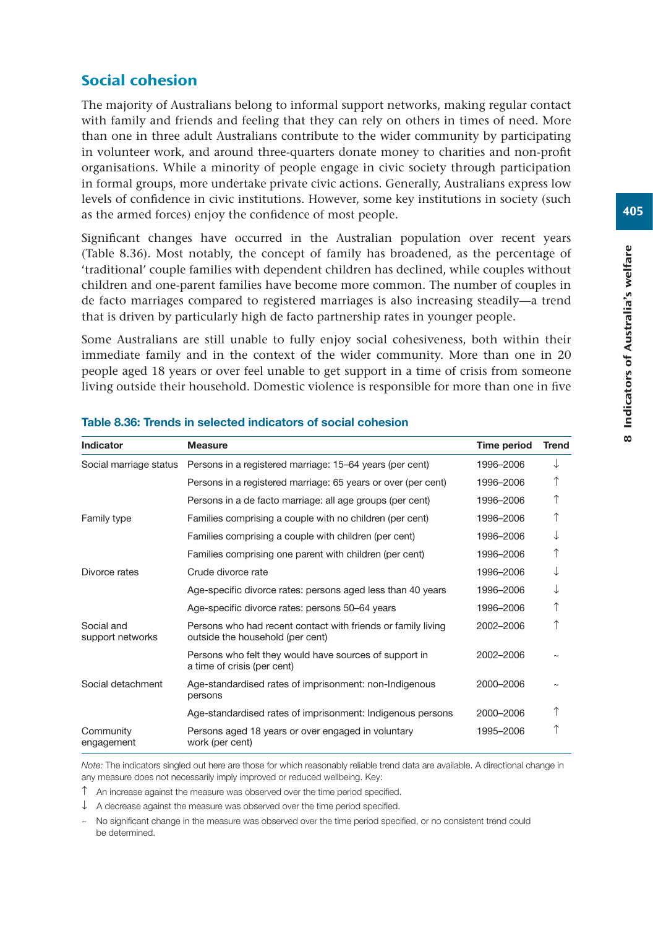# Social cohesion

The majority of Australians belong to informal support networks, making regular contact with family and friends and feeling that they can rely on others in times of need. More than one in three adult Australians contribute to the wider community by participating in volunteer work, and around three-quarters donate money to charities and non-profit organisations. While a minority of people engage in civic society through participation in formal groups, more undertake private civic actions. Generally, Australians express low levels of confidence in civic institutions. However, some key institutions in society (such as the armed forces) enjoy the confidence of most people.

Significant changes have occurred in the Australian population over recent years (Table 8.36). Most notably, the concept of family has broadened, as the percentage of 'traditional' couple families with dependent children has declined, while couples without children and one-parent families have become more common. The number of couples in de facto marriages compared to registered marriages is also increasing steadily—a trend that is driven by particularly high de facto partnership rates in younger people.

Some Australians are still unable to fully enjoy social cohesiveness, both within their immediate family and in the context of the wider community. More than one in 20 people aged 18 years or over feel unable to get support in a time of crisis from someone living outside their household. Domestic violence is responsible for more than one in five

| <b>Indicator</b>               | <b>Measure</b>                                                                                   | Time period | <b>Trend</b> |
|--------------------------------|--------------------------------------------------------------------------------------------------|-------------|--------------|
| Social marriage status         | Persons in a registered marriage: 15–64 years (per cent)                                         | 1996-2006   |              |
|                                | Persons in a registered marriage: 65 years or over (per cent)                                    | 1996-2006   |              |
|                                | Persons in a de facto marriage: all age groups (per cent)                                        | 1996-2006   |              |
| Family type                    | Families comprising a couple with no children (per cent)                                         | 1996-2006   |              |
|                                | Families comprising a couple with children (per cent)                                            | 1996–2006   |              |
|                                | Families comprising one parent with children (per cent)                                          | 1996-2006   | ↑            |
| Divorce rates                  | Crude divorce rate                                                                               | 1996-2006   |              |
|                                | Age-specific divorce rates: persons aged less than 40 years                                      | 1996-2006   |              |
|                                | Age-specific divorce rates: persons 50–64 years                                                  | 1996-2006   | ↑            |
| Social and<br>support networks | Persons who had recent contact with friends or family living<br>outside the household (per cent) | 2002-2006   |              |
|                                | Persons who felt they would have sources of support in<br>a time of crisis (per cent)            | 2002-2006   |              |
| Social detachment              | Age-standardised rates of imprisonment: non-Indigenous<br>persons                                | 2000-2006   |              |
|                                | Age-standardised rates of imprisonment: Indigenous persons                                       | 2000-2006   |              |
| Community<br>engagement        | Persons aged 18 years or over engaged in voluntary<br>work (per cent)                            | 1995-2006   |              |

#### **Table 8.36: Trends in selected indicators of social cohesion**

*Note:* The indicators singled out here are those for which reasonably reliable trend data are available. A directional change in any measure does not necessarily imply improved or reduced wellbeing. Key:

 $\hat{\Gamma}$  An increase against the measure was observed over the time period specified.

 $\downarrow$  A decrease against the measure was observed over the time period specified.

~ No significant change in the measure was observed over the time period specified, or no consistent trend could be determined.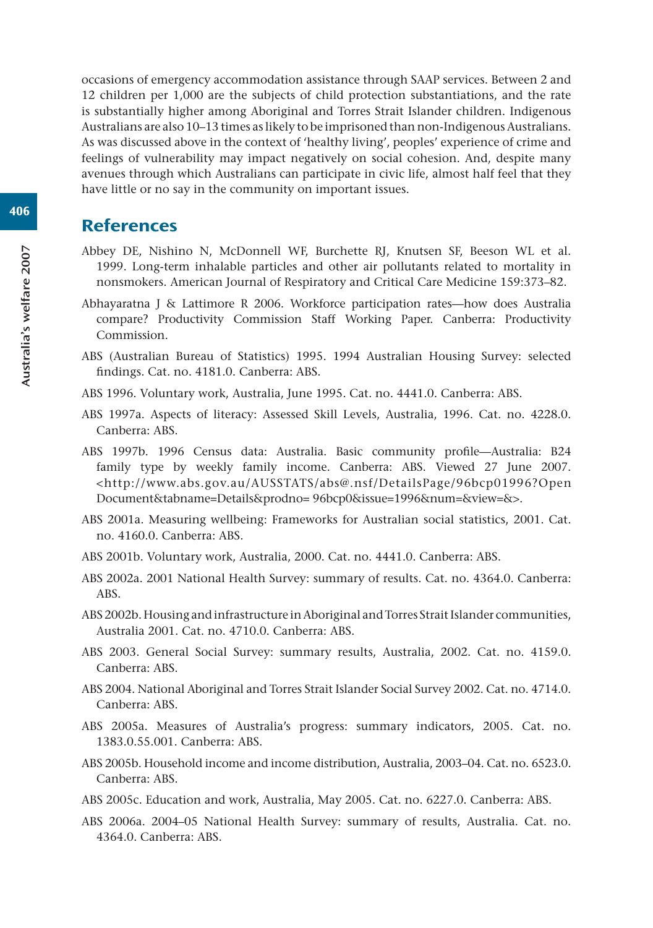occasions of emergency accommodation assistance through SAAP services. Between 2 and 12 children per 1,000 are the subjects of child protection substantiations, and the rate is substantially higher among Aboriginal and Torres Strait Islander children. Indigenous Australians are also 10–13 times as likely to be imprisoned than non-Indigenous Australians. As was discussed above in the context of 'healthy living', peoples' experience of crime and feelings of vulnerability may impact negatively on social cohesion. And, despite many avenues through which Australians can participate in civic life, almost half feel that they have little or no say in the community on important issues.

# **References**

- Abbey DE, Nishino N, McDonnell WF, Burchette RJ, Knutsen SF, Beeson WL et al. 1999. Long-term inhalable particles and other air pollutants related to mortality in nonsmokers. American Journal of Respiratory and Critical Care Medicine 159:373–82.
- Abhayaratna J & Lattimore R 2006. Workforce participation rates—how does Australia compare? Productivity Commission Staff Working Paper. Canberra: Productivity Commission.
- ABS (Australian Bureau of Statistics) 1995. 1994 Australian Housing Survey: selected findings. Cat. no. 4181.0. Canberra: ABS.
- ABS 1996. Voluntary work, Australia, June 1995. Cat. no. 4441.0. Canberra: ABS.
- ABS 1997a. Aspects of literacy: Assessed Skill Levels, Australia, 1996. Cat. no. 4228.0. Canberra: ABS.
- ABS 1997b. 1996 Census data: Australia. Basic community profile—Australia: B24 family type by weekly family income. Canberra: ABS. Viewed 27 June 2007. <http://www.abs.gov.au/AUSSTATS/abs@.nsf/DetailsPage/96bcp01996?Open Document&tabname=Details&prodno= 96bcp0&issue=1996&num=&view=&>.
- ABS 2001a. Measuring wellbeing: Frameworks for Australian social statistics, 2001. Cat. no. 4160.0. Canberra: ABS.
- ABS 2001b. Voluntary work, Australia, 2000. Cat. no. 4441.0. Canberra: ABS.
- ABS 2002a. 2001 National Health Survey: summary of results. Cat. no. 4364.0. Canberra: ABS.
- ABS 2002b. Housing and infrastructure in Aboriginal and Torres Strait Islander communities, Australia 2001. Cat. no. 4710.0. Canberra: ABS.
- ABS 2003. General Social Survey: summary results, Australia, 2002. Cat. no. 4159.0. Canberra: ABS.
- ABS 2004. National Aboriginal and Torres Strait Islander Social Survey 2002. Cat. no. 4714.0. Canberra: ABS.
- ABS 2005a. Measures of Australia's progress: summary indicators, 2005. Cat. no. 1383.0.55.001. Canberra: ABS.
- ABS 2005b. Household income and income distribution, Australia, 2003–04. Cat. no. 6523.0. Canberra: ABS.
- ABS 2005c. Education and work, Australia, May 2005. Cat. no. 6227.0. Canberra: ABS.
- ABS 2006a. 2004–05 National Health Survey: summary of results, Australia. Cat. no. 4364.0. Canberra: ABS.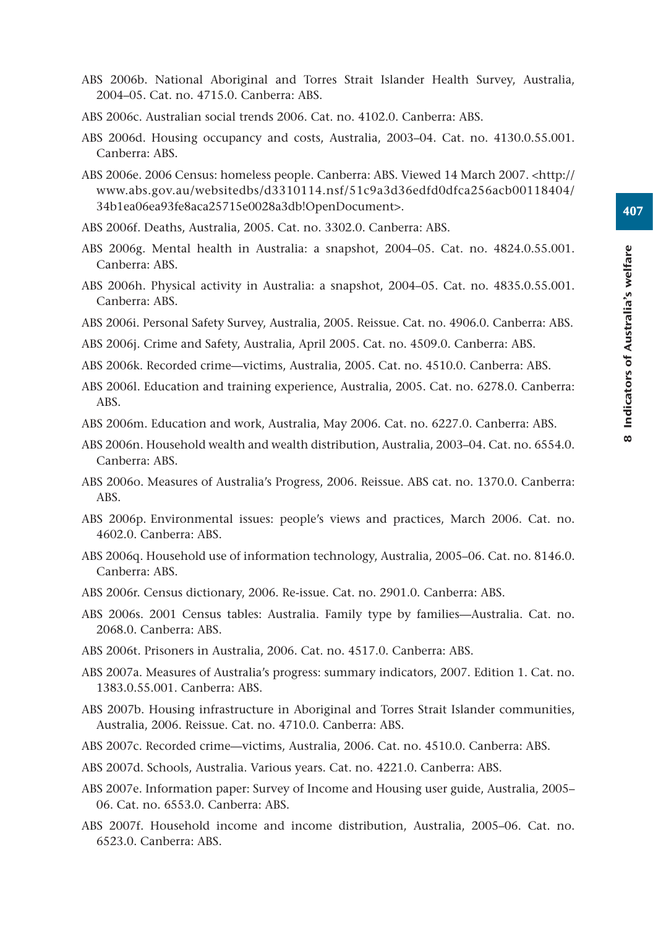407

- ABS 2006b. National Aboriginal and Torres Strait Islander Health Survey, Australia, 2004–05. Cat. no. 4715.0. Canberra: ABS.
- ABS 2006c. Australian social trends 2006. Cat. no. 4102.0. Canberra: ABS.
- ABS 2006d. Housing occupancy and costs, Australia, 2003–04. Cat. no. 4130.0.55.001. Canberra: ABS.
- ABS 2006e. 2006 Census: homeless people. Canberra: ABS. Viewed 14 March 2007. <http:// www.abs.gov.au/websitedbs/d3310114.nsf/51c9a3d36edfd0dfca256acb00118404/ 34b1ea06ea93fe8aca25715e0028a3db!OpenDocument>.
- ABS 2006f. Deaths, Australia, 2005. Cat. no. 3302.0. Canberra: ABS.
- ABS 2006g. Mental health in Australia: a snapshot, 2004–05. Cat. no. 4824.0.55.001. Canberra: ABS.
- ABS 2006h. Physical activity in Australia: a snapshot, 2004–05. Cat. no. 4835.0.55.001. Canberra: ABS.
- ABS 2006i. Personal Safety Survey, Australia, 2005. Reissue. Cat. no. 4906.0. Canberra: ABS.
- ABS 2006j. Crime and Safety, Australia, April 2005. Cat. no. 4509.0. Canberra: ABS.
- ABS 2006k. Recorded crime—victims, Australia, 2005. Cat. no. 4510.0. Canberra: ABS.
- ABS 2006l. Education and training experience, Australia, 2005. Cat. no. 6278.0. Canberra: ABS.
- ABS 2006m. Education and work, Australia, May 2006. Cat. no. 6227.0. Canberra: ABS.
- ABS 2006n. Household wealth and wealth distribution, Australia, 2003–04. Cat. no. 6554.0. Canberra: ABS.
- ABS 2006o. Measures of Australia's Progress, 2006. Reissue. ABS cat. no. 1370.0. Canberra: ABS.
- ABS 2006p. Environmental issues: people's views and practices, March 2006. Cat. no. 4602.0. Canberra: ABS.
- ABS 2006q. Household use of information technology, Australia, 2005–06. Cat. no. 8146.0. Canberra: ABS.
- ABS 2006r. Census dictionary, 2006. Re-issue. Cat. no. 2901.0. Canberra: ABS.
- ABS 2006s. 2001 Census tables: Australia. Family type by families—Australia. Cat. no. 2068.0. Canberra: ABS.
- ABS 2006t. Prisoners in Australia, 2006. Cat. no. 4517.0. Canberra: ABS.
- ABS 2007a. Measures of Australia's progress: summary indicators, 2007. Edition 1. Cat. no. 1383.0.55.001. Canberra: ABS.
- ABS 2007b. Housing infrastructure in Aboriginal and Torres Strait Islander communities, Australia, 2006. Reissue. Cat. no. 4710.0. Canberra: ABS.
- ABS 2007c. Recorded crime—victims, Australia, 2006. Cat. no. 4510.0. Canberra: ABS.
- ABS 2007d. Schools, Australia. Various years. Cat. no. 4221.0. Canberra: ABS.
- ABS 2007e. Information paper: Survey of Income and Housing user guide, Australia, 2005– 06. Cat. no. 6553.0. Canberra: ABS.
- ABS 2007f. Household income and income distribution, Australia, 2005–06. Cat. no. 6523.0. Canberra: ABS.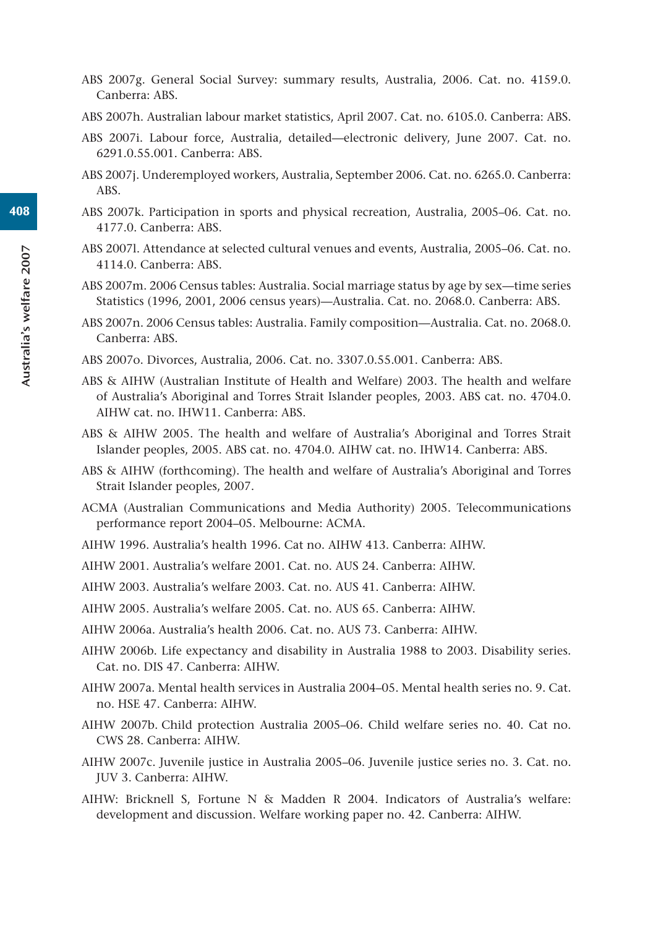- ABS 2007g. General Social Survey: summary results, Australia, 2006. Cat. no. 4159.0. Canberra: ABS.
- ABS 2007h. Australian labour market statistics, April 2007. Cat. no. 6105.0. Canberra: ABS.
- ABS 2007i. Labour force, Australia, detailed—electronic delivery, June 2007. Cat. no. 6291.0.55.001. Canberra: ABS.
- ABS 2007j. Underemployed workers, Australia, September 2006. Cat. no. 6265.0. Canberra: ABS.
- ABS 2007k. Participation in sports and physical recreation, Australia, 2005–06. Cat. no. 4177.0. Canberra: ABS.
- ABS 2007l. Attendance at selected cultural venues and events, Australia, 2005–06. Cat. no. 4114.0. Canberra: ABS.
- ABS 2007m. 2006 Census tables: Australia. Social marriage status by age by sex—time series Statistics (1996, 2001, 2006 census years)—Australia. Cat. no. 2068.0. Canberra: ABS.
- ABS 2007n. 2006 Census tables: Australia. Family composition—Australia. Cat. no. 2068.0. Canberra: ABS.
- ABS 2007o. Divorces, Australia, 2006. Cat. no. 3307.0.55.001. Canberra: ABS.
- ABS & AIHW (Australian Institute of Health and Welfare) 2003. The health and welfare of Australia's Aboriginal and Torres Strait Islander peoples, 2003. ABS cat. no. 4704.0. AIHW cat. no. IHW11. Canberra: ABS.
- ABS & AIHW 2005. The health and welfare of Australia's Aboriginal and Torres Strait Islander peoples, 2005. ABS cat. no. 4704.0. AIHW cat. no. IHW14. Canberra: ABS.
- ABS & AIHW (forthcoming). The health and welfare of Australia's Aboriginal and Torres Strait Islander peoples, 2007.
- ACMA (Australian Communications and Media Authority) 2005. Telecommunications performance report 2004–05. Melbourne: ACMA.
- AIHW 1996. Australia's health 1996. Cat no. AIHW 413. Canberra: AIHW.
- AIHW 2001. Australia's welfare 2001. Cat. no. AUS 24. Canberra: AIHW.
- AIHW 2003. Australia's welfare 2003. Cat. no. AUS 41. Canberra: AIHW.
- AIHW 2005. Australia's welfare 2005. Cat. no. AUS 65. Canberra: AIHW.
- AIHW 2006a. Australia's health 2006. Cat. no. AUS 73. Canberra: AIHW.
- AIHW 2006b. Life expectancy and disability in Australia 1988 to 2003. Disability series. Cat. no. DIS 47. Canberra: AIHW.
- AIHW 2007a. Mental health services in Australia 2004–05. Mental health series no. 9. Cat. no. HSE 47. Canberra: AIHW.
- AIHW 2007b. Child protection Australia 2005–06. Child welfare series no. 40. Cat no. CWS 28. Canberra: AIHW.
- AIHW 2007c. Juvenile justice in Australia 2005–06. Juvenile justice series no. 3. Cat. no. JUV 3. Canberra: AIHW.
- AIHW: Bricknell S, Fortune N & Madden R 2004. Indicators of Australia's welfare: development and discussion. Welfare working paper no. 42. Canberra: AIHW.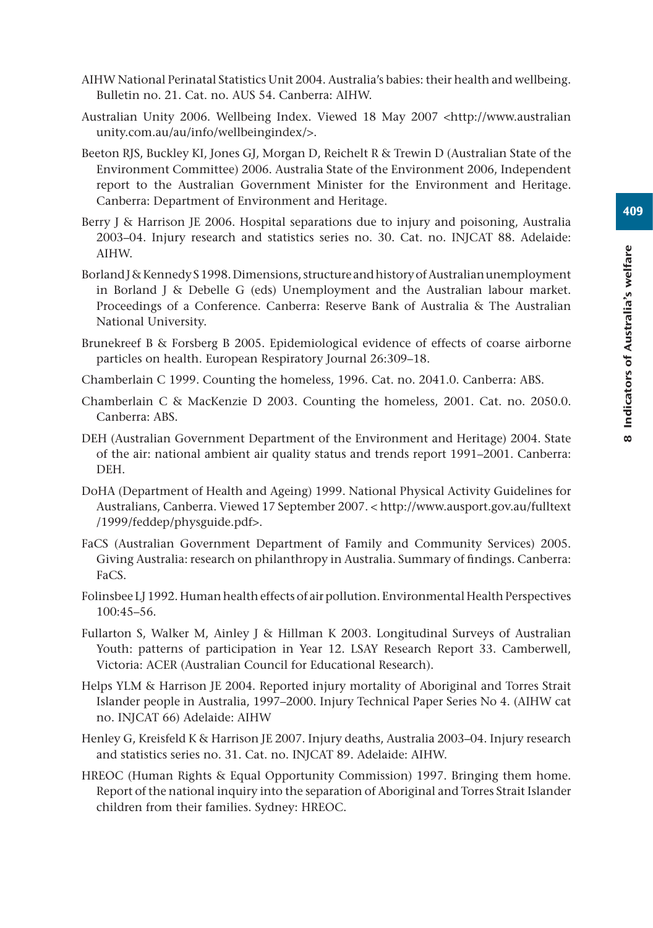- AIHW National Perinatal Statistics Unit 2004. Australia's babies: their health and wellbeing. Bulletin no. 21. Cat. no. AUS 54. Canberra: AIHW.
- Australian Unity 2006. Wellbeing Index. Viewed 18 May 2007 <http://www.australian unity.com.au/au/info/wellbeingindex/>.
- Beeton RJS, Buckley KI, Jones GJ, Morgan D, Reichelt R & Trewin D (Australian State of the Environment Committee) 2006. Australia State of the Environment 2006, Independent report to the Australian Government Minister for the Environment and Heritage. Canberra: Department of Environment and Heritage.
- Berry J & Harrison JE 2006. Hospital separations due to injury and poisoning. Australia 2003–04. Injury research and statistics series no. 30. Cat. no. INJCAT 88. Adelaide: AIHW.
- Borland J & Kennedy S 1998. Dimensions, structure and history of Australian unemployment in Borland J & Debelle G (eds) Unemployment and the Australian labour market. Proceedings of a Conference. Canberra: Reserve Bank of Australia & The Australian National University.
- Brunekreef B & Forsberg B 2005. Epidemiological evidence of effects of coarse airborne particles on health. European Respiratory Journal 26:309–18.
- Chamberlain C 1999. Counting the homeless, 1996. Cat. no. 2041.0. Canberra: ABS.
- Chamberlain C & MacKenzie D 2003. Counting the homeless, 2001. Cat. no. 2050.0. Canberra: ABS.
- DEH (Australian Government Department of the Environment and Heritage) 2004. State of the air: national ambient air quality status and trends report 1991–2001. Canberra: DEH.
- DoHA (Department of Health and Ageing) 1999. National Physical Activity Guidelines for Australians, Canberra. Viewed 17 September 2007. < http://www.ausport.gov.au/fulltext /1999/feddep/physguide.pdf>.
- FaCS (Australian Government Department of Family and Community Services) 2005. Giving Australia: research on philanthropy in Australia. Summary of findings. Canberra: FaCS.
- Folinsbee LJ 1992. Human health effects of air pollution. Environmental Health Perspectives 100:45–56.
- Fullarton S, Walker M, Ainley J & Hillman K 2003. Longitudinal Surveys of Australian Youth: patterns of participation in Year 12. LSAY Research Report 33. Camberwell, Victoria: ACER (Australian Council for Educational Research).
- Helps YLM & Harrison JE 2004. Reported injury mortality of Aboriginal and Torres Strait Islander people in Australia, 1997–2000. Injury Technical Paper Series No 4. (AIHW cat no. INJCAT 66) Adelaide: AIHW
- Henley G, Kreisfeld K & Harrison JE 2007. Injury deaths, Australia 2003–04. Injury research and statistics series no. 31. Cat. no. INJCAT 89. Adelaide: AIHW.
- HREOC (Human Rights & Equal Opportunity Commission) 1997. Bringing them home. Report of the national inquiry into the separation of Aboriginal and Torres Strait Islander children from their families. Sydney: HREOC.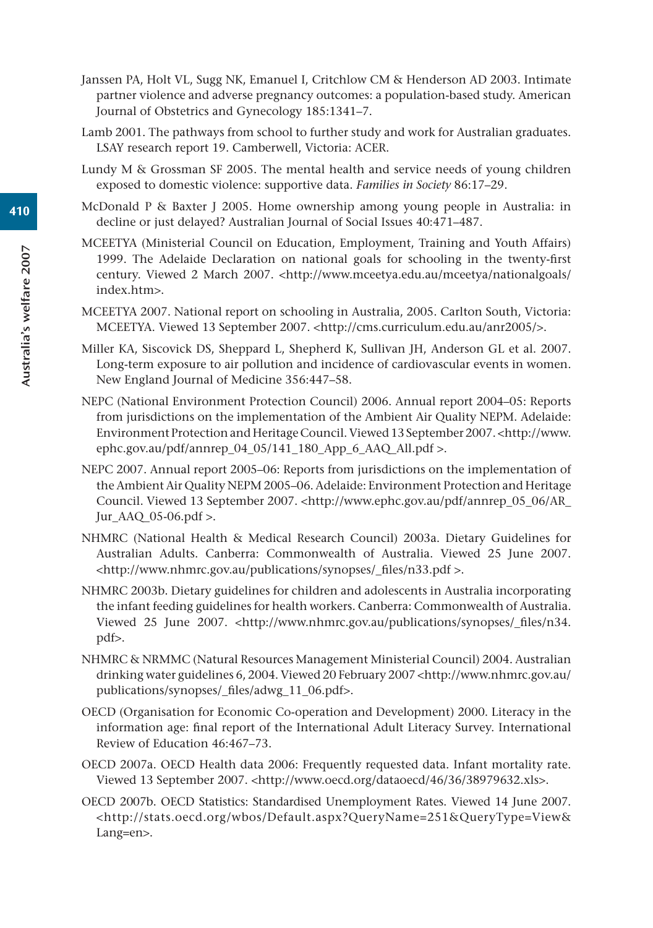- Janssen PA, Holt VL, Sugg NK, Emanuel I, Critchlow CM & Henderson AD 2003. Intimate partner violence and adverse pregnancy outcomes: a population-based study. American Journal of Obstetrics and Gynecology 185:1341–7.
- Lamb 2001. The pathways from school to further study and work for Australian graduates. LSAY research report 19. Camberwell, Victoria: ACER.
- Lundy M & Grossman SF 2005. The mental health and service needs of young children exposed to domestic violence: supportive data. *Families in Society* 86:17–29.
- McDonald P & Baxter J 2005. Home ownership among young people in Australia: in decline or just delayed? Australian Journal of Social Issues 40:471–487.
- MCEETYA (Ministerial Council on Education, Employment, Training and Youth Affairs) 1999. The Adelaide Declaration on national goals for schooling in the twenty-first century. Viewed 2 March 2007. <http://www.mceetya.edu.au/mceetya/nationalgoals/ index.htm>.
- MCEETYA 2007. National report on schooling in Australia, 2005. Carlton South, Victoria: MCEETYA. Viewed 13 September 2007. <http://cms.curriculum.edu.au/anr2005/>.
- Miller KA, Siscovick DS, Sheppard L, Shepherd K, Sullivan JH, Anderson GL et al. 2007. Long-term exposure to air pollution and incidence of cardiovascular events in women. New England Journal of Medicine 356:447–58.
- NEPC (National Environment Protection Council) 2006. Annual report 2004–05: Reports from jurisdictions on the implementation of the Ambient Air Quality NEPM. Adelaide: Environment Protection and Heritage Council. Viewed 13 September 2007. <http://www. ephc.gov.au/pdf/annrep\_04\_05/141\_180\_App\_6\_AAQ\_All.pdf >.
- NEPC 2007. Annual report 2005–06: Reports from jurisdictions on the implementation of the Ambient Air Quality NEPM 2005–06. Adelaide: Environment Protection and Heritage Council. Viewed 13 September 2007. <http://www.ephc.gov.au/pdf/annrep\_05\_06/AR\_ Jur $AAQ$  05-06.pdf >.
- NHMRC (National Health & Medical Research Council) 2003a. Dietary Guidelines for Australian Adults. Canberra: Commonwealth of Australia. Viewed 25 June 2007. <http://www.nhmrc.gov.au/publications/synopses/\_files/n33.pdf >.
- NHMRC 2003b. Dietary guidelines for children and adolescents in Australia incorporating the infant feeding guidelines for health workers. Canberra: Commonwealth of Australia. Viewed 25 June 2007. <http://www.nhmrc.gov.au/publications/synopses/\_files/n34. pdf>.
- NHMRC & NRMMC (Natural Resources Management Ministerial Council) 2004. Australian drinking water guidelines 6, 2004. Viewed 20 February 2007 <http://www.nhmrc.gov.au/ publications/synopses/\_files/adwg\_11\_06.pdf>.
- OECD (Organisation for Economic Co-operation and Development) 2000. Literacy in the information age: final report of the International Adult Literacy Survey. International Review of Education 46:467–73.
- OECD 2007a. OECD Health data 2006: Frequently requested data. Infant mortality rate. Viewed 13 September 2007. <http://www.oecd.org/dataoecd/46/36/38979632.xls>.
- OECD 2007b. OECD Statistics: Standardised Unemployment Rates. Viewed 14 June 2007. <http://stats.oecd.org/wbos/Default.aspx?QueryName=251&QueryType=View& Lang=en>.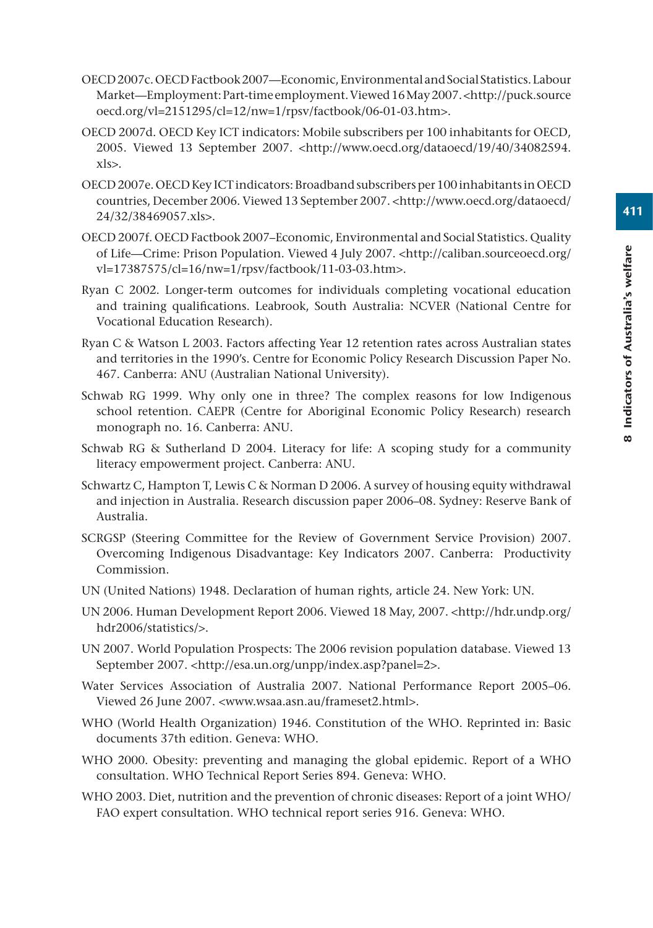- OECD 2007c. OECD Factbook 2007—Economic, Environmental and Social Statistics. Labour Market—Employment: Part-time employment. Viewed 16 May 2007. <http://puck.source oecd.org/vl=2151295/cl=12/nw=1/rpsv/factbook/06-01-03.htm>.
- OECD 2007d. OECD Key ICT indicators: Mobile subscribers per 100 inhabitants for OECD, 2005. Viewed 13 September 2007. <http://www.oecd.org/dataoecd/19/40/34082594. xls>.
- OECD 2007e. OECD Key ICT indicators: Broadband subscribers per 100 inhabitants in OECD countries, December 2006. Viewed 13 September 2007. <http://www.oecd.org/dataoecd/ 24/32/38469057.xls>.
- OECD 2007f. OECD Factbook 2007–Economic, Environmental and Social Statistics. Quality of Life—Crime: Prison Population. Viewed 4 July 2007. <http://caliban.sourceoecd.org/ vl=17387575/cl=16/nw=1/rpsv/factbook/11-03-03.htm>.
- Ryan C 2002. Longer-term outcomes for individuals completing vocational education and training qualifications. Leabrook, South Australia: NCVER (National Centre for Vocational Education Research).
- Ryan C & Watson L 2003. Factors affecting Year 12 retention rates across Australian states and territories in the 1990's. Centre for Economic Policy Research Discussion Paper No. 467. Canberra: ANU (Australian National University).
- Schwab RG 1999. Why only one in three? The complex reasons for low Indigenous school retention. CAEPR (Centre for Aboriginal Economic Policy Research) research monograph no. 16. Canberra: ANU.
- Schwab RG & Sutherland D 2004. Literacy for life: A scoping study for a community literacy empowerment project. Canberra: ANU.
- Schwartz C, Hampton T, Lewis C & Norman D 2006. A survey of housing equity withdrawal and injection in Australia. Research discussion paper 2006–08. Sydney: Reserve Bank of Australia.
- SCRGSP (Steering Committee for the Review of Government Service Provision) 2007. Overcoming Indigenous Disadvantage: Key Indicators 2007. Canberra: Productivity Commission.
- UN (United Nations) 1948. Declaration of human rights, article 24. New York: UN.
- UN 2006. Human Development Report 2006. Viewed 18 May, 2007. <http://hdr.undp.org/ hdr2006/statistics/>.
- UN 2007. World Population Prospects: The 2006 revision population database. Viewed 13 September 2007. <http://esa.un.org/unpp/index.asp?panel=2>.
- Water Services Association of Australia 2007. National Performance Report 2005–06. Viewed 26 June 2007. <www.wsaa.asn.au/frameset2.html>.
- WHO (World Health Organization) 1946. Constitution of the WHO. Reprinted in: Basic documents 37th edition. Geneva: WHO.
- WHO 2000. Obesity: preventing and managing the global epidemic. Report of a WHO consultation. WHO Technical Report Series 894. Geneva: WHO.
- WHO 2003. Diet, nutrition and the prevention of chronic diseases: Report of a joint WHO/ FAO expert consultation. WHO technical report series 916. Geneva: WHO.